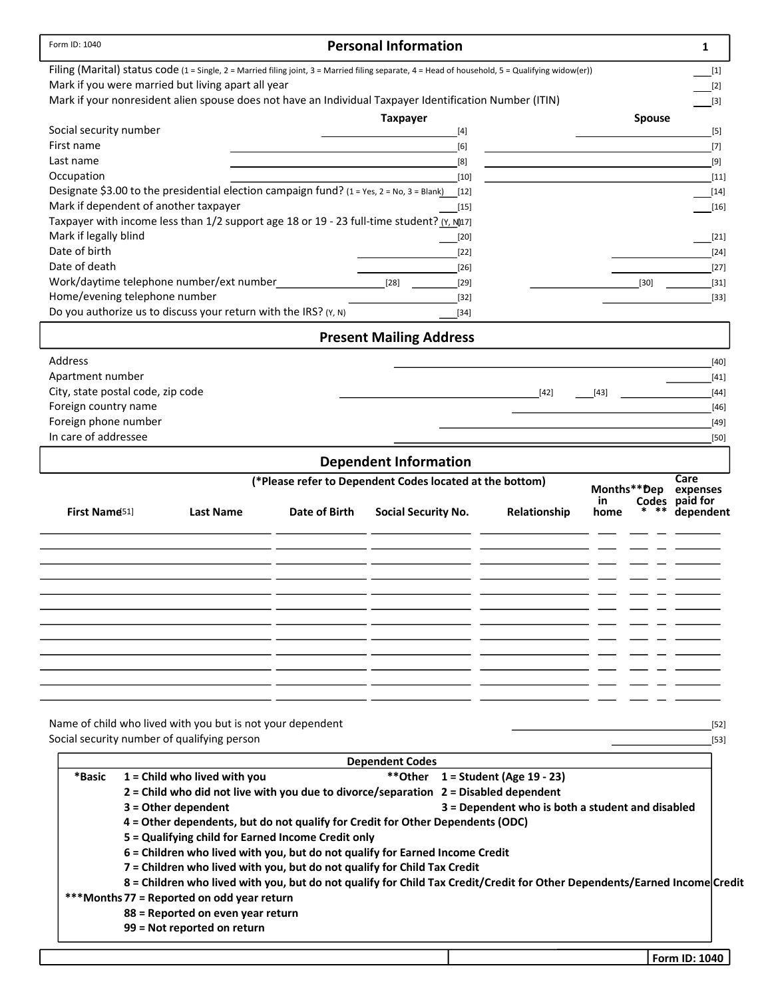|                                              |                                                                                                                                                   |               | <b>Personal Information</b>                              |                                                  |               | 1                          |
|----------------------------------------------|---------------------------------------------------------------------------------------------------------------------------------------------------|---------------|----------------------------------------------------------|--------------------------------------------------|---------------|----------------------------|
|                                              | Filing (Marital) status code (1 = Single, 2 = Married filing joint, 3 = Married filing separate, 4 = Head of household, 5 = Qualifying widow(er)) |               |                                                          |                                                  |               | $[1]$                      |
|                                              | Mark if you were married but living apart all year                                                                                                |               |                                                          |                                                  |               | $[2]$                      |
|                                              | Mark if your nonresident alien spouse does not have an Individual Taxpayer Identification Number (ITIN)                                           |               |                                                          |                                                  |               | $[3]$                      |
|                                              |                                                                                                                                                   |               | <b>Taxpayer</b>                                          |                                                  | <b>Spouse</b> |                            |
| Social security number                       |                                                                                                                                                   |               | $[4]$                                                    |                                                  |               | $[5]$                      |
| First name<br>Last name                      |                                                                                                                                                   |               | [6]<br>[8]                                               |                                                  |               | $[7]$<br>$[9]$             |
| Occupation                                   |                                                                                                                                                   |               | $[10]$                                                   |                                                  |               | $[11]$                     |
|                                              | Designate \$3.00 to the presidential election campaign fund? (1 = Yes, 2 = No, 3 = Blank) [12]                                                    |               |                                                          |                                                  |               | $[14]$                     |
|                                              | Mark if dependent of another taxpayer                                                                                                             |               | $[15]$                                                   |                                                  |               | $[16]$                     |
|                                              | Taxpayer with income less than 1/2 support age 18 or 19 - 23 full-time student? (Y, N[17]                                                         |               |                                                          |                                                  |               |                            |
| Mark if legally blind                        |                                                                                                                                                   |               | $[20]$                                                   |                                                  |               | $[21]$                     |
| Date of birth                                |                                                                                                                                                   |               | $[22]$                                                   |                                                  |               | $[24]$                     |
| Date of death                                |                                                                                                                                                   |               | $[26]$                                                   |                                                  |               | $[27]$                     |
|                                              | Work/daytime telephone number/ext number                                                                                                          |               | $[28]$<br>$[29]$                                         |                                                  | $[30]$        | $[31]$                     |
|                                              | Home/evening telephone number                                                                                                                     |               | $[32]$                                                   |                                                  |               | $[33]$                     |
|                                              | Do you authorize us to discuss your return with the IRS? (Y, N)                                                                                   |               | $[34]$                                                   |                                                  |               |                            |
|                                              |                                                                                                                                                   |               | <b>Present Mailing Address</b>                           |                                                  |               |                            |
| Address                                      |                                                                                                                                                   |               |                                                          |                                                  |               | [40]                       |
| Apartment number                             |                                                                                                                                                   |               |                                                          |                                                  |               | $[41]$                     |
| City, state postal code, zip code            |                                                                                                                                                   |               |                                                          | $[42]$                                           | [43]          | $[44]$                     |
| Foreign country name                         |                                                                                                                                                   |               |                                                          |                                                  |               | $[46]$                     |
| Foreign phone number<br>In care of addressee |                                                                                                                                                   |               |                                                          |                                                  |               | $[49]$                     |
|                                              |                                                                                                                                                   |               |                                                          |                                                  |               | $[50]$                     |
|                                              |                                                                                                                                                   |               | <b>Dependent Information</b>                             |                                                  |               |                            |
|                                              |                                                                                                                                                   |               | (*Please refer to Dependent Codes located at the bottom) |                                                  | Months**Dep   | Care                       |
|                                              |                                                                                                                                                   |               |                                                          |                                                  | in            | expenses<br>Codes paid for |
| First Name <sup>51</sup> ]                   | <b>Last Name</b>                                                                                                                                  | Date of Birth | <b>Social Security No.</b>                               | Relationship                                     | $***$<br>home | dependent                  |
|                                              |                                                                                                                                                   |               |                                                          |                                                  |               |                            |
|                                              |                                                                                                                                                   |               |                                                          |                                                  |               |                            |
|                                              |                                                                                                                                                   |               |                                                          |                                                  |               |                            |
|                                              |                                                                                                                                                   |               |                                                          |                                                  |               |                            |
|                                              |                                                                                                                                                   |               |                                                          |                                                  |               |                            |
|                                              |                                                                                                                                                   |               |                                                          |                                                  |               |                            |
|                                              |                                                                                                                                                   |               |                                                          |                                                  |               |                            |
|                                              |                                                                                                                                                   |               |                                                          |                                                  |               |                            |
|                                              |                                                                                                                                                   |               |                                                          |                                                  |               |                            |
|                                              |                                                                                                                                                   |               |                                                          |                                                  |               |                            |
|                                              |                                                                                                                                                   |               |                                                          |                                                  |               |                            |
|                                              |                                                                                                                                                   |               |                                                          |                                                  |               |                            |
|                                              |                                                                                                                                                   |               |                                                          |                                                  |               |                            |
|                                              | Name of child who lived with you but is not your dependent                                                                                        |               |                                                          |                                                  |               | $[52]$                     |
|                                              | Social security number of qualifying person                                                                                                       |               |                                                          |                                                  |               | $[53]$                     |
|                                              |                                                                                                                                                   |               | <b>Dependent Codes</b>                                   |                                                  |               |                            |
| *Basic                                       | $1 =$ Child who lived with you                                                                                                                    |               | **Other $1 =$ Student (Age 19 - 23)                      |                                                  |               |                            |
|                                              | $2$ = Child who did not live with you due to divorce/separation $2$ = Disabled dependent                                                          |               |                                                          |                                                  |               |                            |
|                                              | $3 =$ Other dependent                                                                                                                             |               |                                                          | 3 = Dependent who is both a student and disabled |               |                            |
|                                              | 4 = Other dependents, but do not qualify for Credit for Other Dependents (ODC)<br>5 = Qualifying child for Earned Income Credit only              |               |                                                          |                                                  |               |                            |
|                                              | 6 = Children who lived with you, but do not qualify for Earned Income Credit                                                                      |               |                                                          |                                                  |               |                            |
|                                              | 7 = Children who lived with you, but do not qualify for Child Tax Credit                                                                          |               |                                                          |                                                  |               |                            |
|                                              | 8 = Children who lived with you, but do not qualify for Child Tax Credit/Credit for Other Dependents/Earned Income Credit                         |               |                                                          |                                                  |               |                            |
|                                              | *** Months 77 = Reported on odd year return                                                                                                       |               |                                                          |                                                  |               |                            |
|                                              | 88 = Reported on even year return                                                                                                                 |               |                                                          |                                                  |               |                            |
|                                              | 99 = Not reported on return                                                                                                                       |               |                                                          |                                                  |               |                            |
|                                              |                                                                                                                                                   |               |                                                          |                                                  |               | Form ID: 1040              |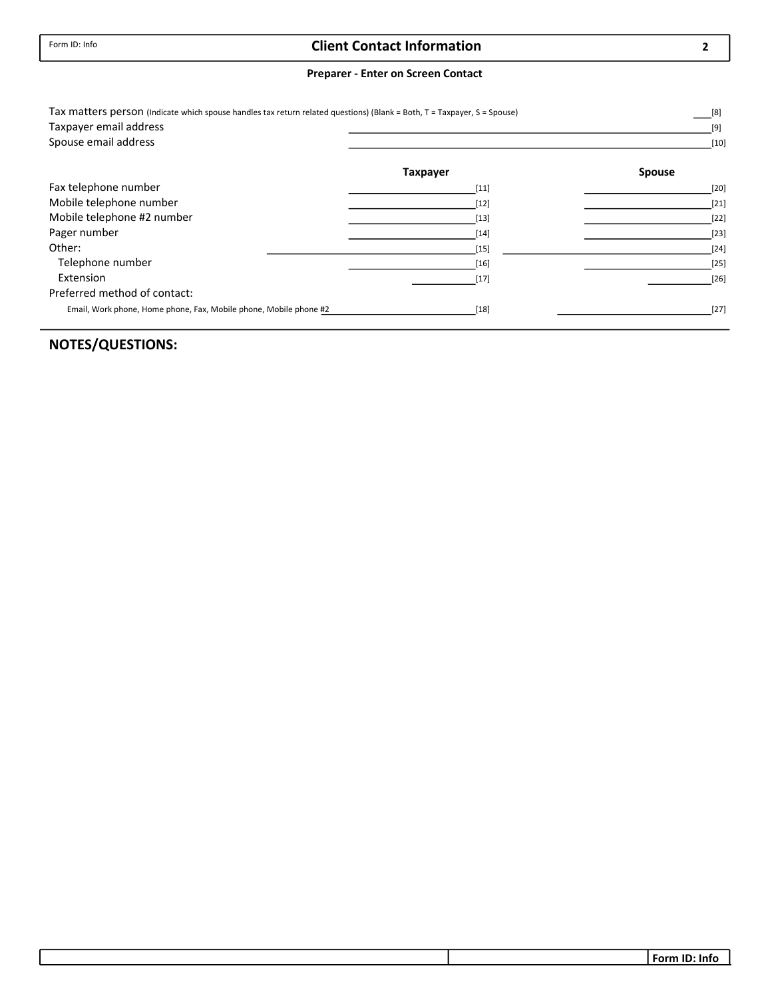## Client Contact Information

#### Preparer - Enter on Screen Contact

| Tax matters person (Indicate which spouse handles tax return related questions) (Blank = Both, T = Taxpayer, S = Spouse) |                 | [8]           |
|--------------------------------------------------------------------------------------------------------------------------|-----------------|---------------|
| Taxpayer email address                                                                                                   |                 | $[9]$         |
| Spouse email address                                                                                                     |                 | $[10]$        |
|                                                                                                                          | <b>Taxpayer</b> | <b>Spouse</b> |
| Fax telephone number                                                                                                     | $[11]$          | $[20]$        |
| Mobile telephone number                                                                                                  | $[12]$          | $[21]$        |
| Mobile telephone #2 number                                                                                               | $[13]$          | $[22]$        |
| Pager number                                                                                                             | $[14]$          | $[23]$        |
| Other:                                                                                                                   | $[15]$          | $[24]$        |
| Telephone number                                                                                                         | $[16]$          | $[25]$        |
| Extension                                                                                                                | $[17]$          | $[26]$        |
| Preferred method of contact:                                                                                             |                 |               |
| Email, Work phone, Home phone, Fax, Mobile phone, Mobile phone #2                                                        | $[18]$          | $[27]$        |

## NOTES/QUESTIONS:

2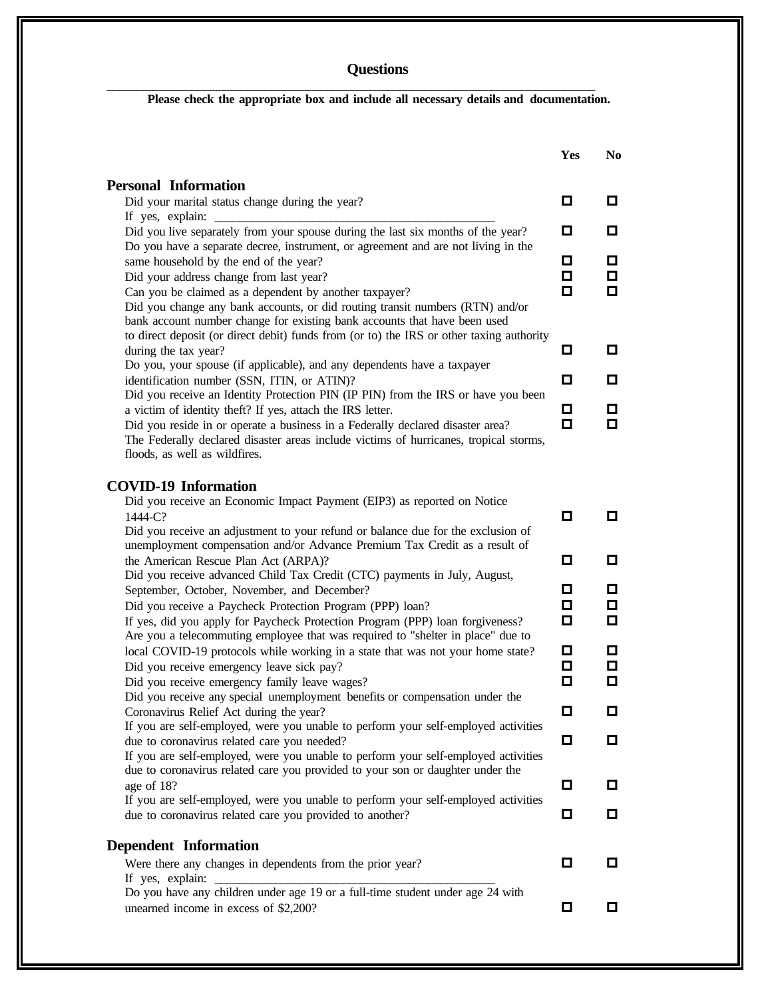## **Questions**

**Please check the appropriate box and include all necessary details and documentation.**

**\_\_\_\_\_\_\_\_\_\_\_\_\_\_\_\_\_\_\_\_\_\_\_\_\_\_\_\_\_\_\_\_\_\_\_\_\_\_\_\_\_\_\_\_\_\_\_\_\_\_\_\_\_\_\_\_\_\_\_\_\_\_\_\_\_\_\_\_\_\_\_\_\_\_\_\_\_\_\_\_**

|                                                                                                                                                                                                                      | Yes | N <sub>0</sub> |
|----------------------------------------------------------------------------------------------------------------------------------------------------------------------------------------------------------------------|-----|----------------|
| <b>Personal Information</b>                                                                                                                                                                                          |     |                |
| Did your marital status change during the year?<br>If yes, explain:                                                                                                                                                  | 0   | 0              |
| Did you live separately from your spouse during the last six months of the year?                                                                                                                                     | 0   | 0              |
| Do you have a separate decree, instrument, or agreement and are not living in the<br>same household by the end of the year?                                                                                          | 0   | $\Box$         |
| Did your address change from last year?                                                                                                                                                                              | 0   | $\Box$         |
| Can you be claimed as a dependent by another taxpayer?<br>Did you change any bank accounts, or did routing transit numbers (RTN) and/or<br>bank account number change for existing bank accounts that have been used | О   | 0              |
| to direct deposit (or direct debit) funds from (or to) the IRS or other taxing authority<br>during the tax year?                                                                                                     | o   | 0              |
| Do you, your spouse (if applicable), and any dependents have a taxpayer                                                                                                                                              |     |                |
| identification number (SSN, ITIN, or ATIN)?                                                                                                                                                                          | о   | 0              |
| Did you receive an Identity Protection PIN (IP PIN) from the IRS or have you been<br>a victim of identity theft? If yes, attach the IRS letter.                                                                      | o   | 0              |
| Did you reside in or operate a business in a Federally declared disaster area?<br>The Federally declared disaster areas include victims of hurricanes, tropical storms,<br>floods, as well as wildfires.             | О   | 0              |
| <b>COVID-19 Information</b>                                                                                                                                                                                          |     |                |
| Did you receive an Economic Impact Payment (EIP3) as reported on Notice                                                                                                                                              |     |                |
| 1444-C?<br>Did you receive an adjustment to your refund or balance due for the exclusion of                                                                                                                          | 0   | О.             |
| unemployment compensation and/or Advance Premium Tax Credit as a result of                                                                                                                                           |     |                |
| the American Rescue Plan Act (ARPA)?                                                                                                                                                                                 | О   | 0              |
| Did you receive advanced Child Tax Credit (CTC) payments in July, August,                                                                                                                                            | o   | 0              |
| September, October, November, and December?<br>Did you receive a Paycheck Protection Program (PPP) loan?                                                                                                             | о   | $\Box$         |
| If yes, did you apply for Paycheck Protection Program (PPP) loan forgiveness?                                                                                                                                        | о   | О.             |
| Are you a telecommuting employee that was required to "shelter in place" due to<br>local COVID-19 protocols while working in a state that was not your home state?                                                   | o   | o              |
| Did you receive emergency leave sick pay?                                                                                                                                                                            | О   | $\Box$         |
| Did you receive emergency family leave wages?                                                                                                                                                                        | О   | Ω              |
| Did you receive any special unemployment benefits or compensation under the<br>Coronavirus Relief Act during the year?                                                                                               | o   | □              |
| If you are self-employed, were you unable to perform your self-employed activities                                                                                                                                   |     |                |
| due to coronavirus related care you needed?<br>If you are self-employed, were you unable to perform your self-employed activities                                                                                    | О   | О              |
| due to coronavirus related care you provided to your son or daughter under the                                                                                                                                       |     |                |
| age of 18?                                                                                                                                                                                                           | o   | 0              |
| If you are self-employed, were you unable to perform your self-employed activities<br>due to coronavirus related care you provided to another?                                                                       | 0   | 0              |
|                                                                                                                                                                                                                      |     |                |
| <b>Dependent Information</b>                                                                                                                                                                                         |     |                |
| Were there any changes in dependents from the prior year?<br>If yes, explain:                                                                                                                                        | О   | 0              |
| Do you have any children under age 19 or a full-time student under age 24 with                                                                                                                                       |     |                |
| unearned income in excess of \$2,200?                                                                                                                                                                                | o   | 0              |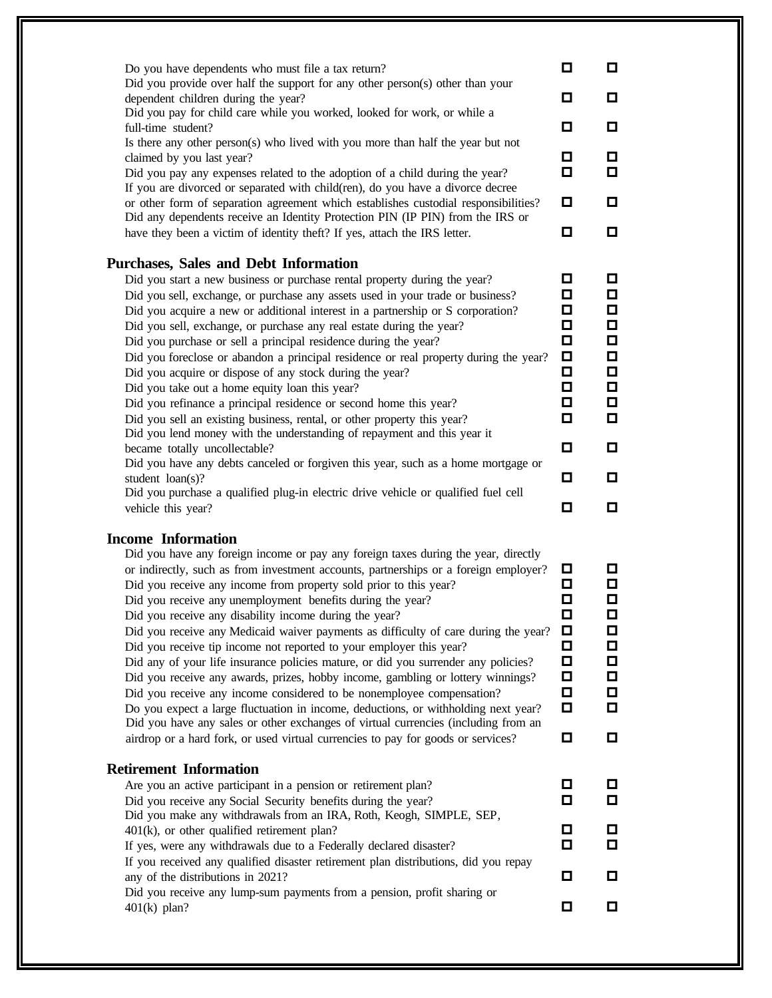| Do you have dependents who must file a tax return?<br>Did you provide over half the support for any other person(s) other than your<br>dependent children during the year?<br>Did you pay for child care while you worked, looked for work, or while a<br>full-time student?<br>Is there any other person(s) who lived with you more than half the year but not<br>claimed by you last year?<br>Did you pay any expenses related to the adoption of a child during the year?<br>If you are divorced or separated with child(ren), do you have a divorce decree<br>or other form of separation agreement which establishes custodial responsibilities?<br>Did any dependents receive an Identity Protection PIN (IP PIN) from the IRS or<br>have they been a victim of identity theft? If yes, attach the IRS letter.                                                                                                                                                                                                                                                                                                      | о<br>О<br>О<br>о<br>□<br>О<br>о                               | О<br>О<br>о<br>о<br>О<br>о<br>о                                         |
|---------------------------------------------------------------------------------------------------------------------------------------------------------------------------------------------------------------------------------------------------------------------------------------------------------------------------------------------------------------------------------------------------------------------------------------------------------------------------------------------------------------------------------------------------------------------------------------------------------------------------------------------------------------------------------------------------------------------------------------------------------------------------------------------------------------------------------------------------------------------------------------------------------------------------------------------------------------------------------------------------------------------------------------------------------------------------------------------------------------------------|---------------------------------------------------------------|-------------------------------------------------------------------------|
| Purchases, Sales and Debt Information<br>Did you start a new business or purchase rental property during the year?<br>Did you sell, exchange, or purchase any assets used in your trade or business?<br>Did you acquire a new or additional interest in a partnership or S corporation?<br>Did you sell, exchange, or purchase any real estate during the year?<br>Did you purchase or sell a principal residence during the year?<br>Did you foreclose or abandon a principal residence or real property during the year?<br>Did you acquire or dispose of any stock during the year?<br>Did you take out a home equity loan this year?<br>Did you refinance a principal residence or second home this year?<br>Did you sell an existing business, rental, or other property this year?<br>Did you lend money with the understanding of repayment and this year it<br>became totally uncollectable?<br>Did you have any debts canceled or forgiven this year, such as a home mortgage or<br>student loan(s)?<br>Did you purchase a qualified plug-in electric drive vehicle or qualified fuel cell<br>vehicle this year? | о<br>о<br>о<br>О<br>Ω<br>□<br>о<br>О<br>О<br>О<br>О<br>о<br>О | О<br>о<br>о<br>О<br>$\Box$<br>$\Box$<br>о<br>□<br>о<br>О<br>о<br>о<br>О |
| <b>Income Information</b><br>Did you have any foreign income or pay any foreign taxes during the year, directly<br>or indirectly, such as from investment accounts, partnerships or a foreign employer?<br>Did you receive any income from property sold prior to this year?<br>Did you receive any unemployment benefits during the year?<br>Did you receive any disability income during the year?<br>Did you receive any Medicaid waiver payments as difficulty of care during the year?<br>Did you receive tip income not reported to your employer this year?<br>Did any of your life insurance policies mature, or did you surrender any policies?<br>Did you receive any awards, prizes, hobby income, gambling or lottery winnings?<br>Did you receive any income considered to be nonemployee compensation?<br>Do you expect a large fluctuation in income, deductions, or withholding next year?<br>Did you have any sales or other exchanges of virtual currencies (including from an<br>airdrop or a hard fork, or used virtual currencies to pay for goods or services?                                      | Д<br>□<br>О<br>О<br>o<br>□<br>□<br>◘<br>□<br>О<br>◘           | о<br>О<br>О<br>□<br>O<br>о<br>□<br>◘<br>□<br>о<br>о                     |
| <b>Retirement Information</b><br>Are you an active participant in a pension or retirement plan?<br>Did you receive any Social Security benefits during the year?<br>Did you make any withdrawals from an IRA, Roth, Keogh, SIMPLE, SEP,<br>$401(k)$ , or other qualified retirement plan?<br>If yes, were any withdrawals due to a Federally declared disaster?<br>If you received any qualified disaster retirement plan distributions, did you repay<br>any of the distributions in 2021?<br>Did you receive any lump-sum payments from a pension, profit sharing or<br>$401(k)$ plan?                                                                                                                                                                                                                                                                                                                                                                                                                                                                                                                                  | ◘<br>О<br>◘<br>О<br>о<br>◘                                    | О<br>о<br>ш<br>О<br>О<br>О                                              |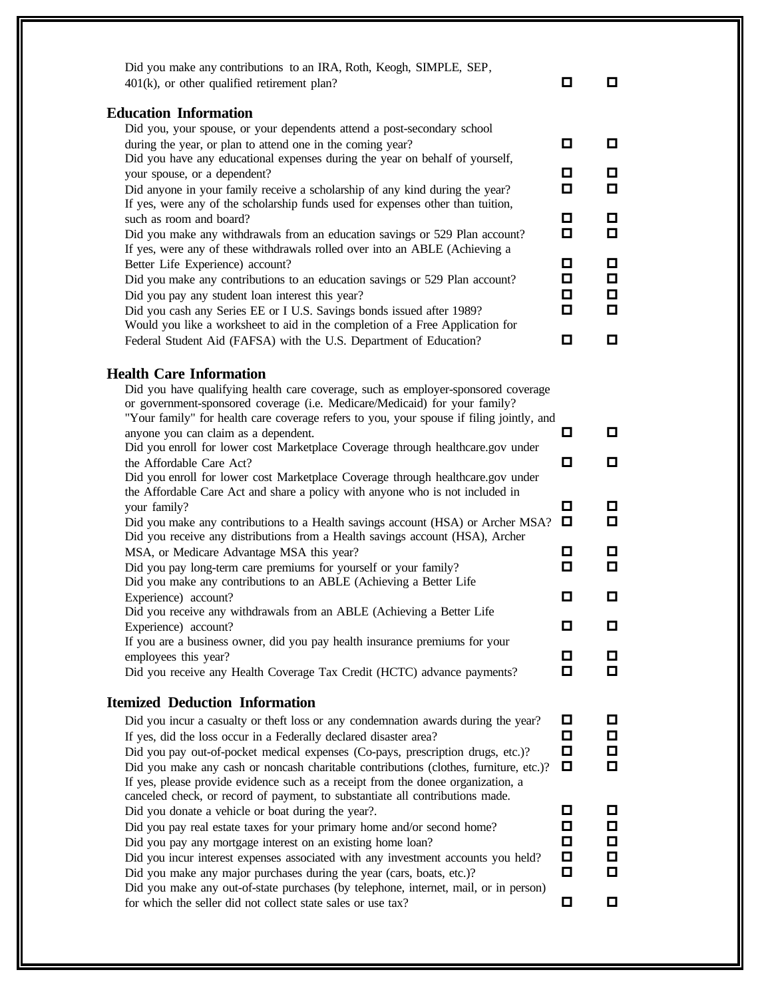| $401(k)$ , or other qualified retirement plan?                                                                                                                   | о      | 0      |
|------------------------------------------------------------------------------------------------------------------------------------------------------------------|--------|--------|
| <b>Education Information</b><br>Did you, your spouse, or your dependents attend a post-secondary school                                                          |        |        |
| during the year, or plan to attend one in the coming year?                                                                                                       | □      | О      |
| Did you have any educational expenses during the year on behalf of yourself,                                                                                     |        |        |
| your spouse, or a dependent?                                                                                                                                     | ◘      | O      |
| Did anyone in your family receive a scholarship of any kind during the year?                                                                                     | $\Box$ | о      |
| If yes, were any of the scholarship funds used for expenses other than tuition,                                                                                  |        |        |
| such as room and board?                                                                                                                                          | □      | $\Box$ |
| Did you make any withdrawals from an education savings or 529 Plan account?                                                                                      | $\Box$ | о      |
| If yes, were any of these withdrawals rolled over into an ABLE (Achieving a                                                                                      |        |        |
| Better Life Experience) account?                                                                                                                                 | ◘      | ◘      |
| Did you make any contributions to an education savings or 529 Plan account?                                                                                      | □      | ◘      |
| Did you pay any student loan interest this year?                                                                                                                 | О      | $\Box$ |
| Did you cash any Series EE or I U.S. Savings bonds issued after 1989?                                                                                            | $\Box$ | О      |
| Would you like a worksheet to aid in the completion of a Free Application for<br>Federal Student Aid (FAFSA) with the U.S. Department of Education?              | □      | О      |
|                                                                                                                                                                  |        |        |
| <b>Health Care Information</b>                                                                                                                                   |        |        |
| Did you have qualifying health care coverage, such as employer-sponsored coverage                                                                                |        |        |
| or government-sponsored coverage (i.e. Medicare/Medicaid) for your family?                                                                                       |        |        |
| "Your family" for health care coverage refers to you, your spouse if filing jointly, and                                                                         |        |        |
| anyone you can claim as a dependent.                                                                                                                             | о      | o      |
| Did you enroll for lower cost Marketplace Coverage through healthcare.gov under                                                                                  |        |        |
| the Affordable Care Act?                                                                                                                                         | ◘      | o      |
| Did you enroll for lower cost Marketplace Coverage through healthcare.gov under                                                                                  |        |        |
| the Affordable Care Act and share a policy with anyone who is not included in                                                                                    | о      | $\Box$ |
| your family?                                                                                                                                                     | O      | 0      |
| Did you make any contributions to a Health savings account (HSA) or Archer MSA?<br>Did you receive any distributions from a Health savings account (HSA), Archer |        |        |
| MSA, or Medicare Advantage MSA this year?                                                                                                                        | ◘      | O      |
| Did you pay long-term care premiums for yourself or your family?                                                                                                 | О      | о      |
| Did you make any contributions to an ABLE (Achieving a Better Life                                                                                               |        |        |
| Experience) account?                                                                                                                                             | ◘      | ◘      |
| Did you receive any withdrawals from an ABLE (Achieving a Better Life                                                                                            |        |        |
| Experience) account?                                                                                                                                             | 0      | ◘      |
| If you are a business owner, did you pay health insurance premiums for your                                                                                      |        |        |
| employees this year?                                                                                                                                             | 0      | o      |
| Did you receive any Health Coverage Tax Credit (HCTC) advance payments?                                                                                          | о      | 0      |
| <b>Itemized Deduction Information</b>                                                                                                                            |        |        |
| Did you incur a casualty or theft loss or any condemnation awards during the year?                                                                               | О      | O      |
| If yes, did the loss occur in a Federally declared disaster area?                                                                                                | О      | О      |
| Did you pay out-of-pocket medical expenses (Co-pays, prescription drugs, etc.)?                                                                                  | о      | □      |
| Did you make any cash or noncash charitable contributions (clothes, furniture, etc.)?                                                                            | O      | □      |
| If yes, please provide evidence such as a receipt from the donee organization, a                                                                                 |        |        |
| canceled check, or record of payment, to substantiate all contributions made.                                                                                    |        |        |
| Did you donate a vehicle or boat during the year?.                                                                                                               | О      | Д      |
| Did you pay real estate taxes for your primary home and/or second home?                                                                                          | ◘      | О      |
| Did you pay any mortgage interest on an existing home loan?                                                                                                      | □      | $\Box$ |
| Did you incur interest expenses associated with any investment accounts you held?                                                                                | □      | □      |
| Did you make any major purchases during the year (cars, boats, etc.)?                                                                                            | □      | О      |
| Did you make any out-of-state purchases (by telephone, internet, mail, or in person)<br>for which the seller did not collect state sales or use tax?             | О      | O      |
|                                                                                                                                                                  |        |        |
|                                                                                                                                                                  |        |        |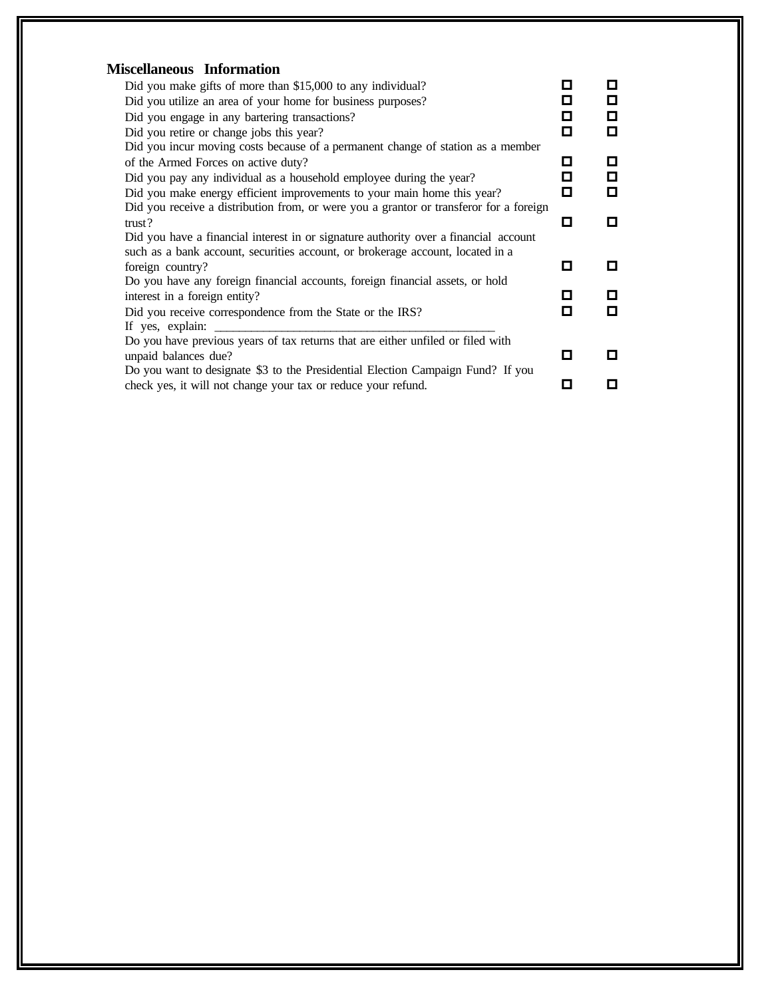| <b>Miscellaneous Information</b>                                                       |   |   |
|----------------------------------------------------------------------------------------|---|---|
| Did you make gifts of more than \$15,000 to any individual?                            | О |   |
| Did you utilize an area of your home for business purposes?                            | П | П |
| Did you engage in any bartering transactions?                                          | □ | П |
| Did you retire or change jobs this year?                                               | о | п |
| Did you incur moving costs because of a permanent change of station as a member        |   |   |
| of the Armed Forces on active duty?                                                    | О | П |
| Did you pay any individual as a household employee during the year?                    | О | П |
| Did you make energy efficient improvements to your main home this year?                | о | О |
| Did you receive a distribution from, or were you a grantor or transferor for a foreign |   |   |
| trust?                                                                                 | О | П |
| Did you have a financial interest in or signature authority over a financial account   |   |   |
| such as a bank account, securities account, or brokerage account, located in a         | п |   |
| foreign country?                                                                       |   |   |
| Do you have any foreign financial accounts, foreign financial assets, or hold          | П |   |
| interest in a foreign entity?                                                          | о | п |
| Did you receive correspondence from the State or the IRS?<br>If yes, explain:          |   |   |
| Do you have previous years of tax returns that are either unfiled or filed with        |   |   |
| unpaid balances due?                                                                   | п |   |
| Do you want to designate \$3 to the Presidential Election Campaign Fund? If you        |   |   |
| check yes, it will not change your tax or reduce your refund.                          | П |   |
|                                                                                        |   |   |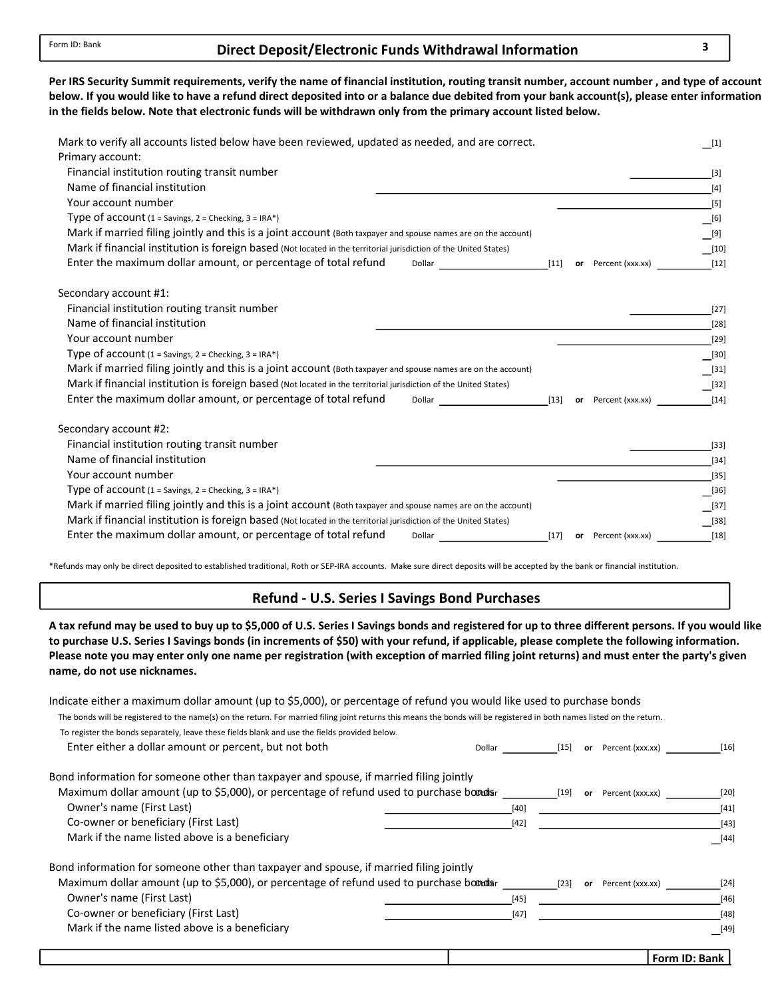## Direct Deposit/Electronic Funds Withdrawal Information 3

below. If you would like to have a refund direct deposited into or a balance due debited from your bank account(s), please enter information in the fields below. Note that electronic funds will be withdrawn only from the primary account listed below. Per IRS Security Summit requirements, verify the name of financial institution, routing transit number, account number , and type of account

| Mark to verify all accounts listed below have been reviewed, updated as needed, and are correct.<br>Primary account:<br>Financial institution routing transit number<br>Name of financial institution |        |                     | $[1]$<br>$[3]$<br>$[4]$ |
|-------------------------------------------------------------------------------------------------------------------------------------------------------------------------------------------------------|--------|---------------------|-------------------------|
| Your account number                                                                                                                                                                                   |        |                     | $[5]$                   |
| Type of $account (1 = Savings, 2 = Checking, 3 = IRA*)$                                                                                                                                               |        |                     | $\_$ [6]                |
| Mark if married filing jointly and this is a joint account (Both taxpayer and spouse names are on the account)                                                                                        |        |                     | $\boxed{[9]}$           |
| Mark if financial institution is foreign based (Not located in the territorial jurisdiction of the United States)                                                                                     |        |                     | $\boxed{10}$            |
| Enter the maximum dollar amount, or percentage of total refund<br>Dollar and the contract of the contract of the contract of the contract of the contract of the contract of the                      | $[11]$ | or Percent (xxx.xx) | $[12]$                  |
| Secondary account #1:                                                                                                                                                                                 |        |                     |                         |
| Financial institution routing transit number                                                                                                                                                          |        |                     | $[27]$                  |
| Name of financial institution                                                                                                                                                                         |        |                     | $[28]$                  |
| Your account number                                                                                                                                                                                   |        |                     | $[29]$                  |
| Type of account $(1 =$ Savings, $2 =$ Checking, $3 =$ IRA*)                                                                                                                                           |        |                     | $[30]$                  |
| Mark if married filing jointly and this is a joint account (Both taxpayer and spouse names are on the account)                                                                                        |        |                     | $-$ [31]                |
| Mark if financial institution is foreign based (Not located in the territorial jurisdiction of the United States)                                                                                     |        |                     | $\lfloor 32 \rfloor$    |
| Enter the maximum dollar amount, or percentage of total refund<br>Dollar                                                                                                                              | $[13]$ | or Percent (xxx.xx) | $[14]$                  |
| Secondary account #2:                                                                                                                                                                                 |        |                     |                         |
| Financial institution routing transit number                                                                                                                                                          |        |                     | $[33]$                  |
| Name of financial institution                                                                                                                                                                         |        |                     | $[34]$                  |
| Your account number                                                                                                                                                                                   |        |                     | $[35]$                  |
| Type of $account(1 = Savings, 2 = Checking, 3 = IRA*)$                                                                                                                                                |        |                     | $[36]$                  |
| Mark if married filing jointly and this is a joint account (Both taxpayer and spouse names are on the account)                                                                                        |        |                     | [37]                    |
| Mark if financial institution is foreign based (Not located in the territorial jurisdiction of the United States)                                                                                     |        |                     | $[38]$                  |
| Enter the maximum dollar amount, or percentage of total refund<br>Dollar                                                                                                                              | $[17]$ | or Percent (xxx.xx) | $[18]$                  |

\*Refunds may only be direct deposited to established traditional, Roth or SEP-IRA accounts. Make sure direct deposits will be accepted by the bank or financial institution.

#### Refund - U.S. Series I Savings Bond Purchases

A tax refund may be used to buy up to \$5,000 of U.S. Series I Savings bonds and registered for up to three different persons. If you would like to purchase U.S. Series I Savings bonds (in increments of \$50) with your refund, if applicable, please complete the following information. name, do not use nicknames. Please note you may enter only one name per registration (with exception of married filing joint returns) and must enter the party's given

| Indicate either a maximum dollar amount (up to \$5,000), or percentage of refund you would like used to purchase bonds                                                  |             |    |                     |               |
|-------------------------------------------------------------------------------------------------------------------------------------------------------------------------|-------------|----|---------------------|---------------|
| The bonds will be registered to the name(s) on the return. For married filing joint returns this means the bonds will be registered in both names listed on the return. |             |    |                     |               |
| To register the bonds separately, leave these fields blank and use the fields provided below.                                                                           |             |    |                     |               |
| Enter either a dollar amount or percent, but not both                                                                                                                   | Dollar [15] |    | or Percent (xxx.xx) | $[16]$        |
| Bond information for someone other than taxpayer and spouse, if married filing jointly                                                                                  |             |    |                     |               |
| Maximum dollar amount (up to \$5,000), or percentage of refund used to purchase bomals                                                                                  | [19]        | or | Percent (xxx.xx)    | [20]          |
| Owner's name (First Last)                                                                                                                                               | [40]        |    |                     | $[41]$        |
| Co-owner or beneficiary (First Last)                                                                                                                                    | $[42]$      |    |                     | $[43]$        |
| Mark if the name listed above is a beneficiary                                                                                                                          |             |    |                     | [44]          |
| Bond information for someone other than taxpayer and spouse, if married filing jointly                                                                                  |             |    |                     |               |
| Maximum dollar amount (up to \$5,000), or percentage of refund used to purchase bomousr                                                                                 | $[23]$      | or | Percent (xxx.xx)    | $[24]$        |
| Owner's name (First Last)                                                                                                                                               | [45]        |    |                     | $[46]$        |
| Co-owner or beneficiary (First Last)                                                                                                                                    | $[47]$      |    |                     | $[48]$        |
| Mark if the name listed above is a beneficiary                                                                                                                          |             |    |                     | $[49]$        |
|                                                                                                                                                                         |             |    |                     | Form ID: Bank |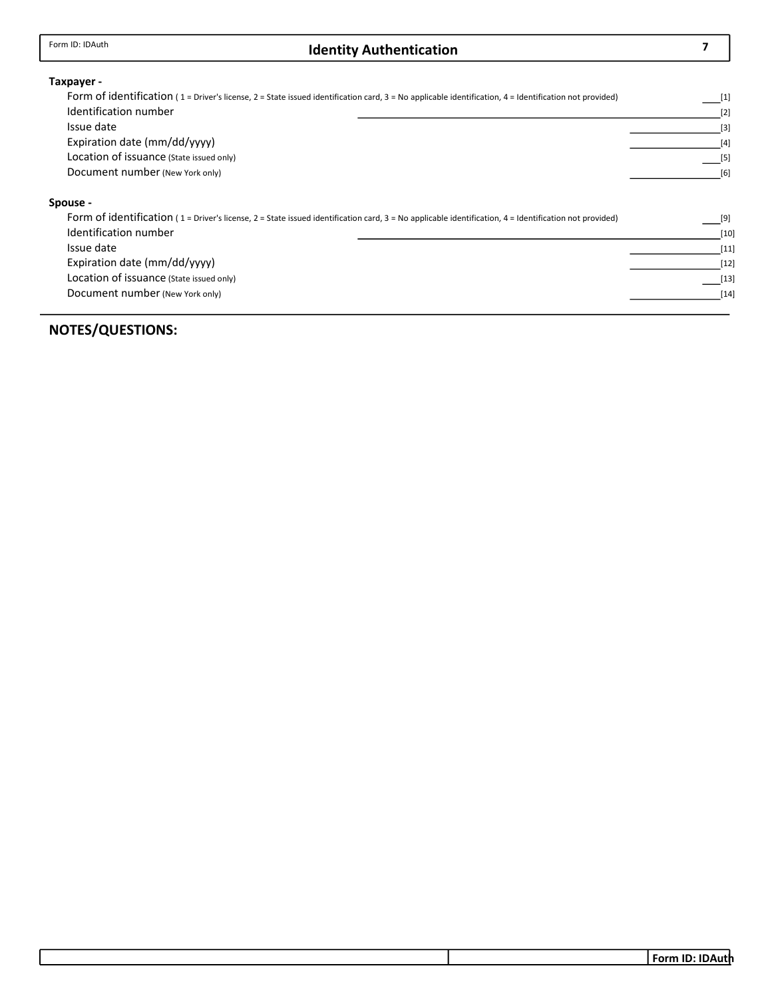## Identity Authentication

7

#### Taxpayer -

| Form of identification ( $1 =$ Driver's license, $2 =$ State issued identification card, $3 =$ No applicable identification, $4 =$ Identification not provided) | $[1]$ |  |  |  |  |
|-----------------------------------------------------------------------------------------------------------------------------------------------------------------|-------|--|--|--|--|
| Identification number                                                                                                                                           |       |  |  |  |  |
| Issue date                                                                                                                                                      |       |  |  |  |  |
| Expiration date (mm/dd/yyyy)                                                                                                                                    |       |  |  |  |  |
| Location of issuance (State issued only)                                                                                                                        | $[5]$ |  |  |  |  |
| Document number (New York only)                                                                                                                                 | [6]   |  |  |  |  |
| Spouse -                                                                                                                                                        |       |  |  |  |  |
| Form of identification ( $1$ = Driver's license, $2$ = State issued identification card, $3$ = No applicable identification, $4$ = Identification not provided) | [9]   |  |  |  |  |

| Identification number                    | [10]   |
|------------------------------------------|--------|
| Issue date                               | $[11]$ |
| Expiration date (mm/dd/yyyy)             | $[12]$ |
| Location of issuance (State issued only) | $[13]$ |
| Document number (New York only)          | $[14]$ |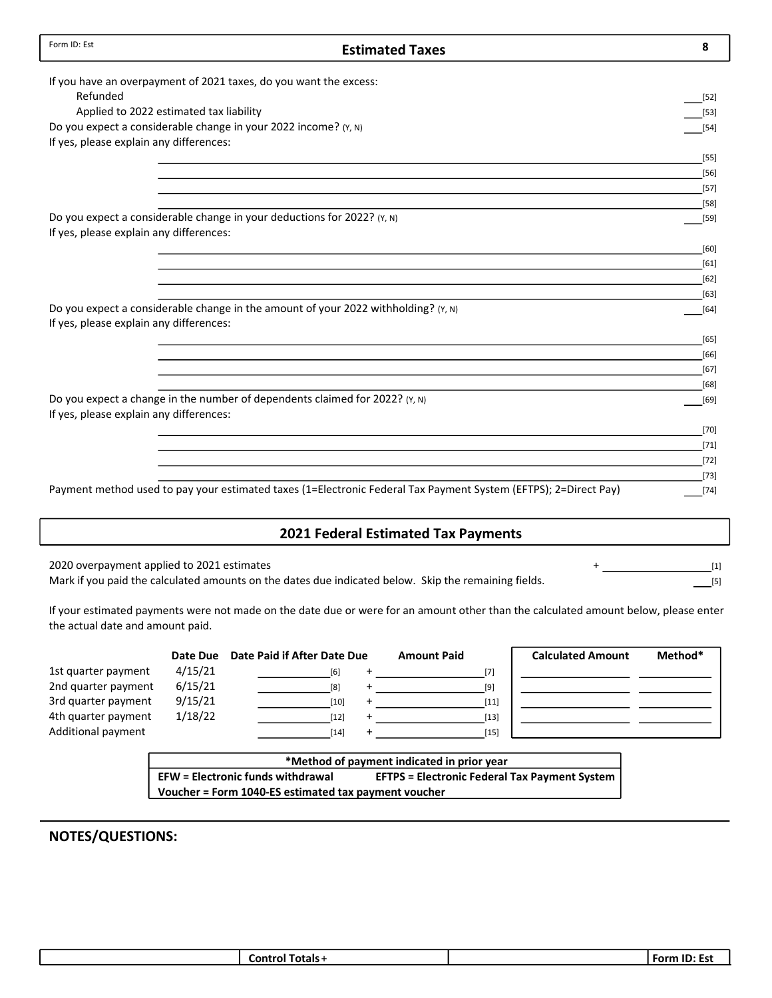| Form ID: Est<br><b>Estimated Taxes</b>                                                                          | 8                |
|-----------------------------------------------------------------------------------------------------------------|------------------|
| If you have an overpayment of 2021 taxes, do you want the excess:                                               |                  |
| Refunded                                                                                                        | $[52]$           |
| Applied to 2022 estimated tax liability                                                                         | $[53]$           |
| Do you expect a considerable change in your 2022 income? (Y, N)                                                 | $[54]$           |
| If yes, please explain any differences:                                                                         |                  |
|                                                                                                                 | $[55]$           |
|                                                                                                                 | $[56]$           |
|                                                                                                                 | $[57]$           |
|                                                                                                                 | $[58]$           |
| Do you expect a considerable change in your deductions for 2022? (Y, N)                                         | $[59]$           |
| If yes, please explain any differences:                                                                         |                  |
|                                                                                                                 | $[60]$           |
|                                                                                                                 | $[61]$           |
|                                                                                                                 | $[62]$           |
| Do you expect a considerable change in the amount of your 2022 withholding? $(Y, N)$                            | $[63]$<br>$[64]$ |
| If yes, please explain any differences:                                                                         |                  |
|                                                                                                                 | [65]             |
|                                                                                                                 | $[66]$           |
|                                                                                                                 | $[67]$           |
|                                                                                                                 | $[68]$           |
| Do you expect a change in the number of dependents claimed for 2022? (Y, N)                                     | $[69]$           |
| If yes, please explain any differences:                                                                         |                  |
|                                                                                                                 | $[70]$           |
|                                                                                                                 | $[71]$           |
|                                                                                                                 | $[72]$           |
|                                                                                                                 | $[73]$           |
| Payment method used to pay your estimated taxes (1=Electronic Federal Tax Payment System (EFTPS); 2=Direct Pay) | $[74]$           |
| <b>2021 Federal Estimated Tax Payments</b>                                                                      |                  |

2020 overpayment applied to 2021 estimates

Mark if you paid the calculated amounts on the dates due indicated below. Skip the remaining fields.

[1]  $[5]$ 

If your estimated payments were not made on the date due or were for an amount other than the calculated amount below, please enter the actual date and amount paid.

|                     | Date Due | Date Paid if After Date Due | <b>Amount Paid</b> | <b>Calculated Amount</b> | Method* |
|---------------------|----------|-----------------------------|--------------------|--------------------------|---------|
| 1st quarter payment | 4/15/21  | [6]                         | [7]                |                          |         |
| 2nd quarter payment | 6/15/21  | [8]                         | [9]                |                          |         |
| 3rd quarter payment | 9/15/21  | [10]                        | $[11]$             |                          |         |
| 4th quarter payment | 1/18/22  | [12]                        | $[13]$             |                          |         |
| Additional payment  |          | [14]                        | $[15]$             |                          |         |

| *Method of payment indicated in prior year           |                                                      |  |  |  |
|------------------------------------------------------|------------------------------------------------------|--|--|--|
| <b>EFW</b> = Electronic funds withdrawal             | <b>EFTPS = Electronic Federal Tax Payment System</b> |  |  |  |
| Voucher = Form 1040-ES estimated tax payment voucher |                                                      |  |  |  |
|                                                      |                                                      |  |  |  |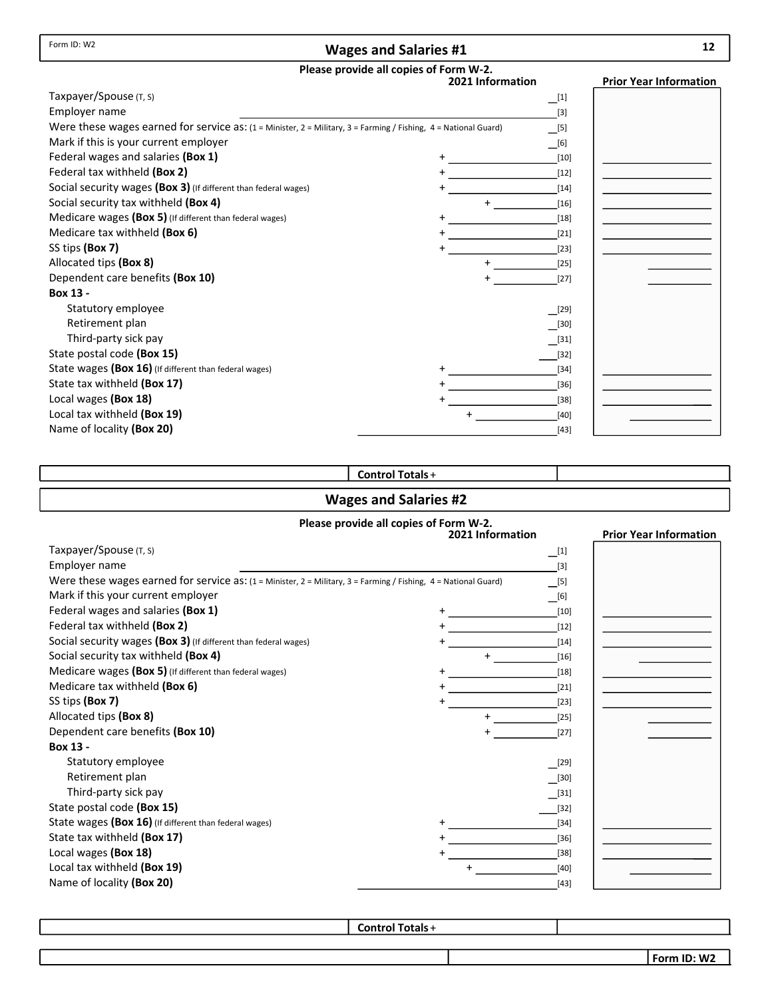#### Wages and Salaries #1

# Please provide all copies of Form W-2.

|                                                                                                                 | <br>2021 Information | <b>Prior Year Information</b> |
|-----------------------------------------------------------------------------------------------------------------|----------------------|-------------------------------|
| Taxpayer/Spouse (T, S)                                                                                          | $\Box^{[1]}$         |                               |
| Employer name                                                                                                   | $[3]$                |                               |
| Were these wages earned for service as: (1 = Minister, 2 = Military, 3 = Farming / Fishing, 4 = National Guard) | $\boxed{[5]}$        |                               |
| Mark if this is your current employer                                                                           | $\Box$ [6]           |                               |
| Federal wages and salaries (Box 1)                                                                              | $[10]$               |                               |
| Federal tax withheld (Box 2)                                                                                    | $[12]$               |                               |
| Social security wages (Box 3) (If different than federal wages)                                                 | $[14]$               |                               |
| Social security tax withheld (Box 4)                                                                            | $\ddot{}$<br>$[16]$  |                               |
| Medicare wages (Box 5) (If different than federal wages)                                                        | $[18]$               |                               |
| Medicare tax withheld (Box 6)                                                                                   | $[21]$               |                               |
| SS tips (Box 7)                                                                                                 | $[23]$               |                               |
| Allocated tips (Box 8)                                                                                          | $[25]$               |                               |
| Dependent care benefits (Box 10)                                                                                | $[27]$               |                               |
| Box 13 -                                                                                                        |                      |                               |
| Statutory employee                                                                                              | [29]                 |                               |
| Retirement plan                                                                                                 | $[30]$               |                               |
| Third-party sick pay                                                                                            | $[31]$               |                               |
| State postal code (Box 15)                                                                                      | $[32]$               |                               |
| State wages (Box 16) (If different than federal wages)                                                          | $[34]$               |                               |
| State tax withheld (Box 17)                                                                                     | $[36]$               |                               |
| Local wages (Box 18)                                                                                            | $[38]$               |                               |
| Local tax withheld (Box 19)                                                                                     | [40]                 |                               |
| Name of locality (Box 20)                                                                                       | $[43]$               |                               |

#### Control Totals +

#### Wages and Salaries #2

#### Please provide all copies of Form W-2. **Prior Year Information** Taxpayer/Spouse (T, S) Employer name Were these wages earned for service as: (1 = Minister, 2 = Military, 3 = Farming / Fishing, 4 = National Guard) Mark if this your current employer Federal wages and salaries (Box 1) Federal tax withheld (Box 2) Social security wages (Box 3) (If different than federal wages) Social security tax withheld (Box 4) + Medicare wages (Box 5) (If different than federal wages) Medicare tax withheld (Box 6) SS tips (Box 7) Allocated tips (Box 8) Dependent care benefits (Box 10) Box 13 - Statutory employee Retirement plan Third-party sick pay State postal code (Box 15) State wages (Box 16) (If different than federal wages) State tax withheld (Box 17) Local wages (Box 18) Local tax withheld (Box 19) Name of locality (Box 20)  $[29]$ [40] [38] [36] [23] [34] [32] [21] [27] [18] [25] [16] [43] [14]  $[31]$ [12] [30] [10]  $\Box$ [6]  $\Box$ [5]  $[3]$  $\Box^{[1]}$ +

Control Totals +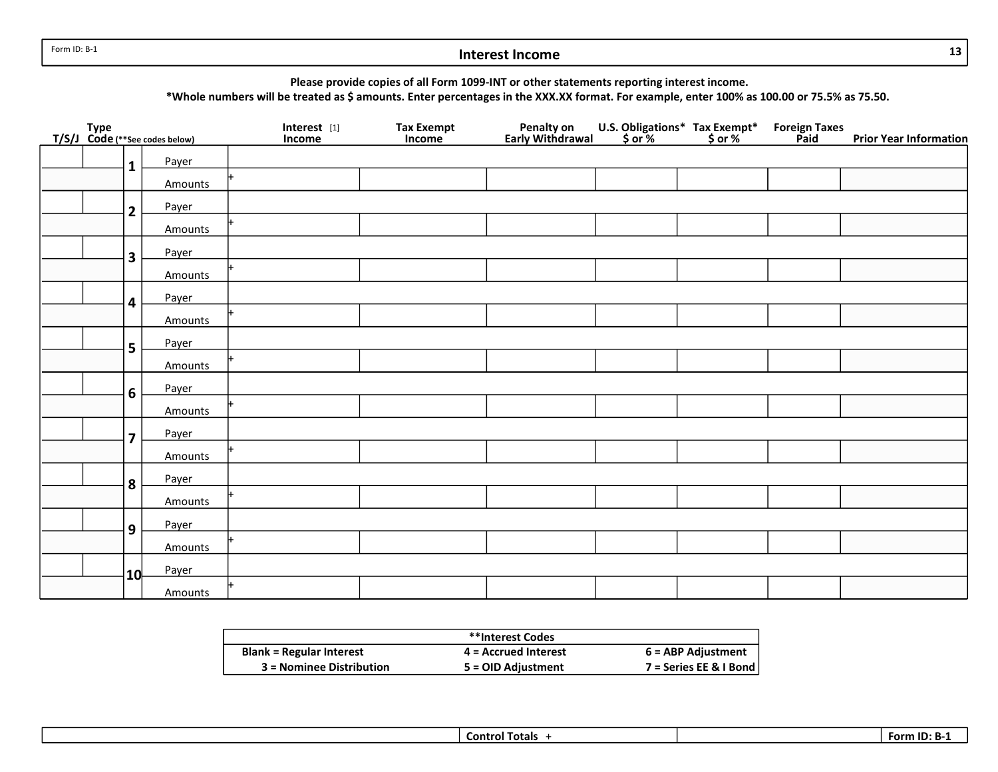Form ID: B-1

## Interest Income

Please provide copies of all Form 1099-INT or other statements reporting interest income.

\*Whole numbers will be treated as \$ amounts. Enter percentages in the XXX.XX format. For example, enter 100% as 100.00 or 75.5% as 75.50.

|  |                         | Type<br>T/S/J_Code (**See codes below) | Interest [1]<br>Income | Tax Exempt<br>Income | Penalty on<br>Early Withdrawal | U.S. Obligations* Tax Exempt*<br>\$ or % \$ or % | Foreign Taxes<br>Paid | <b>Prior Year Information</b> |
|--|-------------------------|----------------------------------------|------------------------|----------------------|--------------------------------|--------------------------------------------------|-----------------------|-------------------------------|
|  | $\mathbf{1}$            | Payer                                  |                        |                      |                                |                                                  |                       |                               |
|  |                         | Amounts                                |                        |                      |                                |                                                  |                       |                               |
|  | $\mathbf{2}$            | Payer                                  |                        |                      |                                |                                                  |                       |                               |
|  |                         | Amounts                                |                        |                      |                                |                                                  |                       |                               |
|  | $\overline{\mathbf{3}}$ | Payer                                  |                        |                      |                                |                                                  |                       |                               |
|  |                         | Amounts                                |                        |                      |                                |                                                  |                       |                               |
|  | $\overline{\mathbf{4}}$ | Payer                                  |                        |                      |                                |                                                  |                       |                               |
|  |                         | Amounts                                |                        |                      |                                |                                                  |                       |                               |
|  | 5                       | Payer                                  |                        |                      |                                |                                                  |                       |                               |
|  |                         | Amounts                                |                        |                      |                                |                                                  |                       |                               |
|  | 6                       | Payer                                  |                        |                      |                                |                                                  |                       |                               |
|  |                         | Amounts                                |                        |                      |                                |                                                  |                       |                               |
|  | $\overline{7}$          | Payer                                  |                        |                      |                                |                                                  |                       |                               |
|  |                         | Amounts                                |                        |                      |                                |                                                  |                       |                               |
|  | $\overline{\mathbf{8}}$ | Payer                                  |                        |                      |                                |                                                  |                       |                               |
|  |                         | Amounts                                |                        |                      |                                |                                                  |                       |                               |
|  | 9                       | Payer                                  |                        |                      |                                |                                                  |                       |                               |
|  |                         | Amounts                                |                        |                      |                                |                                                  |                       |                               |
|  | 10                      | Payer                                  |                        |                      |                                |                                                  |                       |                               |
|  |                         | Amounts                                |                        |                      |                                |                                                  |                       |                               |

|                                 | **Interest Codes     |                        |
|---------------------------------|----------------------|------------------------|
| <b>Blank = Regular Interest</b> | 4 = Accrued Interest | 6 = ABP Adjustment     |
| 3 = Nominee Distribution        | 5 = OID Adjustment   | $7 = Series EE &IBond$ |

13

|--|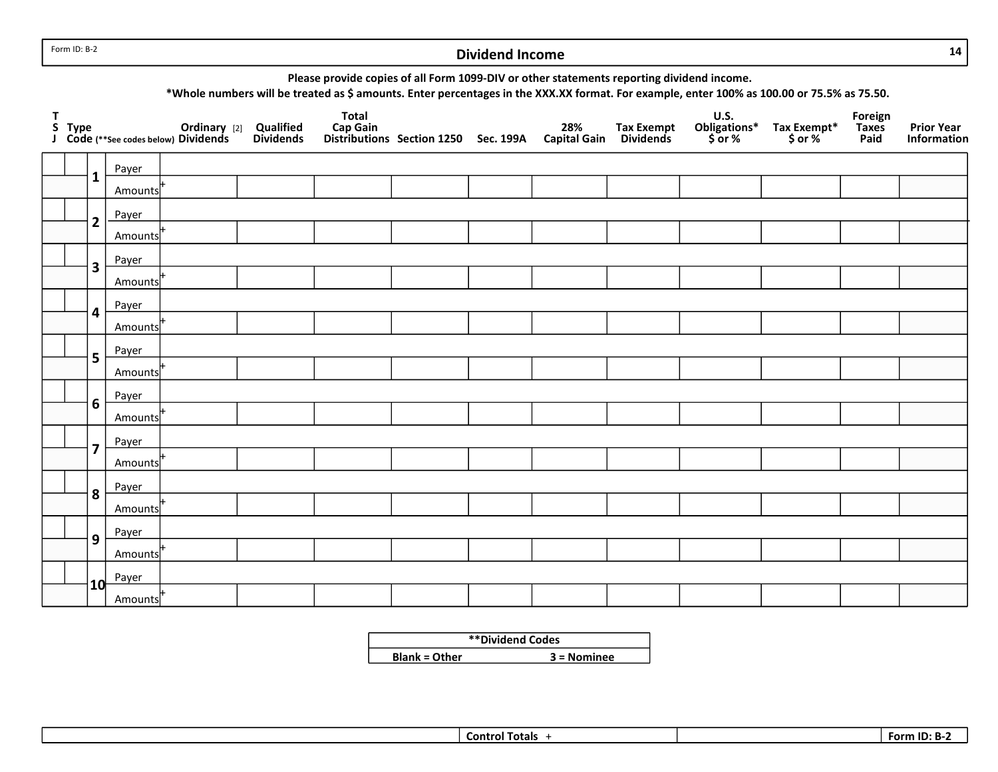Form ID: B-2

## Dividend Income

14

Please provide copies of all Form 1099-DIV or other statements reporting dividend income.

\*Whole numbers will be treated as \$ amounts. Enter percentages in the XXX.XX format. For example, enter 100% as 100.00 or 75.5% as 75.50.

| T |                         |         | S Type <b>Calibiary</b> [2] Qualified<br>J Code (**See codes below) Dividends Dividends | <b>Total</b> | Cap Gain<br>Distributions Section 1250 Sec. 199A Capital Gain Dividends |  | U.S.<br>Obligations*<br>\$ or % | Tax Exempt*<br>\$ or % | Foreign<br>Taxes<br>Paid | <b>Prior Year</b><br>Information |
|---|-------------------------|---------|-----------------------------------------------------------------------------------------|--------------|-------------------------------------------------------------------------|--|---------------------------------|------------------------|--------------------------|----------------------------------|
|   |                         | Payer   |                                                                                         |              |                                                                         |  |                                 |                        |                          |                                  |
|   | $\mathbf{1}$            | Amounts |                                                                                         |              |                                                                         |  |                                 |                        |                          |                                  |
|   | $\mathbf{2}$            | Payer   |                                                                                         |              |                                                                         |  |                                 |                        |                          |                                  |
|   |                         | Amounts |                                                                                         |              |                                                                         |  |                                 |                        |                          |                                  |
|   | 3                       | Payer   |                                                                                         |              |                                                                         |  |                                 |                        |                          |                                  |
|   |                         | Amounts |                                                                                         |              |                                                                         |  |                                 |                        |                          |                                  |
|   | 4                       | Payer   |                                                                                         |              |                                                                         |  |                                 |                        |                          |                                  |
|   |                         | Amounts |                                                                                         |              |                                                                         |  |                                 |                        |                          |                                  |
|   | 5                       | Payer   |                                                                                         |              |                                                                         |  |                                 |                        |                          |                                  |
|   |                         | Amounts |                                                                                         |              |                                                                         |  |                                 |                        |                          |                                  |
|   | 6                       | Payer   |                                                                                         |              |                                                                         |  |                                 |                        |                          |                                  |
|   |                         | Amounts |                                                                                         |              |                                                                         |  |                                 |                        |                          |                                  |
|   | $\overline{\mathbf{z}}$ | Payer   |                                                                                         |              |                                                                         |  |                                 |                        |                          |                                  |
|   |                         | Amounts |                                                                                         |              |                                                                         |  |                                 |                        |                          |                                  |
|   | 8                       | Payer   |                                                                                         |              |                                                                         |  |                                 |                        |                          |                                  |
|   |                         | Amounts |                                                                                         |              |                                                                         |  |                                 |                        |                          |                                  |
|   | 9                       | Payer   |                                                                                         |              |                                                                         |  |                                 |                        |                          |                                  |
|   |                         | Amounts |                                                                                         |              |                                                                         |  |                                 |                        |                          |                                  |
|   | 10 <sup>1</sup>         | Payer   |                                                                                         |              |                                                                         |  |                                 |                        |                          |                                  |
|   |                         | Amounts |                                                                                         |              |                                                                         |  |                                 |                        |                          |                                  |

|                      | **Dividend Codes |
|----------------------|------------------|
| <b>Blank = Other</b> | $3 =$ Nominee    |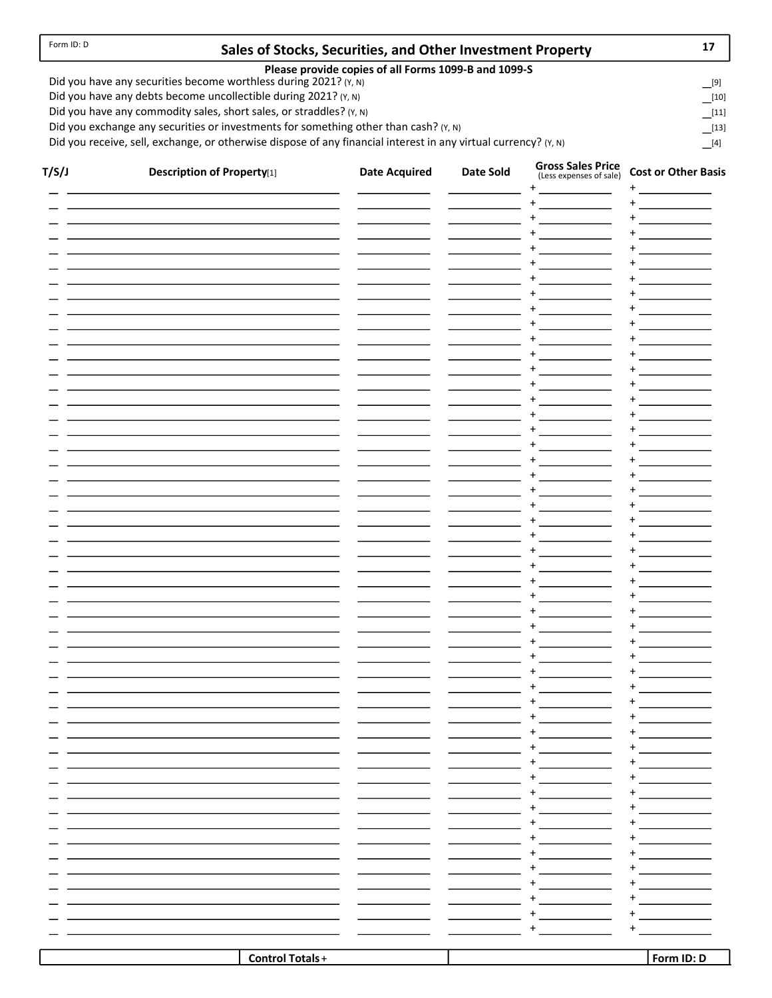## Sales of Stocks, Securities, and Other Investment Property

| н |  |
|---|--|
|   |  |

[9]  $\frac{[10]}{[}$ 

 $[13]$  $\Box$ [11]

Please provide copies of all Forms 1099-B and 1099-S

Did you have any securities become worthless during 2021? (Y, N)

Did you have any debts become uncollectible during 2021? (Y, N)

Did you have any commodity sales, short sales, or straddles? (Y, N)

Did you exchange any securities or investments for something other than cash? (Y, N)

Did you receive, sell, exchange, or otherwise dispose of any financial interest in any virtual currency? ( $Y$ , N)  $[4]$ 

| $\ddot{}$<br>$\ddot{}$<br>$\label{eq:2.1} \frac{1}{\sqrt{2}}\left(\frac{1}{\sqrt{2}}\right)^{2} \left(\frac{1}{\sqrt{2}}\right)^{2} \left(\frac{1}{\sqrt{2}}\right)^{2} \left(\frac{1}{\sqrt{2}}\right)^{2} \left(\frac{1}{\sqrt{2}}\right)^{2} \left(\frac{1}{\sqrt{2}}\right)^{2} \left(\frac{1}{\sqrt{2}}\right)^{2} \left(\frac{1}{\sqrt{2}}\right)^{2} \left(\frac{1}{\sqrt{2}}\right)^{2} \left(\frac{1}{\sqrt{2}}\right)^{2} \left(\frac{1}{\sqrt{2}}\right)^{2} \left(\$<br>$\ddot{}$<br>$\ddot{}$<br>$\ddot{}$<br>+<br>$\label{eq:2.1} \frac{1}{\sqrt{2}}\int_{\mathbb{R}^3}\frac{1}{\sqrt{2}}\left(\frac{1}{\sqrt{2}}\right)^2\left(\frac{1}{\sqrt{2}}\right)^2\left(\frac{1}{\sqrt{2}}\right)^2\left(\frac{1}{\sqrt{2}}\right)^2\left(\frac{1}{\sqrt{2}}\right)^2.$<br>$\ddot{}$<br>$\ddot{}$<br>$\label{eq:2} \mathcal{L} = \mathcal{L} \left( \mathcal{L} \right) \mathcal{L} \left( \mathcal{L} \right) \mathcal{L} \left( \mathcal{L} \right)$<br>$\ddot{}$<br>$\ddot{}$<br>$\ddot{}$<br>$\ddot{}$<br>$\ddot{}$<br>$\ddot{}$<br>$\ddot{}$<br>$\ddot{}$<br>$\ddot{}$<br>$\ddot{}$<br>$\ddot{}$<br>$\ddot{}$<br>$\label{eq:2} \mathcal{L} = \mathcal{L} \left( \mathcal{L} \right) \mathcal{L} \left( \mathcal{L} \right) \mathcal{L} \left( \mathcal{L} \right)$<br>$\ddot{}$<br>$\ddot{}$<br>$\ddot{}$<br>$\ddot{}$<br>$\ddot{}$<br>$\ddot{}$<br>$\ddot{}$<br>$\ddot{}$<br>$\ddot{}$<br>$\ddot{}$<br>$\ddot{}$<br>$\ddot{}$<br>$\mathcal{L}^{\text{max}}_{\text{max}}$ , where $\mathcal{L}^{\text{max}}_{\text{max}}$<br>$\ddot{}$<br>$\ddot{}$<br>$\ddot{}$<br>$\ddot{}$<br>$\ddot{}$<br>$\ddot{}$<br>$\ddot{}$<br>$\ddot{}$<br>$\mathcal{L}^{\text{max}}_{\text{max}}$ , where $\mathcal{L}^{\text{max}}_{\text{max}}$<br>$\ddot{}$<br>$\ddot{}$<br>$\ddot{}$<br>$\ddot{}$<br>$\label{eq:2} \mathcal{L} = \mathcal{L} \left( \mathcal{L} \right) \mathcal{L} \left( \mathcal{L} \right) \mathcal{L} \left( \mathcal{L} \right)$<br>$\ddot{}$<br>$\ddot{}$<br>$\ddot{}$<br>$\ddot{}$<br>$\ddot{}$<br>$\ddot{}$<br>$\ddot{}$<br>$\ddot{}$<br>$\ddot{}$<br>$\ddot{}$<br>$\ddot{}$<br>$\ddot{}$<br>$\ddot{}$<br>$\ddot{}$<br>$\ddot{}$<br>+<br>$\ddot{}$<br>+<br>$\ddot{}$<br>+<br>$\ddot{}$<br>$\ddot{}$<br>$+$<br>$\ddot{}$<br>$\overline{\phantom{a}}$<br>$+$<br>+<br><b>Control Totals+</b><br>Form ID: D | T/S/J | <b>Description of Property[1]</b> | <b>Date Acquired</b> | Date Sold | <b>Gross Sales Price</b><br>(Less expenses of sale) | <b>Cost or Other Basis</b> |
|-----------------------------------------------------------------------------------------------------------------------------------------------------------------------------------------------------------------------------------------------------------------------------------------------------------------------------------------------------------------------------------------------------------------------------------------------------------------------------------------------------------------------------------------------------------------------------------------------------------------------------------------------------------------------------------------------------------------------------------------------------------------------------------------------------------------------------------------------------------------------------------------------------------------------------------------------------------------------------------------------------------------------------------------------------------------------------------------------------------------------------------------------------------------------------------------------------------------------------------------------------------------------------------------------------------------------------------------------------------------------------------------------------------------------------------------------------------------------------------------------------------------------------------------------------------------------------------------------------------------------------------------------------------------------------------------------------------------------------------------------------------------------------------------------------------------------------------------------------------------------------------------------------------------------------------------------------------------------------------------------------------------------------------------------------------------------------------------------------------------------------------------------------------------------------------------------------------------------------------------------------------------------------------------------------------------------------|-------|-----------------------------------|----------------------|-----------|-----------------------------------------------------|----------------------------|
|                                                                                                                                                                                                                                                                                                                                                                                                                                                                                                                                                                                                                                                                                                                                                                                                                                                                                                                                                                                                                                                                                                                                                                                                                                                                                                                                                                                                                                                                                                                                                                                                                                                                                                                                                                                                                                                                                                                                                                                                                                                                                                                                                                                                                                                                                                                             |       |                                   |                      |           | $+$                                                 | +                          |
|                                                                                                                                                                                                                                                                                                                                                                                                                                                                                                                                                                                                                                                                                                                                                                                                                                                                                                                                                                                                                                                                                                                                                                                                                                                                                                                                                                                                                                                                                                                                                                                                                                                                                                                                                                                                                                                                                                                                                                                                                                                                                                                                                                                                                                                                                                                             |       |                                   |                      |           |                                                     |                            |
|                                                                                                                                                                                                                                                                                                                                                                                                                                                                                                                                                                                                                                                                                                                                                                                                                                                                                                                                                                                                                                                                                                                                                                                                                                                                                                                                                                                                                                                                                                                                                                                                                                                                                                                                                                                                                                                                                                                                                                                                                                                                                                                                                                                                                                                                                                                             |       |                                   |                      |           |                                                     |                            |
|                                                                                                                                                                                                                                                                                                                                                                                                                                                                                                                                                                                                                                                                                                                                                                                                                                                                                                                                                                                                                                                                                                                                                                                                                                                                                                                                                                                                                                                                                                                                                                                                                                                                                                                                                                                                                                                                                                                                                                                                                                                                                                                                                                                                                                                                                                                             |       |                                   |                      |           |                                                     |                            |
|                                                                                                                                                                                                                                                                                                                                                                                                                                                                                                                                                                                                                                                                                                                                                                                                                                                                                                                                                                                                                                                                                                                                                                                                                                                                                                                                                                                                                                                                                                                                                                                                                                                                                                                                                                                                                                                                                                                                                                                                                                                                                                                                                                                                                                                                                                                             |       |                                   |                      |           |                                                     |                            |
|                                                                                                                                                                                                                                                                                                                                                                                                                                                                                                                                                                                                                                                                                                                                                                                                                                                                                                                                                                                                                                                                                                                                                                                                                                                                                                                                                                                                                                                                                                                                                                                                                                                                                                                                                                                                                                                                                                                                                                                                                                                                                                                                                                                                                                                                                                                             |       |                                   |                      |           |                                                     |                            |
|                                                                                                                                                                                                                                                                                                                                                                                                                                                                                                                                                                                                                                                                                                                                                                                                                                                                                                                                                                                                                                                                                                                                                                                                                                                                                                                                                                                                                                                                                                                                                                                                                                                                                                                                                                                                                                                                                                                                                                                                                                                                                                                                                                                                                                                                                                                             |       |                                   |                      |           |                                                     |                            |
|                                                                                                                                                                                                                                                                                                                                                                                                                                                                                                                                                                                                                                                                                                                                                                                                                                                                                                                                                                                                                                                                                                                                                                                                                                                                                                                                                                                                                                                                                                                                                                                                                                                                                                                                                                                                                                                                                                                                                                                                                                                                                                                                                                                                                                                                                                                             |       |                                   |                      |           |                                                     |                            |
|                                                                                                                                                                                                                                                                                                                                                                                                                                                                                                                                                                                                                                                                                                                                                                                                                                                                                                                                                                                                                                                                                                                                                                                                                                                                                                                                                                                                                                                                                                                                                                                                                                                                                                                                                                                                                                                                                                                                                                                                                                                                                                                                                                                                                                                                                                                             |       |                                   |                      |           |                                                     |                            |
|                                                                                                                                                                                                                                                                                                                                                                                                                                                                                                                                                                                                                                                                                                                                                                                                                                                                                                                                                                                                                                                                                                                                                                                                                                                                                                                                                                                                                                                                                                                                                                                                                                                                                                                                                                                                                                                                                                                                                                                                                                                                                                                                                                                                                                                                                                                             |       |                                   |                      |           |                                                     |                            |
|                                                                                                                                                                                                                                                                                                                                                                                                                                                                                                                                                                                                                                                                                                                                                                                                                                                                                                                                                                                                                                                                                                                                                                                                                                                                                                                                                                                                                                                                                                                                                                                                                                                                                                                                                                                                                                                                                                                                                                                                                                                                                                                                                                                                                                                                                                                             |       |                                   |                      |           |                                                     |                            |
|                                                                                                                                                                                                                                                                                                                                                                                                                                                                                                                                                                                                                                                                                                                                                                                                                                                                                                                                                                                                                                                                                                                                                                                                                                                                                                                                                                                                                                                                                                                                                                                                                                                                                                                                                                                                                                                                                                                                                                                                                                                                                                                                                                                                                                                                                                                             |       |                                   |                      |           |                                                     |                            |
|                                                                                                                                                                                                                                                                                                                                                                                                                                                                                                                                                                                                                                                                                                                                                                                                                                                                                                                                                                                                                                                                                                                                                                                                                                                                                                                                                                                                                                                                                                                                                                                                                                                                                                                                                                                                                                                                                                                                                                                                                                                                                                                                                                                                                                                                                                                             |       |                                   |                      |           |                                                     |                            |
|                                                                                                                                                                                                                                                                                                                                                                                                                                                                                                                                                                                                                                                                                                                                                                                                                                                                                                                                                                                                                                                                                                                                                                                                                                                                                                                                                                                                                                                                                                                                                                                                                                                                                                                                                                                                                                                                                                                                                                                                                                                                                                                                                                                                                                                                                                                             |       |                                   |                      |           |                                                     |                            |
|                                                                                                                                                                                                                                                                                                                                                                                                                                                                                                                                                                                                                                                                                                                                                                                                                                                                                                                                                                                                                                                                                                                                                                                                                                                                                                                                                                                                                                                                                                                                                                                                                                                                                                                                                                                                                                                                                                                                                                                                                                                                                                                                                                                                                                                                                                                             |       |                                   |                      |           |                                                     |                            |
|                                                                                                                                                                                                                                                                                                                                                                                                                                                                                                                                                                                                                                                                                                                                                                                                                                                                                                                                                                                                                                                                                                                                                                                                                                                                                                                                                                                                                                                                                                                                                                                                                                                                                                                                                                                                                                                                                                                                                                                                                                                                                                                                                                                                                                                                                                                             |       |                                   |                      |           |                                                     |                            |
|                                                                                                                                                                                                                                                                                                                                                                                                                                                                                                                                                                                                                                                                                                                                                                                                                                                                                                                                                                                                                                                                                                                                                                                                                                                                                                                                                                                                                                                                                                                                                                                                                                                                                                                                                                                                                                                                                                                                                                                                                                                                                                                                                                                                                                                                                                                             |       |                                   |                      |           |                                                     |                            |
|                                                                                                                                                                                                                                                                                                                                                                                                                                                                                                                                                                                                                                                                                                                                                                                                                                                                                                                                                                                                                                                                                                                                                                                                                                                                                                                                                                                                                                                                                                                                                                                                                                                                                                                                                                                                                                                                                                                                                                                                                                                                                                                                                                                                                                                                                                                             |       |                                   |                      |           |                                                     |                            |
|                                                                                                                                                                                                                                                                                                                                                                                                                                                                                                                                                                                                                                                                                                                                                                                                                                                                                                                                                                                                                                                                                                                                                                                                                                                                                                                                                                                                                                                                                                                                                                                                                                                                                                                                                                                                                                                                                                                                                                                                                                                                                                                                                                                                                                                                                                                             |       |                                   |                      |           |                                                     |                            |
|                                                                                                                                                                                                                                                                                                                                                                                                                                                                                                                                                                                                                                                                                                                                                                                                                                                                                                                                                                                                                                                                                                                                                                                                                                                                                                                                                                                                                                                                                                                                                                                                                                                                                                                                                                                                                                                                                                                                                                                                                                                                                                                                                                                                                                                                                                                             |       |                                   |                      |           |                                                     |                            |
|                                                                                                                                                                                                                                                                                                                                                                                                                                                                                                                                                                                                                                                                                                                                                                                                                                                                                                                                                                                                                                                                                                                                                                                                                                                                                                                                                                                                                                                                                                                                                                                                                                                                                                                                                                                                                                                                                                                                                                                                                                                                                                                                                                                                                                                                                                                             |       |                                   |                      |           |                                                     |                            |
|                                                                                                                                                                                                                                                                                                                                                                                                                                                                                                                                                                                                                                                                                                                                                                                                                                                                                                                                                                                                                                                                                                                                                                                                                                                                                                                                                                                                                                                                                                                                                                                                                                                                                                                                                                                                                                                                                                                                                                                                                                                                                                                                                                                                                                                                                                                             |       |                                   |                      |           |                                                     |                            |
|                                                                                                                                                                                                                                                                                                                                                                                                                                                                                                                                                                                                                                                                                                                                                                                                                                                                                                                                                                                                                                                                                                                                                                                                                                                                                                                                                                                                                                                                                                                                                                                                                                                                                                                                                                                                                                                                                                                                                                                                                                                                                                                                                                                                                                                                                                                             |       |                                   |                      |           |                                                     |                            |
|                                                                                                                                                                                                                                                                                                                                                                                                                                                                                                                                                                                                                                                                                                                                                                                                                                                                                                                                                                                                                                                                                                                                                                                                                                                                                                                                                                                                                                                                                                                                                                                                                                                                                                                                                                                                                                                                                                                                                                                                                                                                                                                                                                                                                                                                                                                             |       |                                   |                      |           |                                                     |                            |
|                                                                                                                                                                                                                                                                                                                                                                                                                                                                                                                                                                                                                                                                                                                                                                                                                                                                                                                                                                                                                                                                                                                                                                                                                                                                                                                                                                                                                                                                                                                                                                                                                                                                                                                                                                                                                                                                                                                                                                                                                                                                                                                                                                                                                                                                                                                             |       |                                   |                      |           |                                                     |                            |
|                                                                                                                                                                                                                                                                                                                                                                                                                                                                                                                                                                                                                                                                                                                                                                                                                                                                                                                                                                                                                                                                                                                                                                                                                                                                                                                                                                                                                                                                                                                                                                                                                                                                                                                                                                                                                                                                                                                                                                                                                                                                                                                                                                                                                                                                                                                             |       |                                   |                      |           |                                                     |                            |
|                                                                                                                                                                                                                                                                                                                                                                                                                                                                                                                                                                                                                                                                                                                                                                                                                                                                                                                                                                                                                                                                                                                                                                                                                                                                                                                                                                                                                                                                                                                                                                                                                                                                                                                                                                                                                                                                                                                                                                                                                                                                                                                                                                                                                                                                                                                             |       |                                   |                      |           |                                                     |                            |
|                                                                                                                                                                                                                                                                                                                                                                                                                                                                                                                                                                                                                                                                                                                                                                                                                                                                                                                                                                                                                                                                                                                                                                                                                                                                                                                                                                                                                                                                                                                                                                                                                                                                                                                                                                                                                                                                                                                                                                                                                                                                                                                                                                                                                                                                                                                             |       |                                   |                      |           |                                                     |                            |
|                                                                                                                                                                                                                                                                                                                                                                                                                                                                                                                                                                                                                                                                                                                                                                                                                                                                                                                                                                                                                                                                                                                                                                                                                                                                                                                                                                                                                                                                                                                                                                                                                                                                                                                                                                                                                                                                                                                                                                                                                                                                                                                                                                                                                                                                                                                             |       |                                   |                      |           |                                                     |                            |
|                                                                                                                                                                                                                                                                                                                                                                                                                                                                                                                                                                                                                                                                                                                                                                                                                                                                                                                                                                                                                                                                                                                                                                                                                                                                                                                                                                                                                                                                                                                                                                                                                                                                                                                                                                                                                                                                                                                                                                                                                                                                                                                                                                                                                                                                                                                             |       |                                   |                      |           |                                                     |                            |
|                                                                                                                                                                                                                                                                                                                                                                                                                                                                                                                                                                                                                                                                                                                                                                                                                                                                                                                                                                                                                                                                                                                                                                                                                                                                                                                                                                                                                                                                                                                                                                                                                                                                                                                                                                                                                                                                                                                                                                                                                                                                                                                                                                                                                                                                                                                             |       |                                   |                      |           |                                                     |                            |
|                                                                                                                                                                                                                                                                                                                                                                                                                                                                                                                                                                                                                                                                                                                                                                                                                                                                                                                                                                                                                                                                                                                                                                                                                                                                                                                                                                                                                                                                                                                                                                                                                                                                                                                                                                                                                                                                                                                                                                                                                                                                                                                                                                                                                                                                                                                             |       |                                   |                      |           |                                                     |                            |
|                                                                                                                                                                                                                                                                                                                                                                                                                                                                                                                                                                                                                                                                                                                                                                                                                                                                                                                                                                                                                                                                                                                                                                                                                                                                                                                                                                                                                                                                                                                                                                                                                                                                                                                                                                                                                                                                                                                                                                                                                                                                                                                                                                                                                                                                                                                             |       |                                   |                      |           |                                                     |                            |
|                                                                                                                                                                                                                                                                                                                                                                                                                                                                                                                                                                                                                                                                                                                                                                                                                                                                                                                                                                                                                                                                                                                                                                                                                                                                                                                                                                                                                                                                                                                                                                                                                                                                                                                                                                                                                                                                                                                                                                                                                                                                                                                                                                                                                                                                                                                             |       |                                   |                      |           |                                                     |                            |
|                                                                                                                                                                                                                                                                                                                                                                                                                                                                                                                                                                                                                                                                                                                                                                                                                                                                                                                                                                                                                                                                                                                                                                                                                                                                                                                                                                                                                                                                                                                                                                                                                                                                                                                                                                                                                                                                                                                                                                                                                                                                                                                                                                                                                                                                                                                             |       |                                   |                      |           |                                                     |                            |
|                                                                                                                                                                                                                                                                                                                                                                                                                                                                                                                                                                                                                                                                                                                                                                                                                                                                                                                                                                                                                                                                                                                                                                                                                                                                                                                                                                                                                                                                                                                                                                                                                                                                                                                                                                                                                                                                                                                                                                                                                                                                                                                                                                                                                                                                                                                             |       |                                   |                      |           |                                                     |                            |
|                                                                                                                                                                                                                                                                                                                                                                                                                                                                                                                                                                                                                                                                                                                                                                                                                                                                                                                                                                                                                                                                                                                                                                                                                                                                                                                                                                                                                                                                                                                                                                                                                                                                                                                                                                                                                                                                                                                                                                                                                                                                                                                                                                                                                                                                                                                             |       |                                   |                      |           |                                                     |                            |
|                                                                                                                                                                                                                                                                                                                                                                                                                                                                                                                                                                                                                                                                                                                                                                                                                                                                                                                                                                                                                                                                                                                                                                                                                                                                                                                                                                                                                                                                                                                                                                                                                                                                                                                                                                                                                                                                                                                                                                                                                                                                                                                                                                                                                                                                                                                             |       |                                   |                      |           |                                                     |                            |
|                                                                                                                                                                                                                                                                                                                                                                                                                                                                                                                                                                                                                                                                                                                                                                                                                                                                                                                                                                                                                                                                                                                                                                                                                                                                                                                                                                                                                                                                                                                                                                                                                                                                                                                                                                                                                                                                                                                                                                                                                                                                                                                                                                                                                                                                                                                             |       |                                   |                      |           |                                                     |                            |
|                                                                                                                                                                                                                                                                                                                                                                                                                                                                                                                                                                                                                                                                                                                                                                                                                                                                                                                                                                                                                                                                                                                                                                                                                                                                                                                                                                                                                                                                                                                                                                                                                                                                                                                                                                                                                                                                                                                                                                                                                                                                                                                                                                                                                                                                                                                             |       |                                   |                      |           |                                                     |                            |
|                                                                                                                                                                                                                                                                                                                                                                                                                                                                                                                                                                                                                                                                                                                                                                                                                                                                                                                                                                                                                                                                                                                                                                                                                                                                                                                                                                                                                                                                                                                                                                                                                                                                                                                                                                                                                                                                                                                                                                                                                                                                                                                                                                                                                                                                                                                             |       |                                   |                      |           |                                                     |                            |
|                                                                                                                                                                                                                                                                                                                                                                                                                                                                                                                                                                                                                                                                                                                                                                                                                                                                                                                                                                                                                                                                                                                                                                                                                                                                                                                                                                                                                                                                                                                                                                                                                                                                                                                                                                                                                                                                                                                                                                                                                                                                                                                                                                                                                                                                                                                             |       |                                   |                      |           |                                                     |                            |
|                                                                                                                                                                                                                                                                                                                                                                                                                                                                                                                                                                                                                                                                                                                                                                                                                                                                                                                                                                                                                                                                                                                                                                                                                                                                                                                                                                                                                                                                                                                                                                                                                                                                                                                                                                                                                                                                                                                                                                                                                                                                                                                                                                                                                                                                                                                             |       |                                   |                      |           |                                                     |                            |
|                                                                                                                                                                                                                                                                                                                                                                                                                                                                                                                                                                                                                                                                                                                                                                                                                                                                                                                                                                                                                                                                                                                                                                                                                                                                                                                                                                                                                                                                                                                                                                                                                                                                                                                                                                                                                                                                                                                                                                                                                                                                                                                                                                                                                                                                                                                             |       |                                   |                      |           |                                                     |                            |
|                                                                                                                                                                                                                                                                                                                                                                                                                                                                                                                                                                                                                                                                                                                                                                                                                                                                                                                                                                                                                                                                                                                                                                                                                                                                                                                                                                                                                                                                                                                                                                                                                                                                                                                                                                                                                                                                                                                                                                                                                                                                                                                                                                                                                                                                                                                             |       |                                   |                      |           |                                                     |                            |
|                                                                                                                                                                                                                                                                                                                                                                                                                                                                                                                                                                                                                                                                                                                                                                                                                                                                                                                                                                                                                                                                                                                                                                                                                                                                                                                                                                                                                                                                                                                                                                                                                                                                                                                                                                                                                                                                                                                                                                                                                                                                                                                                                                                                                                                                                                                             |       |                                   |                      |           |                                                     |                            |
|                                                                                                                                                                                                                                                                                                                                                                                                                                                                                                                                                                                                                                                                                                                                                                                                                                                                                                                                                                                                                                                                                                                                                                                                                                                                                                                                                                                                                                                                                                                                                                                                                                                                                                                                                                                                                                                                                                                                                                                                                                                                                                                                                                                                                                                                                                                             |       |                                   |                      |           |                                                     |                            |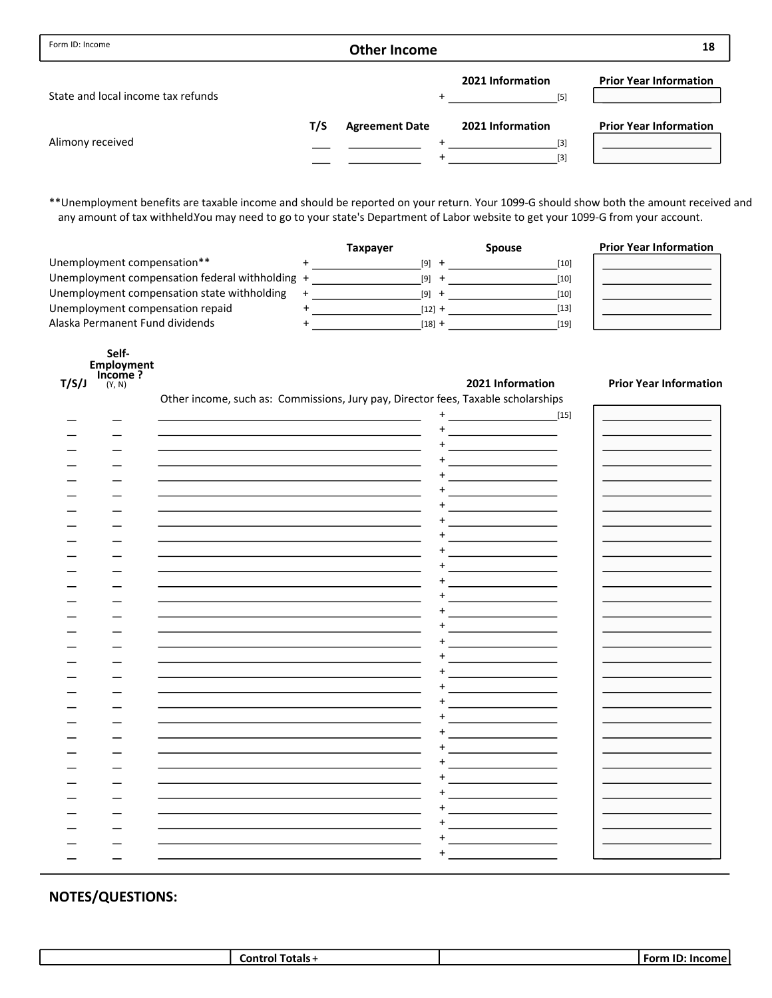| Form ID: Income                    |     | <b>Other Income</b>   |                           | 18                            |
|------------------------------------|-----|-----------------------|---------------------------|-------------------------------|
| State and local income tax refunds |     |                       | 2021 Information<br>$[5]$ | <b>Prior Year Information</b> |
|                                    | T/S | <b>Agreement Date</b> | 2021 Information          | <b>Prior Year Information</b> |
| Alimony received                   |     |                       | $[3]$                     |                               |
|                                    |     |                       | [3]                       |                               |

\*\*Unemployment benefits are taxable income and should be reported on your return. Your 1099-G should show both the amount received and any amount of tax withheld.You may need to go to your state's Department of Labor website to get your 1099-G from your account.

|                                                 | Taxpayer |        | <b>Spouse</b> | <b>Prior Year Information</b> |
|-------------------------------------------------|----------|--------|---------------|-------------------------------|
| Unemployment compensation**                     |          | [9]    | [10]          |                               |
| Unemployment compensation federal withholding + |          | [9]    | [10]          |                               |
| Unemployment compensation state withholding     |          | [9]    | [10]          |                               |
| Unemployment compensation repaid                |          | [12] + | [13]          |                               |
| Alaska Permanent Fund dividends                 |          | [18] + | [19]          |                               |

|      | Self-             |
|------|-------------------|
|      | <b>Employment</b> |
|      | Income?           |
| 'S/J | (Y, N)            |

#### 2021 Information Prior Year Information

Other income, such as: Commissions, Jury pay, Director fees, Taxable scholarships

| $[15]$<br>+<br>٠<br>٠<br>+<br>÷<br>+<br>+<br>٠<br>+<br>+<br>÷<br>+ |  | -- - |  |
|--------------------------------------------------------------------|--|------|--|
|                                                                    |  |      |  |
|                                                                    |  |      |  |
|                                                                    |  |      |  |
|                                                                    |  |      |  |
|                                                                    |  |      |  |
|                                                                    |  |      |  |
|                                                                    |  |      |  |
|                                                                    |  |      |  |
|                                                                    |  |      |  |
|                                                                    |  |      |  |
|                                                                    |  |      |  |
|                                                                    |  |      |  |
|                                                                    |  |      |  |
|                                                                    |  |      |  |
|                                                                    |  |      |  |
|                                                                    |  |      |  |
|                                                                    |  |      |  |
|                                                                    |  |      |  |
|                                                                    |  |      |  |
|                                                                    |  |      |  |
|                                                                    |  |      |  |
|                                                                    |  |      |  |
|                                                                    |  |      |  |
|                                                                    |  |      |  |
|                                                                    |  |      |  |
|                                                                    |  |      |  |
|                                                                    |  |      |  |
|                                                                    |  |      |  |
|                                                                    |  |      |  |
|                                                                    |  |      |  |
|                                                                    |  |      |  |
|                                                                    |  |      |  |
|                                                                    |  |      |  |
|                                                                    |  |      |  |
|                                                                    |  |      |  |
|                                                                    |  |      |  |
|                                                                    |  |      |  |

| ----                       | . .<br>---- |
|----------------------------|-------------|
| ыc.<br>nі<br>. .<br>.<br>. | ΠG<br>      |
|                            |             |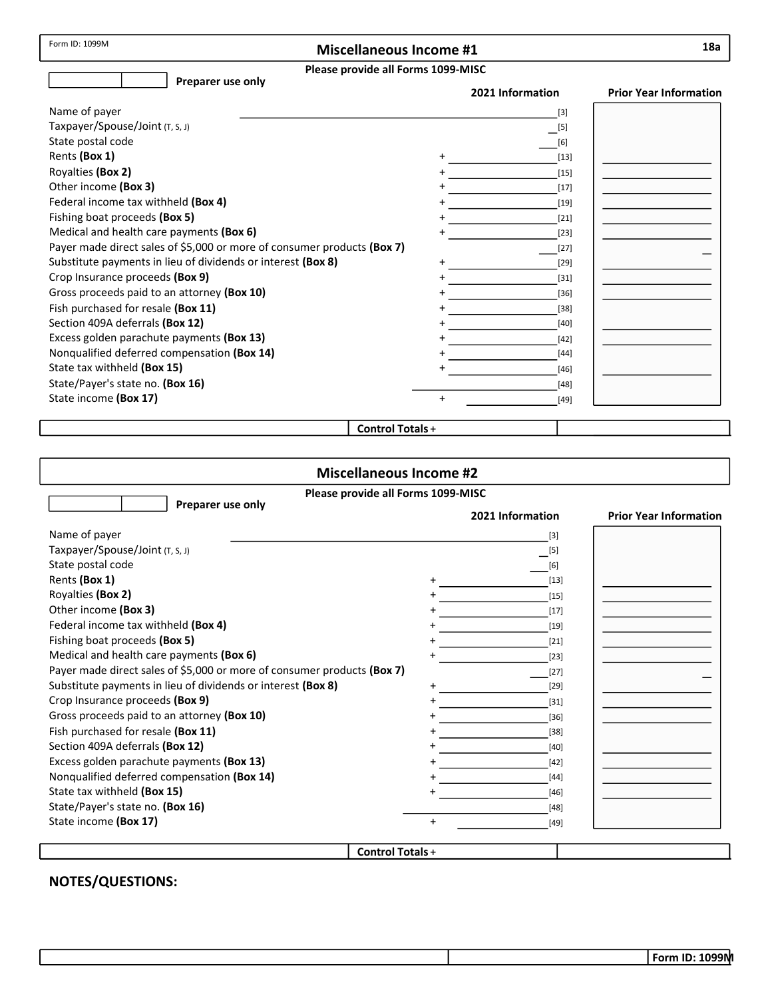Form ID: 1099M

## Miscellaneous Income #1

#### Please provide all Forms 1099-MISC

| Preparer use only                                                       | 2021 Information             | <b>Prior Year Information</b> |
|-------------------------------------------------------------------------|------------------------------|-------------------------------|
| Name of payer                                                           | $[3]$                        |                               |
| Taxpayer/Spouse/Joint (T, S, J)                                         | $\overline{\phantom{0}}$ [5] |                               |
| State postal code                                                       | [6]                          |                               |
| Rents (Box 1)                                                           | $[13]$                       |                               |
| Royalties (Box 2)                                                       | $[15]$                       |                               |
| Other income (Box 3)                                                    | $[17]$                       |                               |
| Federal income tax withheld (Box 4)                                     | $[19]$                       |                               |
| Fishing boat proceeds (Box 5)                                           | $[21]$                       |                               |
| Medical and health care payments (Box 6)                                | $[23]$                       |                               |
| Payer made direct sales of \$5,000 or more of consumer products (Box 7) | $[27]$                       |                               |
| Substitute payments in lieu of dividends or interest (Box 8)            | $[29]$                       |                               |
| Crop Insurance proceeds (Box 9)                                         | $[31]$                       |                               |
| Gross proceeds paid to an attorney (Box 10)                             | $[36]$                       |                               |
| Fish purchased for resale (Box 11)                                      | $[38]$                       |                               |
| Section 409A deferrals (Box 12)                                         | $[40]$                       |                               |
| Excess golden parachute payments (Box 13)                               | $[42]$                       |                               |
| Nonqualified deferred compensation (Box 14)                             | $[44]$                       |                               |
| State tax withheld (Box 15)                                             | $[46]$                       |                               |
| State/Payer's state no. (Box 16)                                        | $[48]$                       |                               |
| State income (Box 17)                                                   | $\ddot{}$<br>$[49]$          |                               |
| Control Totals +                                                        |                              |                               |

#### Control Totals +

| <b>Miscellaneous Income #2</b>                                          |                         |                  |                               |  |  |
|-------------------------------------------------------------------------|-------------------------|------------------|-------------------------------|--|--|
| Please provide all Forms 1099-MISC                                      |                         |                  |                               |  |  |
| Preparer use only                                                       |                         | 2021 Information | <b>Prior Year Information</b> |  |  |
| Name of payer                                                           |                         | $[3]$            |                               |  |  |
| Taxpayer/Spouse/Joint (T, S, J)                                         |                         | $[5]$            |                               |  |  |
| State postal code                                                       |                         | [6]              |                               |  |  |
| Rents (Box 1)                                                           |                         | $[13]$           |                               |  |  |
| Royalties (Box 2)                                                       |                         | $[15]$           |                               |  |  |
| Other income (Box 3)                                                    |                         | $[17]$           |                               |  |  |
| Federal income tax withheld (Box 4)                                     |                         | $[19]$           |                               |  |  |
| Fishing boat proceeds (Box 5)                                           |                         | $[21]$           |                               |  |  |
| Medical and health care payments (Box 6)                                |                         | $[23]$           |                               |  |  |
| Payer made direct sales of \$5,000 or more of consumer products (Box 7) |                         | $[27]$           |                               |  |  |
| Substitute payments in lieu of dividends or interest (Box 8)            |                         | $[29]$           |                               |  |  |
| Crop Insurance proceeds (Box 9)                                         |                         | $[31]$           |                               |  |  |
| Gross proceeds paid to an attorney (Box 10)                             |                         | $[36]$           |                               |  |  |
| Fish purchased for resale (Box 11)                                      |                         | $[38]$           |                               |  |  |
| Section 409A deferrals (Box 12)                                         |                         | $[40]$           |                               |  |  |
| Excess golden parachute payments (Box 13)                               |                         | $[42]$           |                               |  |  |
| Nonqualified deferred compensation (Box 14)                             |                         | $[44]$           |                               |  |  |
| State tax withheld (Box 15)                                             |                         | $[46]$           |                               |  |  |
| State/Payer's state no. (Box 16)                                        |                         | $[48]$           |                               |  |  |
| State income (Box 17)                                                   | +                       | $[49]$           |                               |  |  |
|                                                                         |                         |                  |                               |  |  |
|                                                                         | <b>Control Totals +</b> |                  |                               |  |  |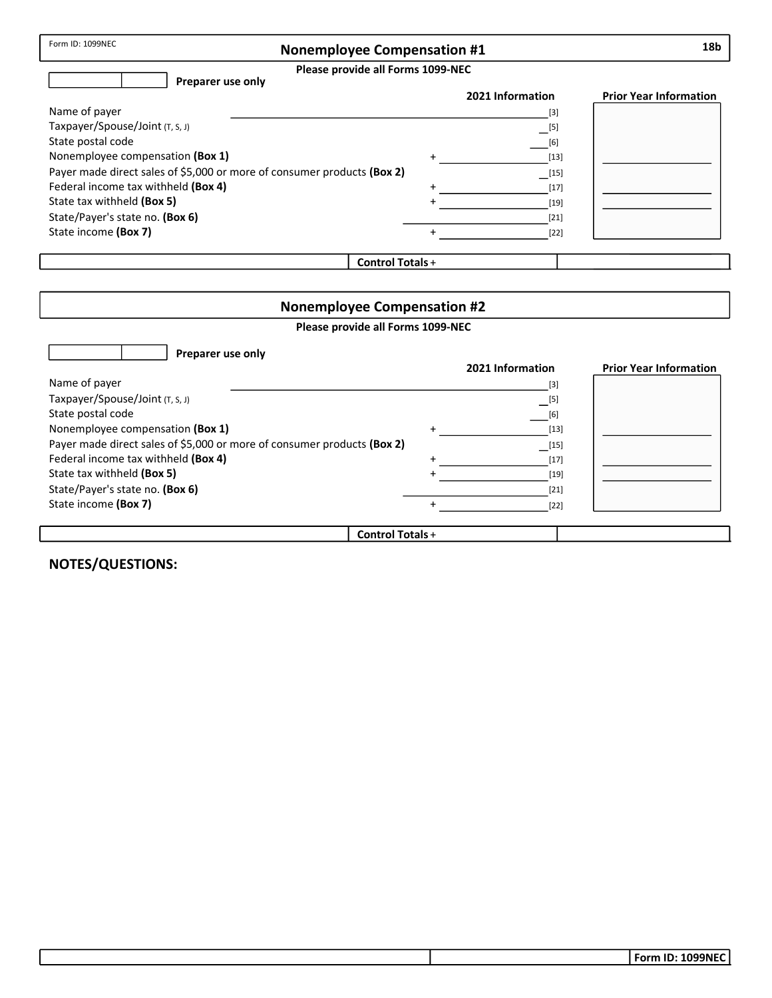|--|

## Nonemployee Compensation #1

Please provide all Forms 1099-NEC

| Please provide all Forms 1099-NEC                                       |                         |                                |                               |
|-------------------------------------------------------------------------|-------------------------|--------------------------------|-------------------------------|
| Preparer use only                                                       |                         |                                |                               |
|                                                                         |                         | 2021 Information               | <b>Prior Year Information</b> |
| Name of payer                                                           |                         | $[3]$                          |                               |
| Taxpayer/Spouse/Joint (T, S, J)                                         |                         | $\overline{\phantom{0}}^{[5]}$ |                               |
| State postal code                                                       |                         | [6]                            |                               |
| Nonemployee compensation (Box 1)                                        | $\ddot{}$               | $[13]$                         |                               |
| Payer made direct sales of \$5,000 or more of consumer products (Box 2) |                         | $\lfloor 15 \rfloor$           |                               |
| Federal income tax withheld (Box 4)                                     | $\ddot{}$               | $[17]$                         |                               |
| State tax withheld (Box 5)                                              |                         | $[19]$                         |                               |
| State/Payer's state no. (Box 6)                                         |                         | $[21]$                         |                               |
| State income (Box 7)                                                    | $\ddot{}$               | $[22]$                         |                               |
|                                                                         |                         |                                |                               |
|                                                                         | <b>Control Totals +</b> |                                |                               |

| <b>Nonemployee Compensation #2</b>                                      |           |                  |                               |  |
|-------------------------------------------------------------------------|-----------|------------------|-------------------------------|--|
| Please provide all Forms 1099-NEC                                       |           |                  |                               |  |
| Preparer use only                                                       |           |                  |                               |  |
|                                                                         |           | 2021 Information | <b>Prior Year Information</b> |  |
| Name of payer                                                           |           | $[3]$            |                               |  |
| Taxpayer/Spouse/Joint (T, S, J)                                         |           | $\boxed{[5]}$    |                               |  |
| State postal code                                                       |           | [6]              |                               |  |
| Nonemployee compensation (Box 1)                                        | $\ddot{}$ | $[13]$           |                               |  |
| Payer made direct sales of \$5,000 or more of consumer products (Box 2) |           | [15]             |                               |  |
| Federal income tax withheld (Box 4)                                     | $\ddot{}$ | $[17]$           |                               |  |
| State tax withheld (Box 5)                                              |           | $[19]$           |                               |  |
| State/Payer's state no. (Box 6)                                         |           | $[21]$           |                               |  |
| State income (Box 7)                                                    |           | $[22]$           |                               |  |
|                                                                         |           |                  |                               |  |
| <b>Control Totals +</b>                                                 |           |                  |                               |  |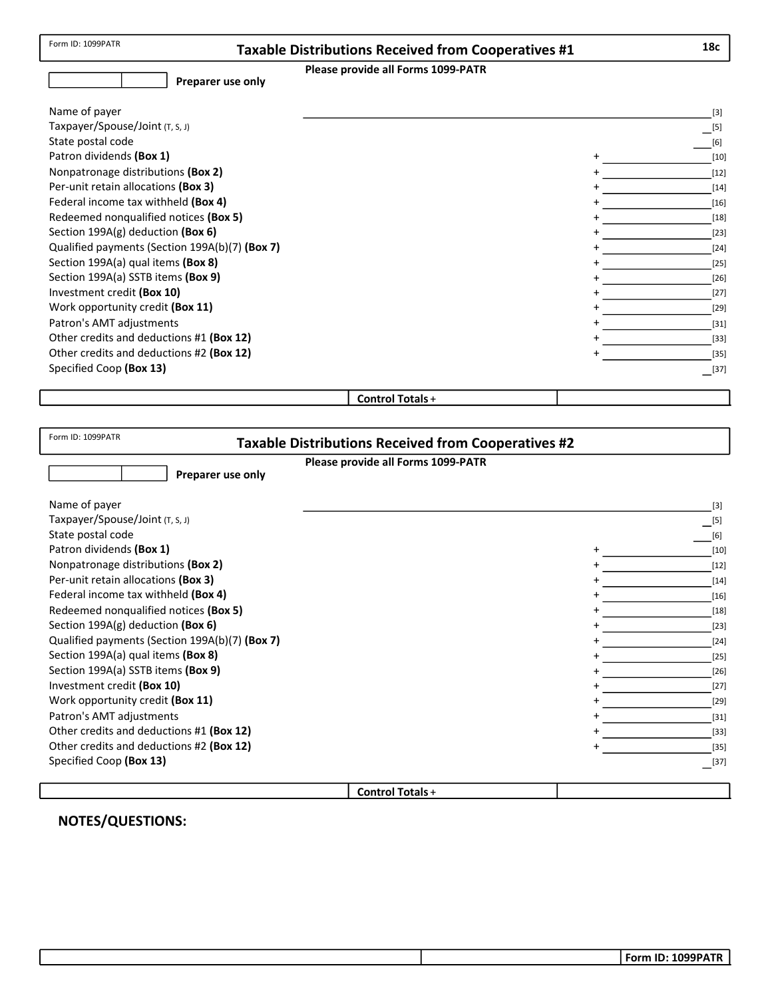| Please provide all Forms 1099-PATR                                                   | <b>Taxable Distributions Received from Cooperatives #1</b> | 18c                                                                                                                                                                          |
|--------------------------------------------------------------------------------------|------------------------------------------------------------|------------------------------------------------------------------------------------------------------------------------------------------------------------------------------|
| Preparer use only                                                                    |                                                            |                                                                                                                                                                              |
|                                                                                      |                                                            |                                                                                                                                                                              |
| Name of payer                                                                        |                                                            | $[3]$                                                                                                                                                                        |
| Taxpayer/Spouse/Joint (T, S, J)                                                      |                                                            | $\boxed{[5]}$                                                                                                                                                                |
| State postal code                                                                    |                                                            | [6]                                                                                                                                                                          |
| Patron dividends (Box 1)                                                             |                                                            | $[10]$                                                                                                                                                                       |
| Nonpatronage distributions (Box 2)                                                   |                                                            | $[12]$<br>$\mathcal{L}^{\text{max}}_{\text{max}}$ and $\mathcal{L}^{\text{max}}_{\text{max}}$ and $\mathcal{L}^{\text{max}}_{\text{max}}$                                    |
| Per-unit retain allocations (Box 3)                                                  |                                                            | $[14]$                                                                                                                                                                       |
| Federal income tax withheld (Box 4)                                                  |                                                            | $[16]$                                                                                                                                                                       |
| Redeemed nonqualified notices (Box 5)                                                |                                                            | $[18]$                                                                                                                                                                       |
| Section 199A(g) deduction (Box 6)                                                    |                                                            | $[23]$                                                                                                                                                                       |
| Qualified payments (Section 199A(b)(7) (Box 7)                                       |                                                            | $[24]$                                                                                                                                                                       |
| Section 199A(a) qual items (Box 8)                                                   |                                                            | $[25]$                                                                                                                                                                       |
| Section 199A(a) SSTB items (Box 9)                                                   |                                                            | $[26]$                                                                                                                                                                       |
| Investment credit (Box 10)                                                           |                                                            | $[27]$                                                                                                                                                                       |
| Work opportunity credit (Box 11)                                                     |                                                            | $[29]$                                                                                                                                                                       |
| Patron's AMT adjustments                                                             |                                                            | $\sim$ [31]                                                                                                                                                                  |
| Other credits and deductions #1 (Box 12)<br>Other credits and deductions #2 (Box 12) |                                                            | $\begin{bmatrix} 33 \end{bmatrix}$                                                                                                                                           |
| Specified Coop (Box 13)                                                              |                                                            | $[35]$                                                                                                                                                                       |
|                                                                                      |                                                            | $\boxed{[37]}$                                                                                                                                                               |
| <b>Control Totals +</b>                                                              |                                                            |                                                                                                                                                                              |
|                                                                                      |                                                            |                                                                                                                                                                              |
|                                                                                      |                                                            |                                                                                                                                                                              |
| Form ID: 1099PATR<br><b>Taxable Distributions Received from Cooperatives #2</b>      |                                                            |                                                                                                                                                                              |
| Please provide all Forms 1099-PATR                                                   |                                                            |                                                                                                                                                                              |
| Preparer use only                                                                    |                                                            |                                                                                                                                                                              |
|                                                                                      |                                                            |                                                                                                                                                                              |
|                                                                                      |                                                            |                                                                                                                                                                              |
| Name of payer                                                                        |                                                            |                                                                                                                                                                              |
| Taxpayer/Spouse/Joint (T, S, J)                                                      |                                                            | $[3]$                                                                                                                                                                        |
| State postal code                                                                    |                                                            |                                                                                                                                                                              |
| Patron dividends (Box 1)                                                             |                                                            |                                                                                                                                                                              |
| Nonpatronage distributions (Box 2)                                                   |                                                            |                                                                                                                                                                              |
| Per-unit retain allocations (Box 3)                                                  |                                                            |                                                                                                                                                                              |
| Federal income tax withheld (Box 4)                                                  |                                                            |                                                                                                                                                                              |
| Redeemed nonqualified notices (Box 5)                                                |                                                            |                                                                                                                                                                              |
| Section 199A(g) deduction (Box 6)                                                    |                                                            |                                                                                                                                                                              |
| Qualified payments (Section 199A(b)(7) (Box 7)                                       |                                                            |                                                                                                                                                                              |
| Section 199A(a) qual items (Box 8)                                                   |                                                            |                                                                                                                                                                              |
| Section 199A(a) SSTB items (Box 9)                                                   |                                                            |                                                                                                                                                                              |
| Investment credit (Box 10)                                                           |                                                            |                                                                                                                                                                              |
| Work opportunity credit (Box 11)                                                     |                                                            |                                                                                                                                                                              |
| Patron's AMT adjustments                                                             |                                                            |                                                                                                                                                                              |
| Other credits and deductions #1 (Box 12)                                             |                                                            |                                                                                                                                                                              |
| Other credits and deductions #2 (Box 12)                                             |                                                            |                                                                                                                                                                              |
| Specified Coop (Box 13)                                                              |                                                            | $\boxed{[5]}$<br>[6]<br>$[10]$<br>$[12]$<br>$[14]$<br>$[16]$<br>$[18]$<br>$[23]$<br>$[24]$<br>$[25]$<br>$[26]$<br>$[27]$<br>$[29]$<br>$[31]$<br>$[33]$<br>$[35]$<br>$-$ [37] |
| Control Totals+                                                                      |                                                            |                                                                                                                                                                              |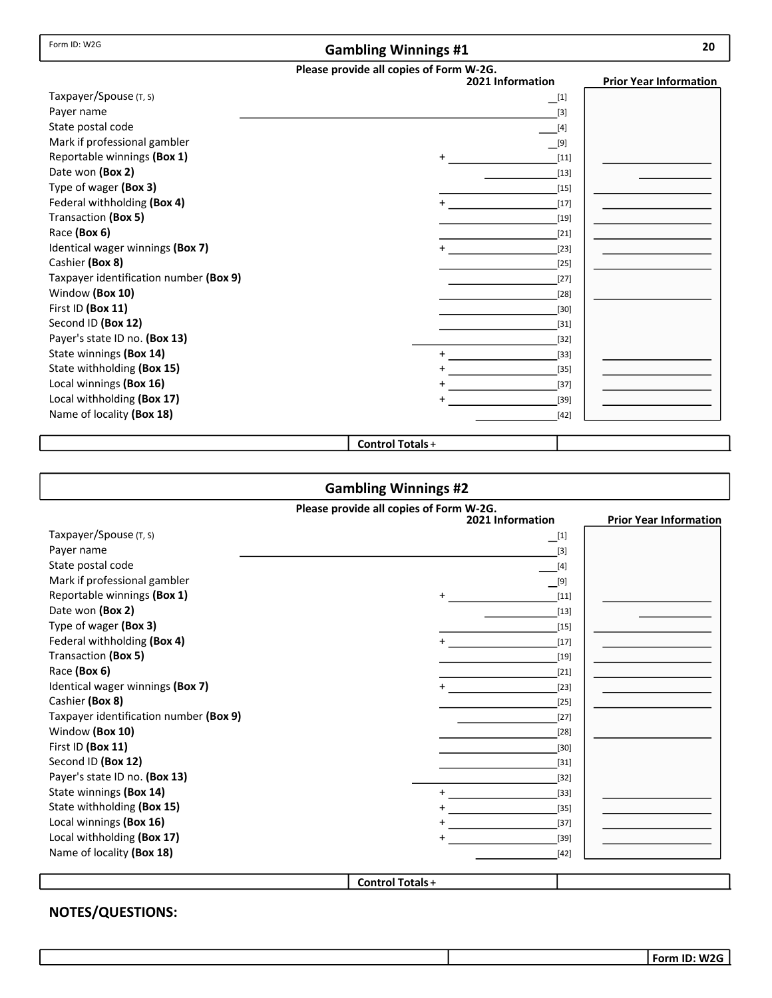#### Gambling Winnings #1

| I<br>I<br>×<br>۰, |
|-------------------|

#### Please provide all copies of Form W-2G.

|                                        | <br>2021 Information | <b>Prior Year Information</b> |
|----------------------------------------|----------------------|-------------------------------|
| Taxpayer/Spouse (T, S)                 | $\Box^{[1]}$         |                               |
| Payer name                             | $[3]$                |                               |
| State postal code                      | $[4]$                |                               |
| Mark if professional gambler           | [9]                  |                               |
| Reportable winnings (Box 1)            | $[11]$<br>$+$        |                               |
| Date won (Box 2)                       | $[13]$               |                               |
| Type of wager (Box 3)                  | $[15]$               |                               |
| Federal withholding (Box 4)            | $[17]$               |                               |
| Transaction (Box 5)                    | $[19]$               |                               |
| Race (Box 6)                           | $[21]$               |                               |
| Identical wager winnings (Box 7)       | $^{+}$<br>$[23]$     |                               |
| Cashier (Box 8)                        | $[25]$               |                               |
| Taxpayer identification number (Box 9) | $[27]$               |                               |
| Window (Box 10)                        | $[28]$               |                               |
| First ID (Box 11)                      | $[30]$               |                               |
| Second ID (Box 12)                     | $[31]$               |                               |
| Payer's state ID no. (Box 13)          | $[32]$               |                               |
| State winnings (Box 14)                | $[33]$               |                               |
| State withholding (Box 15)             | $[35]$               |                               |
| Local winnings (Box 16)                | $[37]$               |                               |
| Local withholding (Box 17)             | $[39]$               |                               |
| Name of locality (Box 18)              | $[42]$               |                               |

Control Totals +

#### Gambling Winnings #2 Please provide all copies of Form W-2G. **Prior Year Information** Taxpayer/Spouse (T, S) Payer name State postal code Mark if professional gambler Reportable winnings (Box 1) Federal withholding (Box 4) Type of wager (Box 3) Date won (Box 2) Transaction (Box 5) Race (Box 6) Identical wager winnings (Box 7) Cashier (Box 8) Taxpayer identification number (Box 9) Window (Box 10) First ID (Box 11) Second ID (Box 12) Payer's state ID no. (Box 13) State withholding (Box 15) Name of locality (Box 18) Local withholding (Box 17) Control Totals + [39] [42] [30] [21] [35] [19] [31] [17] [23] [15] [25] [13] [28] [11] [32] [9] [27] [4] [3]  $\Box$ [1] State winnings (Box 14) Local winnings (Box 16) [33] [37] + + +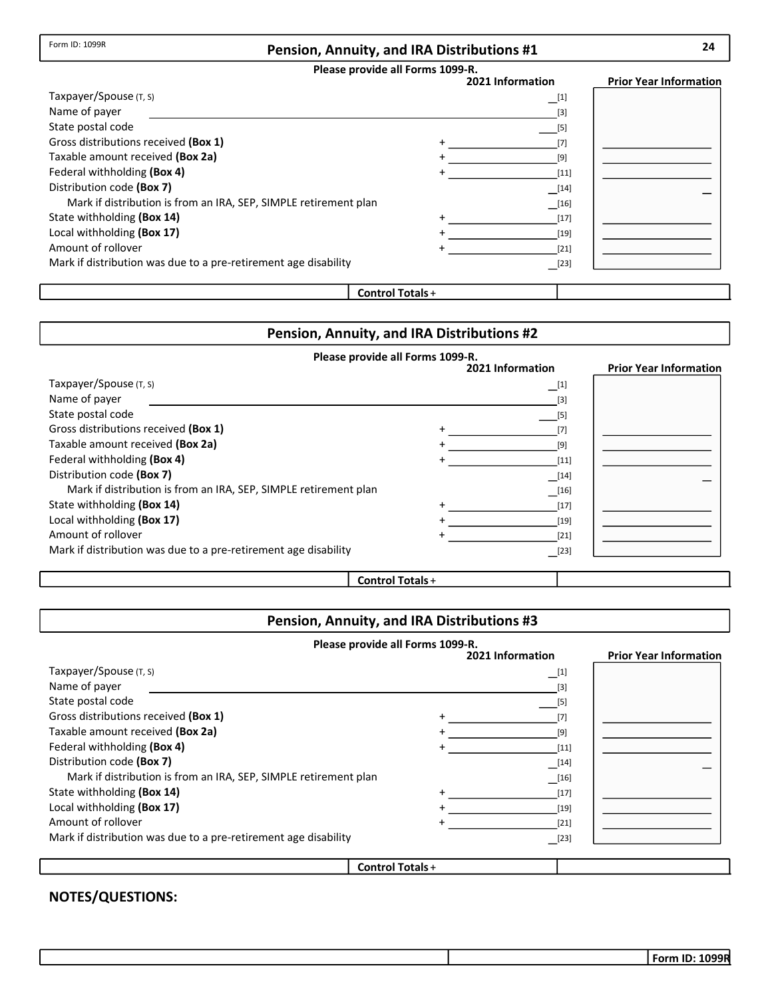### Pension, Annuity, and IRA Distributions #1

#### Please provide all Forms 1099-R.

|                                                                  | 2021 Information | <b>Prior Year Information</b> |
|------------------------------------------------------------------|------------------|-------------------------------|
| Taxpayer/Spouse (T, S)                                           | $\Box^{[1]}$     |                               |
| Name of payer                                                    | $[3]$            |                               |
| State postal code                                                | [5]              |                               |
| Gross distributions received (Box 1)                             |                  |                               |
| Taxable amount received (Box 2a)                                 | [9]              |                               |
| Federal withholding (Box 4)                                      | $[11]$           |                               |
| Distribution code (Box 7)                                        | $\boxed{14}$     |                               |
| Mark if distribution is from an IRA, SEP, SIMPLE retirement plan | [16]             |                               |
| State withholding (Box 14)                                       | $[17]$           |                               |
| Local withholding (Box 17)                                       | $[19]$           |                               |
| Amount of rollover                                               | [21]             |                               |
| Mark if distribution was due to a pre-retirement age disability  | $\sqrt{23}$      |                               |
|                                                                  |                  |                               |

## Control Totals +

## Pension, Annuity, and IRA Distributions #2

| Please provide all Forms 1099-R.                                 |  |                  |                               |
|------------------------------------------------------------------|--|------------------|-------------------------------|
|                                                                  |  | 2021 Information | <b>Prior Year Information</b> |
| Taxpayer/Spouse $(T, S)$                                         |  | $\boxed{1}$      |                               |
| Name of payer                                                    |  | $[3]$            |                               |
| State postal code                                                |  | $[5]$            |                               |
| Gross distributions received (Box 1)                             |  |                  |                               |
| Taxable amount received (Box 2a)                                 |  | [9]              |                               |
| Federal withholding (Box 4)                                      |  | $[11]$           |                               |
| Distribution code (Box 7)                                        |  | $[14]$           |                               |
| Mark if distribution is from an IRA, SEP, SIMPLE retirement plan |  | $[16]$           |                               |
| State withholding (Box 14)                                       |  | $[17]$           |                               |
| Local withholding (Box 17)                                       |  | $[19]$           |                               |
| Amount of rollover                                               |  | $[21]$           |                               |
| Mark if distribution was due to a pre-retirement age disability  |  | $\Box$ [23]      |                               |
|                                                                  |  |                  |                               |

### Control Totals +

## Pension, Annuity, and IRA Distributions #3

|                                                                  | Please provide all Forms 1099-R. |                                           |                               |
|------------------------------------------------------------------|----------------------------------|-------------------------------------------|-------------------------------|
|                                                                  |                                  | 2021 Information                          | <b>Prior Year Information</b> |
| Taxpayer/Spouse (T, S)                                           |                                  | $\Box$ [1]                                |                               |
| Name of payer                                                    |                                  | $[3]$                                     |                               |
| State postal code                                                |                                  | $[5]$                                     |                               |
| Gross distributions received (Box 1)                             |                                  | [7]                                       |                               |
| Taxable amount received (Box 2a)                                 |                                  | [9]                                       |                               |
| Federal withholding (Box 4)                                      |                                  | [11]                                      |                               |
| Distribution code (Box 7)                                        |                                  | $\begin{array}{c} \boxed{14} \end{array}$ |                               |
| Mark if distribution is from an IRA, SEP, SIMPLE retirement plan |                                  | $\boxed{16}$                              |                               |
| State withholding (Box 14)                                       |                                  | $[17]$                                    |                               |
| Local withholding (Box 17)                                       |                                  | $[19]$                                    |                               |
| Amount of rollover                                               |                                  | [21]                                      |                               |
| Mark if distribution was due to a pre-retirement age disability  |                                  | $[23]$                                    |                               |
|                                                                  |                                  |                                           |                               |
|                                                                  | <b>Control Totals +</b>          |                                           |                               |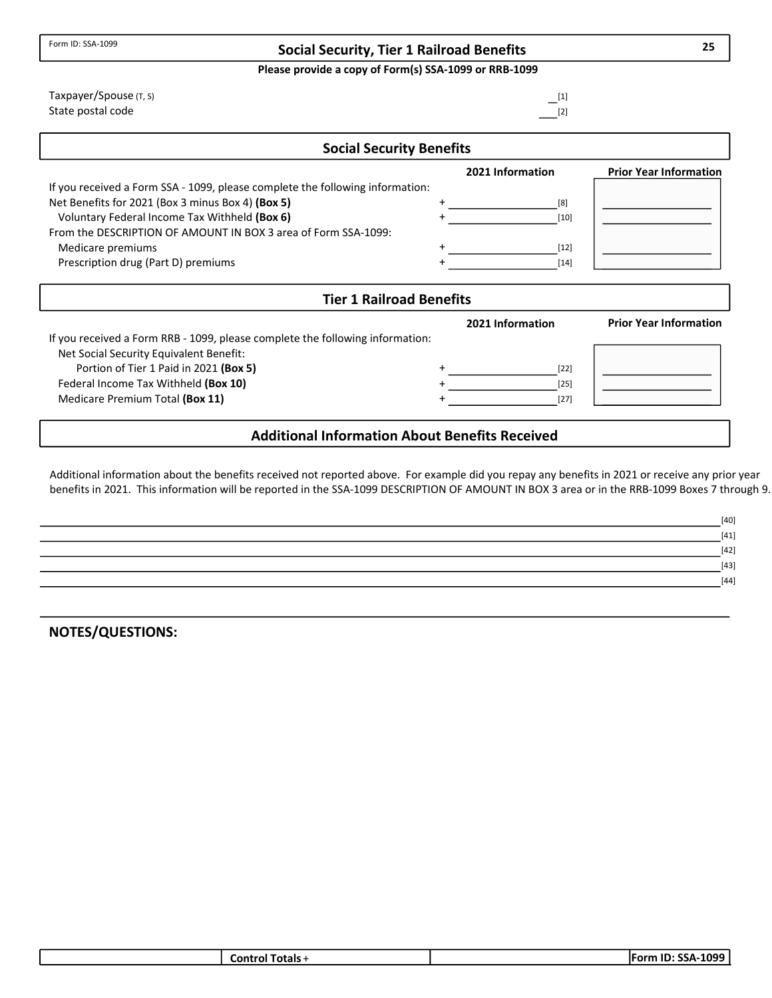## Social Security, Tier 1 Railroad Benefits

Please provide a copy of Form(s) SSA-1099 or RRB-1099

| <b>Social Security Benefits</b> |                   |
|---------------------------------|-------------------|
| Taxpayer/Spouse (T, S)          | $-^{[1]}$         |
| State postal code               | $\frac{[2]}{[2]}$ |

|                                                                               | 2021 Information | <b>Prior Year Information</b> |
|-------------------------------------------------------------------------------|------------------|-------------------------------|
| If you received a Form SSA - 1099, please complete the following information: |                  |                               |
| Net Benefits for 2021 (Box 3 minus Box 4) (Box 5)                             | [8]              |                               |
| Voluntary Federal Income Tax Withheld (Box 6)                                 | $[10]$           |                               |
| From the DESCRIPTION OF AMOUNT IN BOX 3 area of Form SSA-1099:                |                  |                               |
| Medicare premiums                                                             | [12]             |                               |
| Prescription drug (Part D) premiums                                           | $[14]$           |                               |

| <b>Tier 1 Railroad Benefits</b>                                               |  |                  |                               |  |
|-------------------------------------------------------------------------------|--|------------------|-------------------------------|--|
|                                                                               |  | 2021 Information | <b>Prior Year Information</b> |  |
| If you received a Form RRB - 1099, please complete the following information: |  |                  |                               |  |
| Net Social Security Equivalent Benefit:                                       |  |                  |                               |  |
| Portion of Tier 1 Paid in 2021 (Box 5)                                        |  | $[22]$           |                               |  |
| Federal Income Tax Withheld (Box 10)                                          |  | $[25]$           |                               |  |
| Medicare Premium Total (Box 11)                                               |  | $[27]$           |                               |  |
|                                                                               |  |                  |                               |  |

## Additional Information About Benefits Received

Additional information about the benefits received not reported above. For example did you repay any benefits in 2021 or receive any prior year benefits in 2021. This information will be reported in the SSA-1099 DESCRIPTION OF AMOUNT IN BOX 3 area or in the RRB-1099 Boxes 7 through 9.

| $[40]$ |
|--------|
| $[41]$ |
| $[42]$ |
| $[43]$ |
| $[44]$ |
|        |

NOTES/QUESTIONS:

| Control Totals + | $-1099$<br><b>IForm ID: SSA-</b> |
|------------------|----------------------------------|
|                  |                                  |

25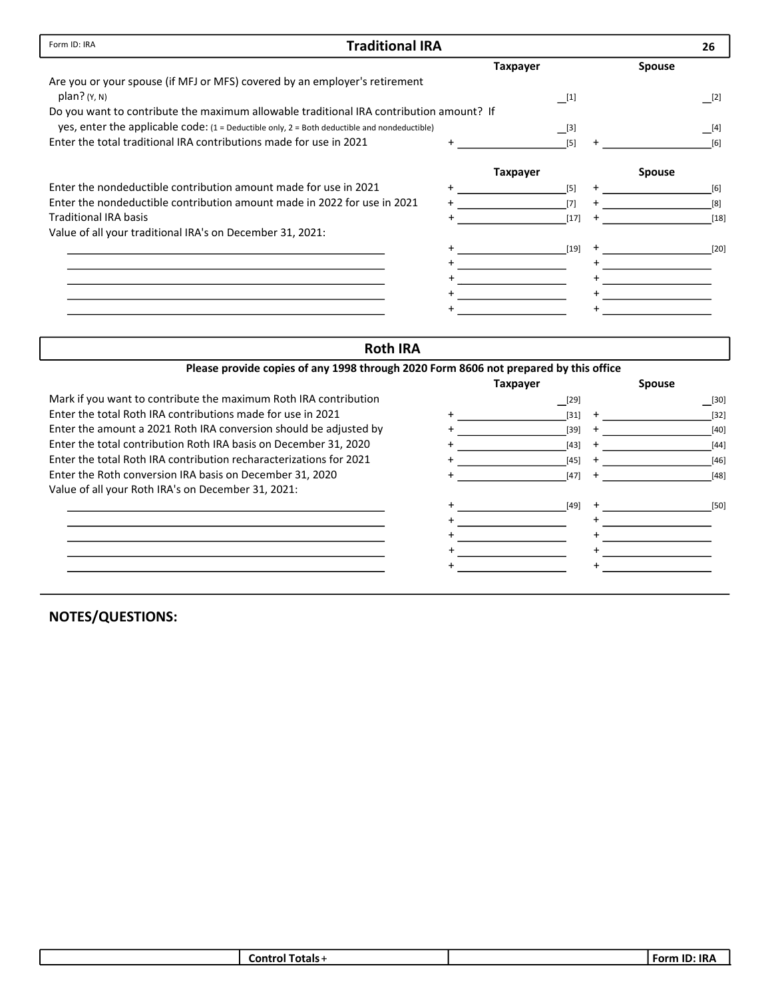| Form ID: IRA<br><b>Traditional IRA</b>                                                       |  |                 |  |               | 26     |
|----------------------------------------------------------------------------------------------|--|-----------------|--|---------------|--------|
|                                                                                              |  | <b>Taxpayer</b> |  | <b>Spouse</b> |        |
| Are you or your spouse (if MFJ or MFS) covered by an employer's retirement                   |  |                 |  |               |        |
| $plan?$ ( $Y, N$ )                                                                           |  | [1]             |  |               | [2]    |
| Do you want to contribute the maximum allowable traditional IRA contribution amount? If      |  |                 |  |               |        |
| yes, enter the applicable code: (1 = Deductible only, 2 = Both deductible and nondeductible) |  | [3]             |  |               | [4]    |
| Enter the total traditional IRA contributions made for use in 2021                           |  | [5]             |  |               | [6]    |
|                                                                                              |  | <b>Taxpayer</b> |  | <b>Spouse</b> |        |
| Enter the nondeductible contribution amount made for use in 2021                             |  | $[5]$           |  |               | $[6]$  |
| Enter the nondeductible contribution amount made in 2022 for use in 2021                     |  | [7]             |  |               | [8]    |
| <b>Traditional IRA basis</b>                                                                 |  | $[17]$          |  |               | $[18]$ |
| Value of all your traditional IRA's on December 31, 2021:                                    |  |                 |  |               |        |
|                                                                                              |  | $[19]$          |  |               | $[20]$ |
|                                                                                              |  |                 |  |               |        |
|                                                                                              |  |                 |  |               |        |
|                                                                                              |  |                 |  |               |        |
|                                                                                              |  |                 |  |               |        |

## Roth IRA

| Please provide copies of any 1998 through 2020 Form 8606 not prepared by this office |                 |           |               |        |
|--------------------------------------------------------------------------------------|-----------------|-----------|---------------|--------|
|                                                                                      | <b>Taxpayer</b> |           | <b>Spouse</b> |        |
| Mark if you want to contribute the maximum Roth IRA contribution                     | [29]            |           |               | [30]   |
| Enter the total Roth IRA contributions made for use in 2021                          | $[31]$ +        |           |               | $[32]$ |
| Enter the amount a 2021 Roth IRA conversion should be adjusted by                    | $[39]$          | $\ddot{}$ |               | $[40]$ |
| Enter the total contribution Roth IRA basis on December 31, 2020                     | [43]            |           |               | $[44]$ |
| Enter the total Roth IRA contribution recharacterizations for 2021                   | $[45]$          | $\pm$     |               | $[46]$ |
| Enter the Roth conversion IRA basis on December 31, 2020                             | [47]            |           |               | $[48]$ |
| Value of all your Roth IRA's on December 31, 2021:                                   |                 |           |               |        |
|                                                                                      | $[49]$          |           |               | $[50]$ |
|                                                                                      |                 |           |               |        |
|                                                                                      |                 |           |               |        |
|                                                                                      |                 |           |               |        |
|                                                                                      |                 |           |               |        |

| <b>Contr</b><br>. | . .<br>--<br>.<br>. . |
|-------------------|-----------------------|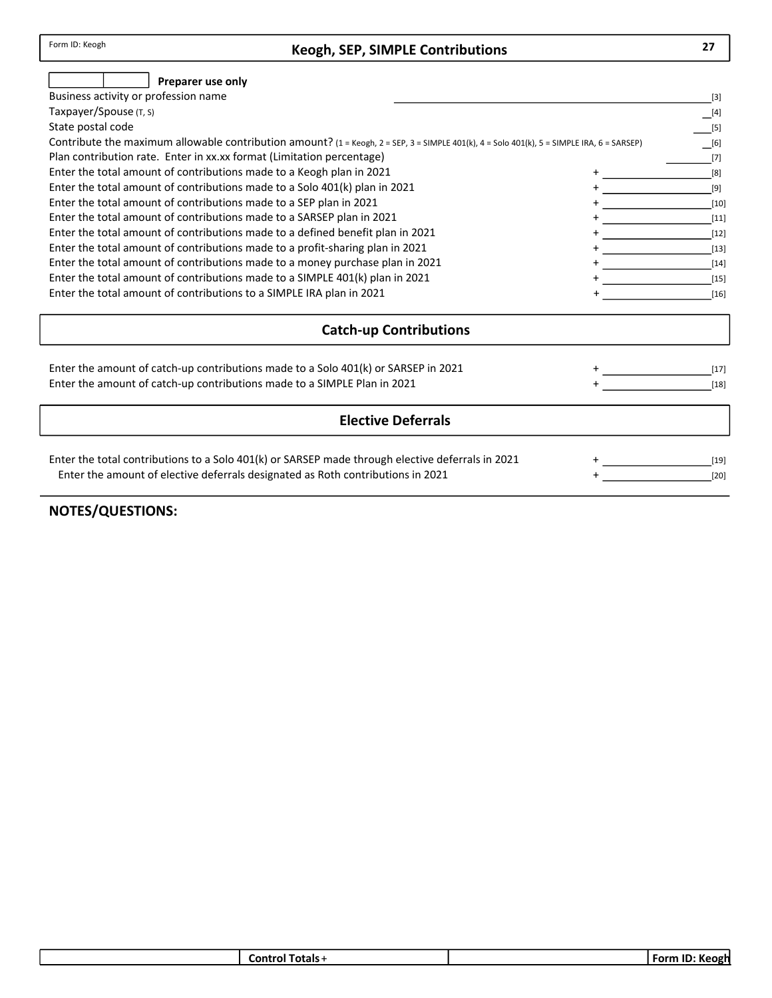## Keogh, SEP, SIMPLE Contributions

| Preparer use only                                                                                                                          |                  |
|--------------------------------------------------------------------------------------------------------------------------------------------|------------------|
| Business activity or profession name                                                                                                       | $[3]$            |
| Taxpayer/Spouse (T, S)                                                                                                                     | [4]              |
| State postal code                                                                                                                          | $[5]$            |
| Contribute the maximum allowable contribution amount? (1 = Keogh, 2 = SEP, 3 = SIMPLE 401(k), 4 = Solo 401(k), 5 = SIMPLE IRA, 6 = SARSEP) | $[6]$            |
| Plan contribution rate. Enter in xx.xx format (Limitation percentage)                                                                      | [7]              |
| Enter the total amount of contributions made to a Keogh plan in 2021                                                                       | [8]              |
| Enter the total amount of contributions made to a Solo 401(k) plan in 2021                                                                 | $[9]$            |
| Enter the total amount of contributions made to a SEP plan in 2021                                                                         | $[10]$           |
| Enter the total amount of contributions made to a SARSEP plan in 2021                                                                      | $[11]$           |
| Enter the total amount of contributions made to a defined benefit plan in 2021                                                             | $[12]$           |
| Enter the total amount of contributions made to a profit-sharing plan in 2021                                                              | $[13]$           |
| Enter the total amount of contributions made to a money purchase plan in 2021                                                              | $[14]$           |
| Enter the total amount of contributions made to a SIMPLE 401(k) plan in 2021                                                               | $[15]$           |
| Enter the total amount of contributions to a SIMPLE IRA plan in 2021                                                                       | $[16]$           |
| <b>Catch-up Contributions</b>                                                                                                              |                  |
| Enter the amount of catch-up contributions made to a Solo 401(k) or SARSEP in 2021                                                         | $[17]$           |
| Enter the amount of catch-up contributions made to a SIMPLE Plan in 2021                                                                   | $[18]$           |
| <b>Elective Deferrals</b>                                                                                                                  |                  |
| Enter the total contributions to a Solo 401(k) or SARSEP made through elective deferrals in 2021                                           |                  |
| Enter the amount of elective deferrals designated as Roth contributions in 2021                                                            | $[19]$<br>$[20]$ |
|                                                                                                                                            |                  |

NOTES/QUESTIONS:

| Fotals -<br>∟ontr<br>m | . .<br>. .<br>$F = 0$<br>enst<br>. |
|------------------------|------------------------------------|
|                        |                                    |

27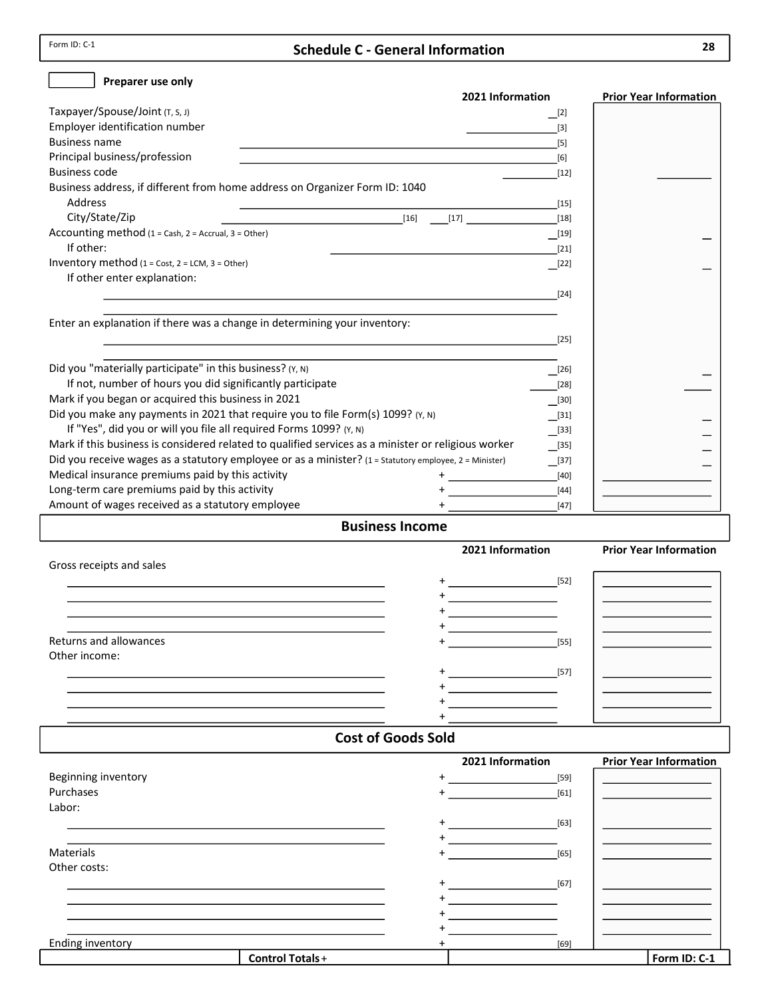Form ID: C-1

## Schedule C - General Information

| Preparer use only                                                                                                     |                                                                                                                  |                                   |                               |
|-----------------------------------------------------------------------------------------------------------------------|------------------------------------------------------------------------------------------------------------------|-----------------------------------|-------------------------------|
|                                                                                                                       | 2021 Information                                                                                                 |                                   | <b>Prior Year Information</b> |
| Taxpayer/Spouse/Joint (T, S, J)                                                                                       |                                                                                                                  | $\begin{bmatrix} 2 \end{bmatrix}$ |                               |
| Employer identification number                                                                                        |                                                                                                                  | $[3]$                             |                               |
| <b>Business name</b>                                                                                                  | and the control of the control of the control of the control of the control of the control of the control of the | $[5]$                             |                               |
| Principal business/profession                                                                                         |                                                                                                                  | [6]                               |                               |
| <b>Business code</b>                                                                                                  |                                                                                                                  | $[12]$                            |                               |
| Business address, if different from home address on Organizer Form ID: 1040                                           |                                                                                                                  |                                   |                               |
| Address                                                                                                               |                                                                                                                  | $[15]$                            |                               |
| City/State/Zip<br><u> 1989 - Johann Barn, fransk politik (</u>                                                        | $[16]$<br>$[17]$                                                                                                 | $[18]$                            |                               |
| Accounting method (1 = Cash, 2 = Accrual, 3 = Other)                                                                  |                                                                                                                  | $[19]$                            |                               |
| If other:                                                                                                             |                                                                                                                  | $[21]$                            |                               |
| Inventory method (1 = Cost, 2 = LCM, 3 = Other)                                                                       |                                                                                                                  | [22]                              |                               |
| If other enter explanation:                                                                                           |                                                                                                                  |                                   |                               |
| <u> 1989 - Johann Stoff, deutscher Stoff, der Stoff, der Stoff, der Stoff, der Stoff, der Stoff, der Stoff, der S</u> |                                                                                                                  | $[24]$                            |                               |
|                                                                                                                       |                                                                                                                  |                                   |                               |
| Enter an explanation if there was a change in determining your inventory:                                             |                                                                                                                  |                                   |                               |
| <u> 1989 - Johann Stoff, amerikansk politiker (* 1908)</u>                                                            |                                                                                                                  | $[25]$                            |                               |
|                                                                                                                       |                                                                                                                  |                                   |                               |
| Did you "materially participate" in this business? (Y, N)                                                             |                                                                                                                  | $\boxed{[26]}$                    |                               |
| If not, number of hours you did significantly participate                                                             |                                                                                                                  | $[28]$                            |                               |
| Mark if you began or acquired this business in 2021                                                                   |                                                                                                                  | $\boxed{30}$                      |                               |
| Did you make any payments in 2021 that require you to file Form(s) 1099? (Y, N)                                       |                                                                                                                  |                                   |                               |
| If "Yes", did you or will you file all required Forms 1099? (Y, N)                                                    |                                                                                                                  | $\Box$ [31]                       |                               |
| Mark if this business is considered related to qualified services as a minister or religious worker                   |                                                                                                                  | $\boxed{[33]}$                    |                               |
| Did you receive wages as a statutory employee or as a minister? (1 = Statutory employee, 2 = Minister)                |                                                                                                                  | $\boxed{135}$                     |                               |
|                                                                                                                       |                                                                                                                  | $\Box$ [37]                       |                               |
| Medical insurance premiums paid by this activity                                                                      | <u> 1980 - Johann Barbara, martxa</u>                                                                            | $[40]$                            |                               |
| Long-term care premiums paid by this activity                                                                         |                                                                                                                  | $[44]$                            |                               |
| Amount of wages received as a statutory employee                                                                      |                                                                                                                  | $[47]$                            |                               |
|                                                                                                                       | <b>Business Income</b>                                                                                           |                                   |                               |
|                                                                                                                       | 2021 Information                                                                                                 |                                   | <b>Prior Year Information</b> |
| Gross receipts and sales                                                                                              |                                                                                                                  |                                   |                               |
|                                                                                                                       |                                                                                                                  |                                   |                               |
|                                                                                                                       |                                                                                                                  |                                   |                               |
|                                                                                                                       |                                                                                                                  |                                   |                               |
|                                                                                                                       | <u> 1990 - Johann Barn, mars ann an t-</u>                                                                       |                                   |                               |
|                                                                                                                       |                                                                                                                  |                                   |                               |
|                                                                                                                       |                                                                                                                  |                                   |                               |
| Returns and allowances                                                                                                |                                                                                                                  | $[55]$                            |                               |
| Other income:                                                                                                         |                                                                                                                  |                                   |                               |
|                                                                                                                       |                                                                                                                  |                                   |                               |
|                                                                                                                       | the company of the company of the company                                                                        |                                   |                               |
|                                                                                                                       |                                                                                                                  |                                   |                               |
|                                                                                                                       |                                                                                                                  |                                   |                               |
|                                                                                                                       | <b>Cost of Goods Sold</b>                                                                                        |                                   |                               |
|                                                                                                                       | 2021 Information                                                                                                 |                                   | <b>Prior Year Information</b> |
| Beginning inventory                                                                                                   |                                                                                                                  | $[59]$                            |                               |
| Purchases                                                                                                             |                                                                                                                  | $[61]$                            |                               |
| Labor:                                                                                                                |                                                                                                                  |                                   |                               |
|                                                                                                                       |                                                                                                                  | $[63]$                            |                               |
|                                                                                                                       |                                                                                                                  |                                   |                               |
| Materials                                                                                                             |                                                                                                                  | $[65]$                            |                               |

| Ending<br>inventorv |                     | [69] |                   |
|---------------------|---------------------|------|-------------------|
|                     | Totals -<br>Control |      | <b>ID</b><br>Form |
|                     |                     |      |                   |

+ + + +

[67]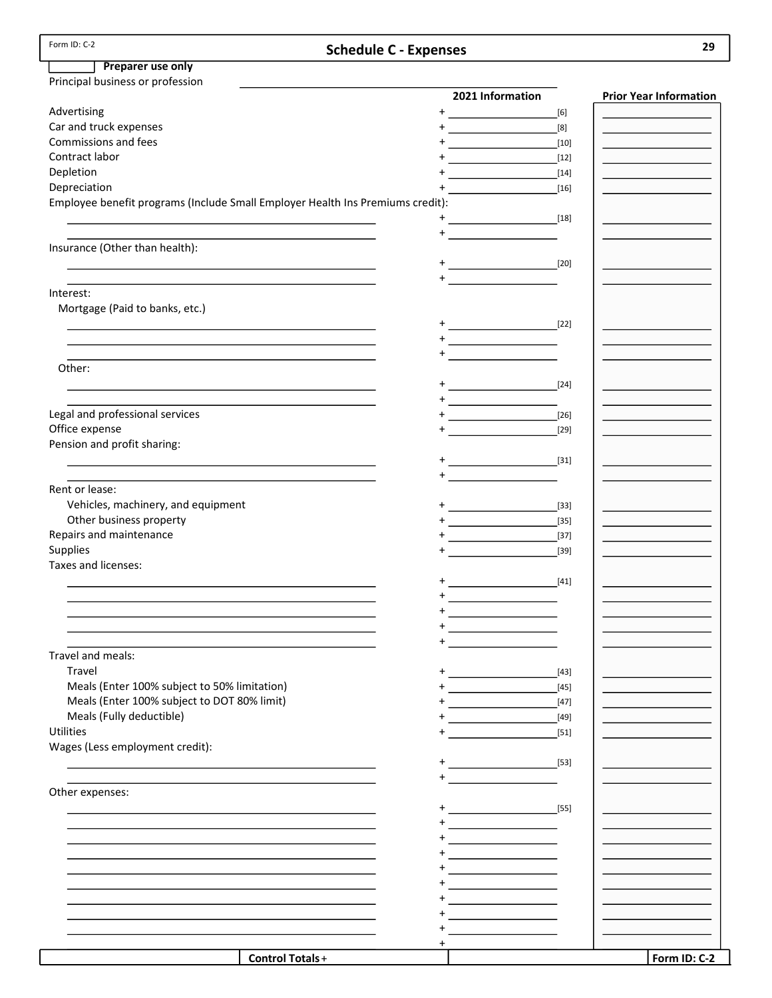| Form ID: C-2                                                                                                                                                                                                                  | <b>Schedule C - Expenses</b>                                                                                                                                                                                                                                                                                                                                           |                                                                                                                                                                                                                                                | 29                            |
|-------------------------------------------------------------------------------------------------------------------------------------------------------------------------------------------------------------------------------|------------------------------------------------------------------------------------------------------------------------------------------------------------------------------------------------------------------------------------------------------------------------------------------------------------------------------------------------------------------------|------------------------------------------------------------------------------------------------------------------------------------------------------------------------------------------------------------------------------------------------|-------------------------------|
| Preparer use only                                                                                                                                                                                                             |                                                                                                                                                                                                                                                                                                                                                                        |                                                                                                                                                                                                                                                |                               |
| Principal business or profession                                                                                                                                                                                              |                                                                                                                                                                                                                                                                                                                                                                        |                                                                                                                                                                                                                                                |                               |
|                                                                                                                                                                                                                               | 2021 Information                                                                                                                                                                                                                                                                                                                                                       |                                                                                                                                                                                                                                                | <b>Prior Year Information</b> |
| Advertising                                                                                                                                                                                                                   | $+$<br><u> 1989 - Johann Barbara, martx</u>                                                                                                                                                                                                                                                                                                                            | [6]                                                                                                                                                                                                                                            |                               |
| Car and truck expenses                                                                                                                                                                                                        |                                                                                                                                                                                                                                                                                                                                                                        | [8]                                                                                                                                                                                                                                            |                               |
| Commissions and fees                                                                                                                                                                                                          |                                                                                                                                                                                                                                                                                                                                                                        | $[10]$                                                                                                                                                                                                                                         |                               |
| Contract labor                                                                                                                                                                                                                |                                                                                                                                                                                                                                                                                                                                                                        | $[12]$                                                                                                                                                                                                                                         |                               |
| Depletion                                                                                                                                                                                                                     |                                                                                                                                                                                                                                                                                                                                                                        |                                                                                                                                                                                                                                                |                               |
| Depreciation                                                                                                                                                                                                                  |                                                                                                                                                                                                                                                                                                                                                                        | $[16]$                                                                                                                                                                                                                                         |                               |
| Employee benefit programs (Include Small Employer Health Ins Premiums credit):                                                                                                                                                |                                                                                                                                                                                                                                                                                                                                                                        |                                                                                                                                                                                                                                                |                               |
|                                                                                                                                                                                                                               |                                                                                                                                                                                                                                                                                                                                                                        |                                                                                                                                                                                                                                                |                               |
| the control of the control of the control of the control of the control of                                                                                                                                                    |                                                                                                                                                                                                                                                                                                                                                                        |                                                                                                                                                                                                                                                |                               |
| Insurance (Other than health):                                                                                                                                                                                                |                                                                                                                                                                                                                                                                                                                                                                        |                                                                                                                                                                                                                                                |                               |
|                                                                                                                                                                                                                               | <u>+_______________</u>                                                                                                                                                                                                                                                                                                                                                | [20]                                                                                                                                                                                                                                           |                               |
| the control of the control of the control of the control of the control of the control of the control of the control of the control of the control of the control of the control of the control of the control of the control |                                                                                                                                                                                                                                                                                                                                                                        |                                                                                                                                                                                                                                                |                               |
| Interest:                                                                                                                                                                                                                     |                                                                                                                                                                                                                                                                                                                                                                        |                                                                                                                                                                                                                                                |                               |
| Mortgage (Paid to banks, etc.)                                                                                                                                                                                                |                                                                                                                                                                                                                                                                                                                                                                        |                                                                                                                                                                                                                                                |                               |
|                                                                                                                                                                                                                               |                                                                                                                                                                                                                                                                                                                                                                        |                                                                                                                                                                                                                                                |                               |
| the control of the control of the control of the control of the control of the control of the control of the control of the control of the control of the control of the control of the control of the control of the control |                                                                                                                                                                                                                                                                                                                                                                        |                                                                                                                                                                                                                                                |                               |
| and the control of the control of the control of the control of the control of the control of the control of the                                                                                                              | $\begin{picture}(20,20)(-0,0) \put(0,0){\vector(1,0){10}} \put(15,0){\vector(1,0){10}} \put(15,0){\vector(1,0){10}} \put(15,0){\vector(1,0){10}} \put(15,0){\vector(1,0){10}} \put(15,0){\vector(1,0){10}} \put(15,0){\vector(1,0){10}} \put(15,0){\vector(1,0){10}} \put(15,0){\vector(1,0){10}} \put(15,0){\vector(1,0){10}} \put(15,0){\vector(1,0){10}} \put(15,0$ |                                                                                                                                                                                                                                                |                               |
| Other:                                                                                                                                                                                                                        |                                                                                                                                                                                                                                                                                                                                                                        |                                                                                                                                                                                                                                                |                               |
|                                                                                                                                                                                                                               | $+$ <u>_______________</u>                                                                                                                                                                                                                                                                                                                                             | $[24]$                                                                                                                                                                                                                                         |                               |
|                                                                                                                                                                                                                               | $\begin{picture}(20,20)(-0,0) \put(0,0){\line(1,0){10}} \put(15,0){\line(1,0){10}} \put(15,0){\line(1,0){10}} \put(15,0){\line(1,0){10}} \put(15,0){\line(1,0){10}} \put(15,0){\line(1,0){10}} \put(15,0){\line(1,0){10}} \put(15,0){\line(1,0){10}} \put(15,0){\line(1,0){10}} \put(15,0){\line(1,0){10}} \put(15,0){\line(1,0){10}} \put(15,0$                       |                                                                                                                                                                                                                                                |                               |
| Legal and professional services                                                                                                                                                                                               |                                                                                                                                                                                                                                                                                                                                                                        | $[26]$<br><u>and the second contract of the second contract of the second contract of the second contract of the second contract of the second contract of the second contract of the second contract of the second contract of the second</u> |                               |
| Office expense                                                                                                                                                                                                                |                                                                                                                                                                                                                                                                                                                                                                        | $[29]$                                                                                                                                                                                                                                         |                               |
| Pension and profit sharing:                                                                                                                                                                                                   |                                                                                                                                                                                                                                                                                                                                                                        |                                                                                                                                                                                                                                                |                               |
|                                                                                                                                                                                                                               |                                                                                                                                                                                                                                                                                                                                                                        | [31]                                                                                                                                                                                                                                           |                               |
| and the control of the control of the control of the control of the control of the control of the control of the                                                                                                              |                                                                                                                                                                                                                                                                                                                                                                        |                                                                                                                                                                                                                                                |                               |
| Rent or lease:                                                                                                                                                                                                                |                                                                                                                                                                                                                                                                                                                                                                        |                                                                                                                                                                                                                                                |                               |
| Vehicles, machinery, and equipment                                                                                                                                                                                            | $+$ <u>_______________</u>                                                                                                                                                                                                                                                                                                                                             | $[33]$                                                                                                                                                                                                                                         |                               |
| Other business property                                                                                                                                                                                                       |                                                                                                                                                                                                                                                                                                                                                                        | $[35]$                                                                                                                                                                                                                                         |                               |
| Repairs and maintenance                                                                                                                                                                                                       |                                                                                                                                                                                                                                                                                                                                                                        | $[37]$                                                                                                                                                                                                                                         |                               |
| Supplies                                                                                                                                                                                                                      |                                                                                                                                                                                                                                                                                                                                                                        | $[39]$                                                                                                                                                                                                                                         |                               |
| Taxes and licenses:                                                                                                                                                                                                           |                                                                                                                                                                                                                                                                                                                                                                        |                                                                                                                                                                                                                                                |                               |
|                                                                                                                                                                                                                               |                                                                                                                                                                                                                                                                                                                                                                        |                                                                                                                                                                                                                                                |                               |
|                                                                                                                                                                                                                               |                                                                                                                                                                                                                                                                                                                                                                        |                                                                                                                                                                                                                                                |                               |
|                                                                                                                                                                                                                               | +<br>the control of the control of the                                                                                                                                                                                                                                                                                                                                 |                                                                                                                                                                                                                                                |                               |
|                                                                                                                                                                                                                               |                                                                                                                                                                                                                                                                                                                                                                        |                                                                                                                                                                                                                                                |                               |
|                                                                                                                                                                                                                               | $+$                                                                                                                                                                                                                                                                                                                                                                    |                                                                                                                                                                                                                                                |                               |
| Travel and meals:                                                                                                                                                                                                             |                                                                                                                                                                                                                                                                                                                                                                        |                                                                                                                                                                                                                                                |                               |
| Travel                                                                                                                                                                                                                        | $+$<br><u> 1989 - Johann Barn, mars ann an t-</u>                                                                                                                                                                                                                                                                                                                      | [43]                                                                                                                                                                                                                                           |                               |
| Meals (Enter 100% subject to 50% limitation)                                                                                                                                                                                  |                                                                                                                                                                                                                                                                                                                                                                        | $[45]$                                                                                                                                                                                                                                         |                               |
| Meals (Enter 100% subject to DOT 80% limit)                                                                                                                                                                                   |                                                                                                                                                                                                                                                                                                                                                                        | $[47]$                                                                                                                                                                                                                                         |                               |
| Meals (Fully deductible)                                                                                                                                                                                                      |                                                                                                                                                                                                                                                                                                                                                                        | $[49]$                                                                                                                                                                                                                                         |                               |
| <b>Utilities</b>                                                                                                                                                                                                              |                                                                                                                                                                                                                                                                                                                                                                        | $[51]$                                                                                                                                                                                                                                         |                               |
| Wages (Less employment credit):                                                                                                                                                                                               |                                                                                                                                                                                                                                                                                                                                                                        |                                                                                                                                                                                                                                                |                               |
|                                                                                                                                                                                                                               | $+$ [53]                                                                                                                                                                                                                                                                                                                                                               |                                                                                                                                                                                                                                                |                               |
|                                                                                                                                                                                                                               | $+$ $   -$                                                                                                                                                                                                                                                                                                                                                             |                                                                                                                                                                                                                                                |                               |
| Other expenses:                                                                                                                                                                                                               |                                                                                                                                                                                                                                                                                                                                                                        |                                                                                                                                                                                                                                                |                               |
|                                                                                                                                                                                                                               | $+$<br>[55]                                                                                                                                                                                                                                                                                                                                                            |                                                                                                                                                                                                                                                |                               |
|                                                                                                                                                                                                                               |                                                                                                                                                                                                                                                                                                                                                                        |                                                                                                                                                                                                                                                |                               |
|                                                                                                                                                                                                                               |                                                                                                                                                                                                                                                                                                                                                                        |                                                                                                                                                                                                                                                |                               |
|                                                                                                                                                                                                                               | <u> 1990 - Johann Barbara, martxa a</u>                                                                                                                                                                                                                                                                                                                                |                                                                                                                                                                                                                                                |                               |
|                                                                                                                                                                                                                               | <u> 1980 - Johann Barbara, martxa a</u>                                                                                                                                                                                                                                                                                                                                |                                                                                                                                                                                                                                                |                               |
|                                                                                                                                                                                                                               | <u> 1989 - Johann Barn, mars ann an t-</u>                                                                                                                                                                                                                                                                                                                             |                                                                                                                                                                                                                                                |                               |
|                                                                                                                                                                                                                               | <u> 1990 - Johann Barn, mars ann an t-</u>                                                                                                                                                                                                                                                                                                                             |                                                                                                                                                                                                                                                |                               |
|                                                                                                                                                                                                                               | <u> 1990 - Johann Barn, mars ann an t-</u>                                                                                                                                                                                                                                                                                                                             |                                                                                                                                                                                                                                                |                               |
|                                                                                                                                                                                                                               |                                                                                                                                                                                                                                                                                                                                                                        |                                                                                                                                                                                                                                                |                               |

+

Form ID: C-2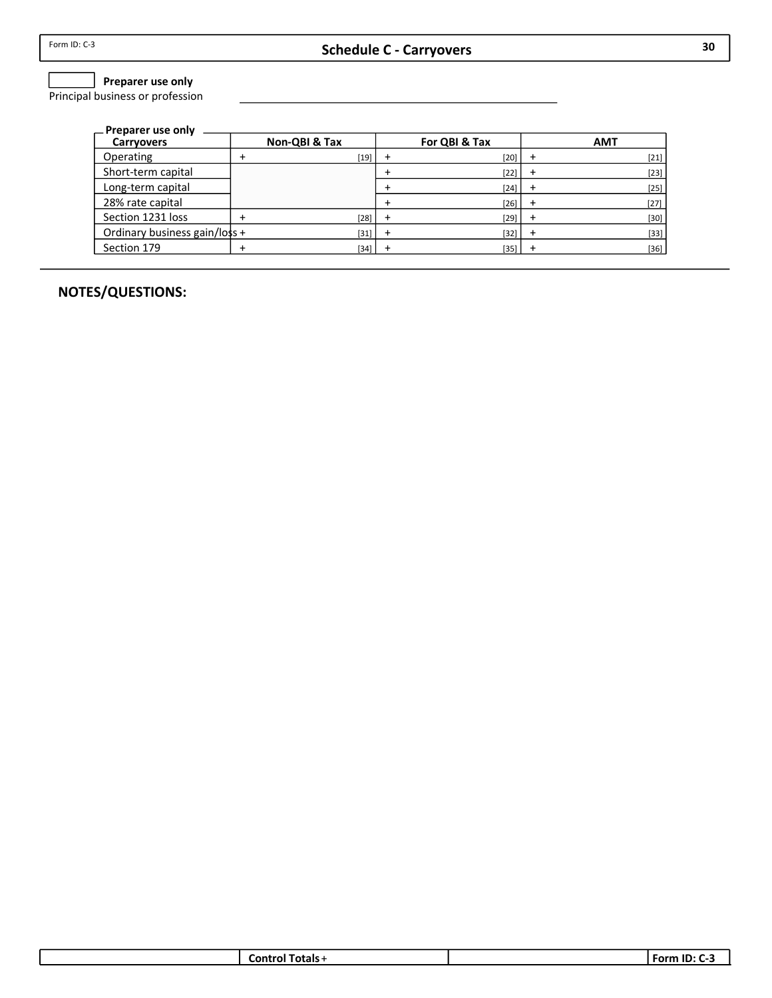## $\Box$  Preparer use only

Principal business or profession

| — Preparer use only           |               |               |            |
|-------------------------------|---------------|---------------|------------|
| <b>Carryovers</b>             | Non-QBI & Tax | For QBI & Tax | <b>AMT</b> |
| Operating                     | $[19]$        | $[20]$        | $[21]$     |
| Short-term capital            |               | $[22]$        | $[23]$     |
| Long-term capital             |               | $[24]$        | $[25]$     |
| 28% rate capital              |               | $[26]$        | $[27]$     |
| Section 1231 loss             | $[28]$        | $[29]$        | $[30]$     |
| Ordinary business gain/loss + | $[31]$        | [32]          | $[33]$     |
| Section 179                   | $[34]$        | $[35]$        | $[36]$     |

| ---<br>'als<br>.on: | ID.<br>. .<br>----<br>ÞМ |
|---------------------|--------------------------|
|                     |                          |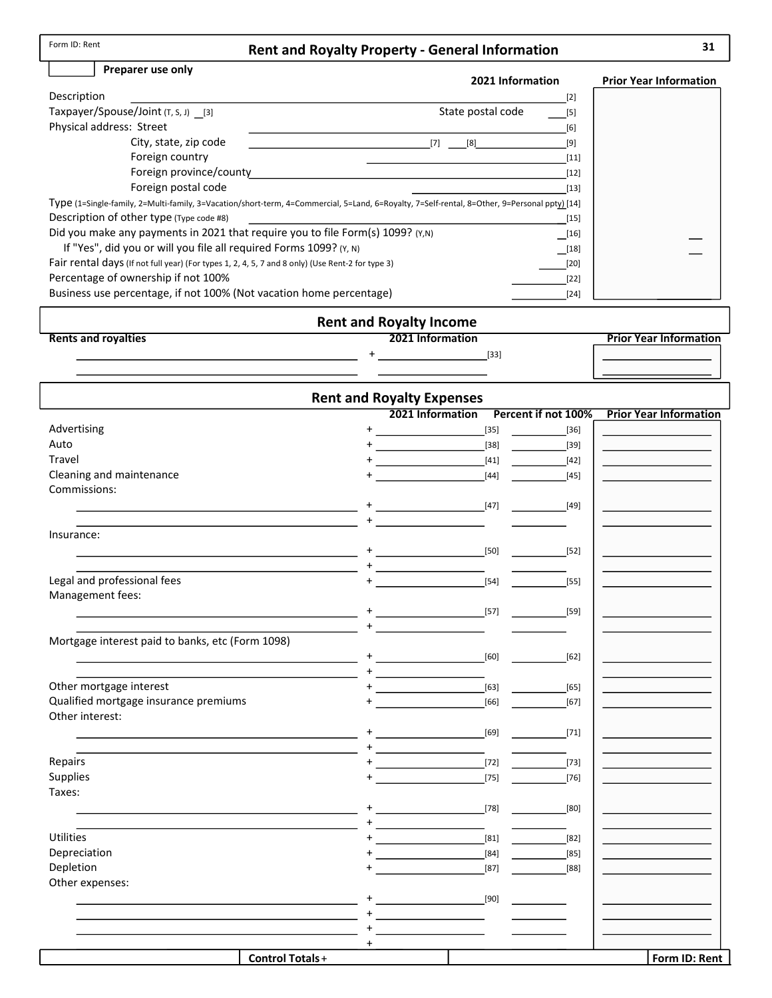## Rent and Royalty Property - General Information

## Preparer use only

#### 2021 Information Prior Year Information

| Description                                                                                                                                  | $[2]$                                                                                                                                                                                                                           |
|----------------------------------------------------------------------------------------------------------------------------------------------|---------------------------------------------------------------------------------------------------------------------------------------------------------------------------------------------------------------------------------|
| Taxpayer/Spouse/Joint $(T, S, J)$ [3]                                                                                                        | State postal code<br>[5]                                                                                                                                                                                                        |
| Physical address: Street                                                                                                                     | [6]                                                                                                                                                                                                                             |
| City, state, zip code                                                                                                                        | [7]<br>[8]<br>[9]                                                                                                                                                                                                               |
| Foreign country                                                                                                                              | $[11]$                                                                                                                                                                                                                          |
| Foreign province/county                                                                                                                      | $[12]$                                                                                                                                                                                                                          |
| Foreign postal code                                                                                                                          | $[13]$                                                                                                                                                                                                                          |
| Type (1=Single-family, 2=Multi-family, 3=Vacation/short-term, 4=Commercial, 5=Land, 6=Royalty, 7=Self-rental, 8=Other, 9=Personal ppty) [14] |                                                                                                                                                                                                                                 |
| Description of other type (Type code #8)                                                                                                     | $[15]$                                                                                                                                                                                                                          |
| Did you make any payments in 2021 that require you to file Form(s) 1099? (Y,N)                                                               | $[16] \centering% \includegraphics[width=1\textwidth]{images/TransY.pdf} \caption{The 3D (black) method is used for the estimators (black) method. The left hand side is the same as in the left hand side.} \label{fig:class}$ |
| If "Yes", did you or will you file all required Forms 1099? (Y, N)                                                                           | [18]                                                                                                                                                                                                                            |
| Fair rental days (If not full year) (For types 1, 2, 4, 5, 7 and 8 only) (Use Rent-2 for type 3)                                             | [20]                                                                                                                                                                                                                            |
| Percentage of ownership if not 100%                                                                                                          | $[22]$                                                                                                                                                                                                                          |
| Business use percentage, if not 100% (Not vacation home percentage)                                                                          | $[24]$                                                                                                                                                                                                                          |

#### Rent and Royalty Income **Prior Year Information** Rents and royalties  $+$   $-$ [33]

|                                                  |                        | <b>Rent and Royalty Expenses</b>     |        |                               |
|--------------------------------------------------|------------------------|--------------------------------------|--------|-------------------------------|
|                                                  |                        | 2021 Information Percent if not 100% |        | <b>Prior Year Information</b> |
| Advertising                                      |                        |                                      | $[35]$ | $[36]$                        |
| Auto                                             |                        |                                      | $[38]$ | $[39]$                        |
| <b>Travel</b>                                    |                        |                                      | $[41]$ | $[42]$                        |
| Cleaning and maintenance                         |                        |                                      | $[44]$ | $[45]$                        |
| Commissions:                                     |                        |                                      |        |                               |
|                                                  |                        |                                      | [47]   | $[49]$                        |
|                                                  |                        |                                      |        |                               |
| Insurance:                                       |                        |                                      |        |                               |
|                                                  |                        |                                      | [50]   | [52]                          |
|                                                  |                        |                                      |        |                               |
| Legal and professional fees                      |                        |                                      | $[54]$ | $[55]$                        |
| Management fees:                                 |                        |                                      |        |                               |
|                                                  |                        |                                      | $[57]$ | [59]                          |
|                                                  |                        |                                      |        |                               |
| Mortgage interest paid to banks, etc (Form 1098) |                        |                                      |        |                               |
|                                                  |                        |                                      | [60]   | $[62]$                        |
|                                                  |                        | the company of the company of the    |        |                               |
| Other mortgage interest                          |                        |                                      | $[63]$ | $[65]$                        |
| Qualified mortgage insurance premiums            |                        |                                      | $[66]$ | $[67]$                        |
| Other interest:                                  |                        |                                      |        |                               |
|                                                  |                        |                                      | [69]   | $[71]$                        |
|                                                  |                        | <u>+ _________________</u> _         |        |                               |
| Repairs                                          |                        |                                      | $[72]$ | $[73]$                        |
| Supplies                                         |                        |                                      | $[75]$ | $[76]$                        |
| Taxes:                                           |                        |                                      |        |                               |
|                                                  |                        |                                      | [78]   | [80]                          |
|                                                  |                        |                                      |        |                               |
| Utilities                                        |                        |                                      | $[81]$ | $[82]$                        |
| Depreciation                                     |                        |                                      | $[84]$ | $[85]$                        |
| Depletion                                        |                        |                                      | $[87]$ | [88]                          |
| Other expenses:                                  |                        |                                      |        |                               |
|                                                  |                        |                                      | [90]   |                               |
|                                                  |                        |                                      |        |                               |
|                                                  |                        |                                      |        |                               |
|                                                  | $^+$                   |                                      |        |                               |
|                                                  | <b>Control Totals+</b> |                                      |        | Form ID: Rent                 |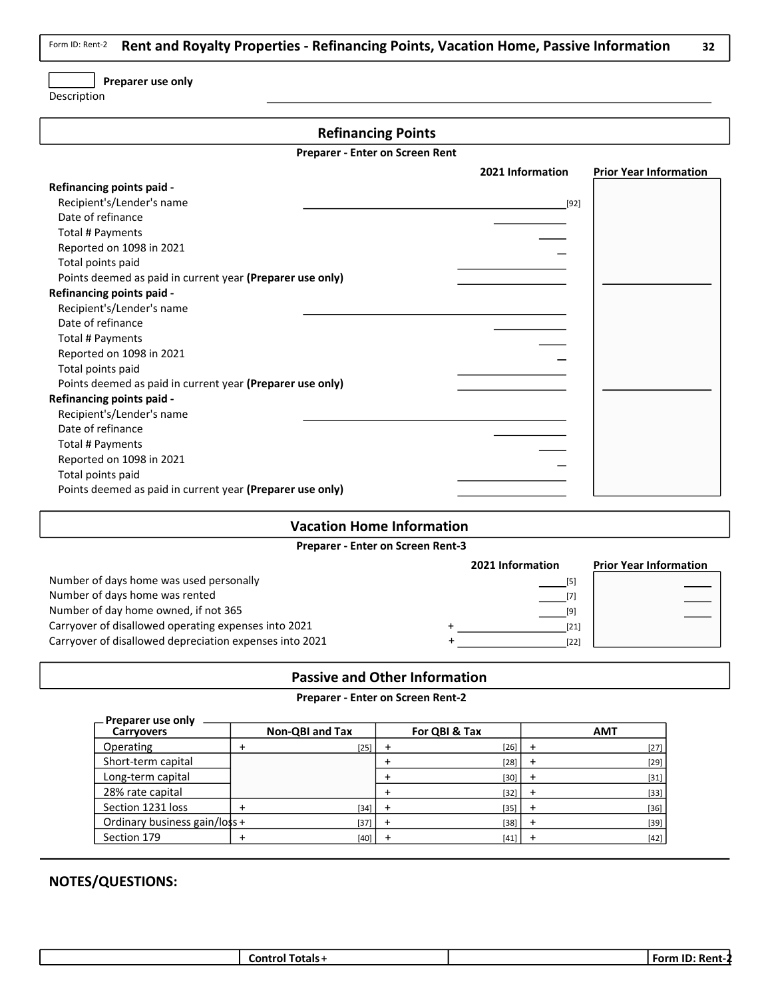Rent and Royalty Properties - Refinancing Points, Vacation Home, Passive Information Form ID: Rent-2

32

## Preparer use only

Description

## Refinancing Points

Preparer - Enter on Screen Rent

|                                                           | 2021 Information | <b>Prior Year Information</b> |
|-----------------------------------------------------------|------------------|-------------------------------|
| Refinancing points paid -                                 |                  |                               |
| Recipient's/Lender's name                                 | $[92]$           |                               |
| Date of refinance                                         |                  |                               |
| Total # Payments                                          |                  |                               |
| Reported on 1098 in 2021                                  |                  |                               |
| Total points paid                                         |                  |                               |
| Points deemed as paid in current year (Preparer use only) |                  |                               |
| Refinancing points paid -                                 |                  |                               |
| Recipient's/Lender's name                                 |                  |                               |
| Date of refinance                                         |                  |                               |
| Total # Payments                                          |                  |                               |
| Reported on 1098 in 2021                                  |                  |                               |
| Total points paid                                         |                  |                               |
| Points deemed as paid in current year (Preparer use only) |                  |                               |
| Refinancing points paid -                                 |                  |                               |
| Recipient's/Lender's name                                 |                  |                               |
| Date of refinance                                         |                  |                               |
| Total # Payments                                          |                  |                               |
| Reported on 1098 in 2021                                  |                  |                               |
| Total points paid                                         |                  |                               |
| Points deemed as paid in current year (Preparer use only) |                  |                               |

#### Vacation Home Information

Preparer - Enter on Screen Rent-3

|                                                         | 2021 Information | <b>Prior Year Information</b> |
|---------------------------------------------------------|------------------|-------------------------------|
| Number of days home was used personally                 | $[5]$            |                               |
| Number of days home was rented                          |                  |                               |
| Number of day home owned, if not 365                    | [9]              |                               |
| Carryover of disallowed operating expenses into 2021    | [21]             |                               |
| Carryover of disallowed depreciation expenses into 2021 | $[22]$           |                               |

## Passive and Other Information

#### Preparer - Enter on Screen Rent-2

| – Preparer use only           |                 |               |        |
|-------------------------------|-----------------|---------------|--------|
| <b>Carryovers</b>             | Non-QBI and Tax | For QBI & Tax | AMT    |
| Operating                     | $[25]$          | $[26]$        | $[27]$ |
| Short-term capital            |                 | $[28]$        | $[29]$ |
| Long-term capital             |                 | $[30]$        | $[31]$ |
| 28% rate capital              |                 | $[32]$        | $[33]$ |
| Section 1231 loss             | [34]            | $[35]$        | $[36]$ |
| Ordinary business gain/loss + | $[37]$          | $[38]$        | $[39]$ |
| Section 179                   | [40]            | $[41]$        | $[42]$ |

| <br>∙orm<br>⊤otals<br>∟ontrol <sup>∍</sup><br>41 L-<br>n.<br>. . |
|------------------------------------------------------------------|
|------------------------------------------------------------------|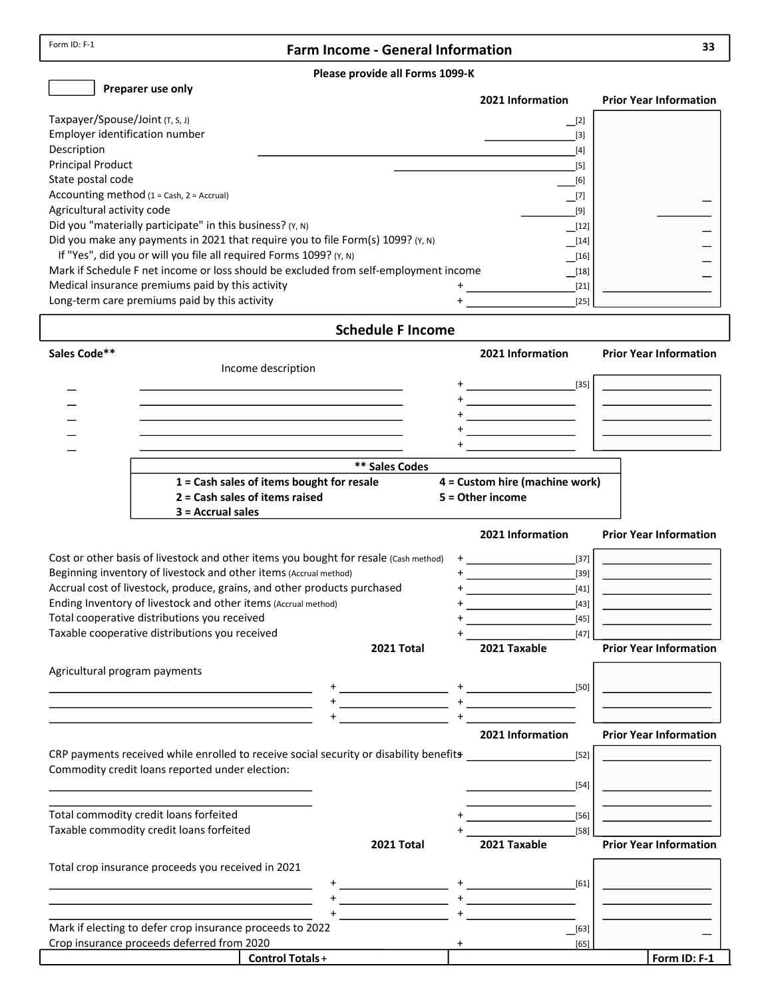$\Gamma$ 

## Farm Income - General Information 33

#### Please provide all Forms 1099-K

 $\Box$  Dranarer use only

| Preparer use only                                                                    | 2021 Information     | <b>Prior Year Information</b> |
|--------------------------------------------------------------------------------------|----------------------|-------------------------------|
| Taxpayer/Spouse/Joint (T, S, J)                                                      | $\Box$ [2]           |                               |
| Employer identification number                                                       | [3]                  |                               |
| Description                                                                          | [4]                  |                               |
| <b>Principal Product</b>                                                             | [5]                  |                               |
| State postal code                                                                    | [6]                  |                               |
| Accounting method $(1 = Cash, 2 = Accrual)$                                          | $\_$ [7]             |                               |
| Agricultural activity code                                                           | [9]                  |                               |
| Did you "materially participate" in this business? (Y, N)                            | $\lfloor 12 \rfloor$ |                               |
| Did you make any payments in 2021 that require you to file Form(s) 1099? (Y, N)      | $\sqrt{14}$          |                               |
| If "Yes", did you or will you file all required Forms 1099? (Y, N)                   | $\boxed{16}$         |                               |
| Mark if Schedule F net income or loss should be excluded from self-employment income | [18]                 |                               |
| Medical insurance premiums paid by this activity                                     | $[21]$               |                               |
| Long-term care premiums paid by this activity                                        | $[25]$               |                               |

## Schedule F Income

| Sales Code**                                                                                                                                                                                                                  |                                                                                               |      | 2021 Information                                                                                                     | <b>Prior Year Information</b> |
|-------------------------------------------------------------------------------------------------------------------------------------------------------------------------------------------------------------------------------|-----------------------------------------------------------------------------------------------|------|----------------------------------------------------------------------------------------------------------------------|-------------------------------|
| Income description                                                                                                                                                                                                            |                                                                                               |      |                                                                                                                      |                               |
|                                                                                                                                                                                                                               |                                                                                               |      |                                                                                                                      |                               |
|                                                                                                                                                                                                                               | the control of the control of the control of the control of the control of the control of the |      | <u> 1989 - Johann Barbara, politik eta politik eta politik eta politik eta politik eta politik eta politik eta p</u> |                               |
|                                                                                                                                                                                                                               |                                                                                               |      |                                                                                                                      |                               |
|                                                                                                                                                                                                                               |                                                                                               |      | <u> 1989 - Johann Barn, mars ann an t-</u>                                                                           |                               |
|                                                                                                                                                                                                                               |                                                                                               |      |                                                                                                                      |                               |
|                                                                                                                                                                                                                               | <b>** Sales Codes</b>                                                                         |      |                                                                                                                      |                               |
|                                                                                                                                                                                                                               | 1 = Cash sales of items bought for resale                                                     |      | 4 = Custom hire (machine work)                                                                                       |                               |
| 2 = Cash sales of items raised                                                                                                                                                                                                |                                                                                               |      | 5 = Other income                                                                                                     |                               |
| $3 = Accrual sales$                                                                                                                                                                                                           |                                                                                               |      |                                                                                                                      |                               |
|                                                                                                                                                                                                                               |                                                                                               |      | 2021 Information                                                                                                     | <b>Prior Year Information</b> |
| Cost or other basis of livestock and other items you bought for resale (Cash method)                                                                                                                                          |                                                                                               | $^+$ | $[37]$                                                                                                               |                               |
| Beginning inventory of livestock and other items (Accrual method)                                                                                                                                                             |                                                                                               |      | $[39]$                                                                                                               |                               |
| Accrual cost of livestock, produce, grains, and other products purchased                                                                                                                                                      |                                                                                               |      | $[41]$                                                                                                               |                               |
| Ending Inventory of livestock and other items (Accrual method)                                                                                                                                                                |                                                                                               |      | $[43]$                                                                                                               |                               |
| Total cooperative distributions you received                                                                                                                                                                                  |                                                                                               |      | $[45]$                                                                                                               |                               |
| Taxable cooperative distributions you received                                                                                                                                                                                |                                                                                               |      | $[47]$                                                                                                               |                               |
|                                                                                                                                                                                                                               | 2021 Total                                                                                    |      | 2021 Taxable                                                                                                         | <b>Prior Year Information</b> |
| Agricultural program payments                                                                                                                                                                                                 |                                                                                               |      |                                                                                                                      |                               |
|                                                                                                                                                                                                                               |                                                                                               |      | $[50]$                                                                                                               |                               |
| the control of the control of the control of the control of the control of the control of                                                                                                                                     |                                                                                               |      |                                                                                                                      |                               |
| <u> 1989 - Johann Stein, mars an deus Amerikaansk kommunister (</u>                                                                                                                                                           |                                                                                               |      |                                                                                                                      |                               |
| the control of the control of the control of the control of the control of the control of the control of the control of the control of the control of the control of the control of the control of the control of the control |                                                                                               |      | 2021 Information                                                                                                     | <b>Prior Year Information</b> |
| CRP payments received while enrolled to receive social security or disability benefits                                                                                                                                        |                                                                                               |      | $[52]$                                                                                                               |                               |
| Commodity credit loans reported under election:                                                                                                                                                                               |                                                                                               |      |                                                                                                                      |                               |
|                                                                                                                                                                                                                               |                                                                                               |      | $[54]$                                                                                                               |                               |
|                                                                                                                                                                                                                               |                                                                                               |      |                                                                                                                      |                               |
| Total commodity credit loans forfeited                                                                                                                                                                                        |                                                                                               |      | $[56]$                                                                                                               |                               |
| Taxable commodity credit loans forfeited                                                                                                                                                                                      | $2021$ Total                                                                                  |      | $[58]$<br>2021 Tavable                                                                                               | <b>Drior Voar Information</b> |

|                                                           | 2021 Total | 2021 Taxable |                | <b>Prior Year Information</b> |
|-----------------------------------------------------------|------------|--------------|----------------|-------------------------------|
| Total crop insurance proceeds you received in 2021        |            |              |                |                               |
|                                                           |            |              | [61]           |                               |
|                                                           |            |              |                |                               |
|                                                           |            |              |                |                               |
| Mark if electing to defer crop insurance proceeds to 2022 |            |              | $\boxed{[63]}$ |                               |
| Crop insurance proceeds deferred from 2020                |            |              | [65]           |                               |
| <b>Control Totals +</b>                                   |            |              |                | Form ID: F-1                  |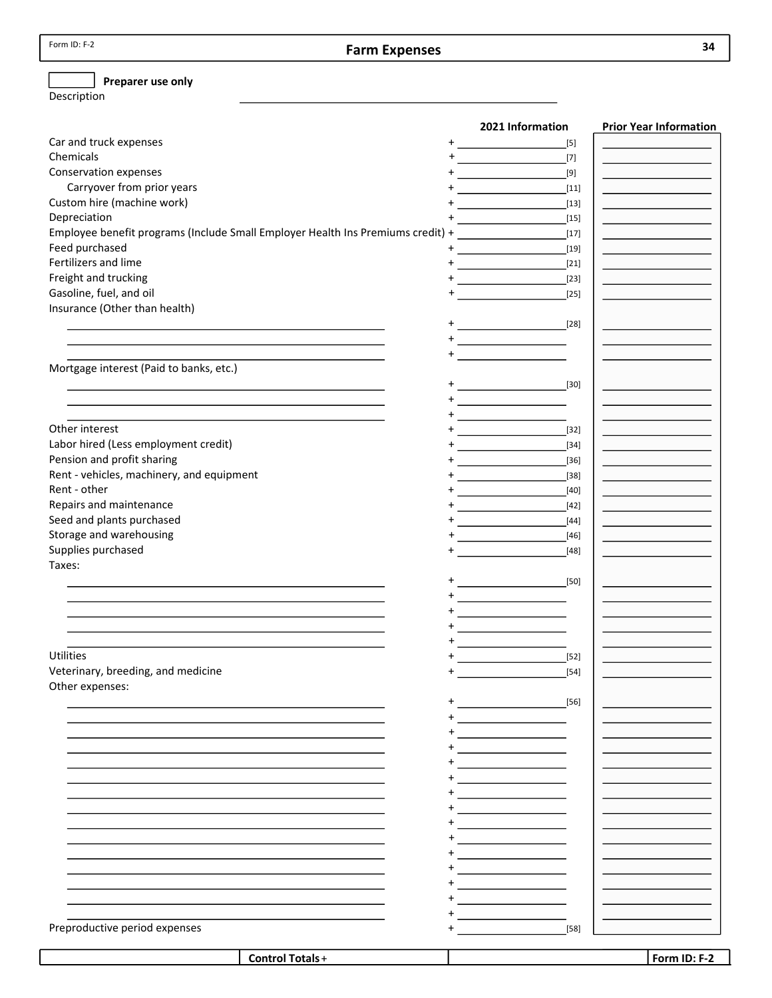## Farm Expenses

## $\Box$  Preparer use only

Description

| $[5]$<br>$+$<br>$[7]$<br>$\ddot{}$<br>[9]<br><u> 1989 - Johann Stoff, deutscher Stoff</u><br>Carryover from prior years<br>$[11]$<br>$[13]$<br>$+$<br>$[15]$<br>Employee benefit programs (Include Small Employer Health Ins Premiums credit) +<br>$[17]$<br>$\ddot{}$<br>$[19]$<br>$[21]$<br>Freight and trucking<br>$\label{eq:2.1} \frac{1}{\sqrt{2\pi}}\int_{\mathbb{R}^3}\left \frac{d\mathbf{x}}{d\mathbf{x}}\right ^2\,d\mathbf{x}^2\,d\mathbf{x}^2\,d\mathbf{x}^2\,d\mathbf{x}^2\,d\mathbf{x}^2\,d\mathbf{x}^2\,d\mathbf{x}^2\,d\mathbf{x}^2\,d\mathbf{x}^2\,d\mathbf{x}^2\,d\mathbf{x}^2\,d\mathbf{x}^2\,d\mathbf{x}^2\,d\mathbf{x}^2\,d\mathbf{x}^2\,d\mathbf{x}^2\,d\mathbf$<br>$[23]$<br>Gasoline, fuel, and oil<br>$[25]$<br>Insurance (Other than health)<br>$\ddot{}$<br>Mortgage interest (Paid to banks, etc.)<br>$+$<br>$[30]$<br>$+$<br>$\ddot{}$<br>Other interest<br><u> 1990 - Johann Barbara, mart</u><br>$[32]$<br>Labor hired (Less employment credit)<br>$[34]$<br>Pension and profit sharing<br>$[36]$<br>Rent - vehicles, machinery, and equipment<br>$[38]$<br>$[40]$<br>$[42]$<br><u> 1990 - John Barn Barn, amerikansk politiker</u><br>$[44]$<br>Storage and warehousing<br>$[46]$<br>Supplies purchased<br>$[48]$<br>$\ddot{}$<br>Taxes:<br>$[50]$<br>$\ddot{}$<br><b>Utilities</b><br>$[52]$<br>Veterinary, breeding, and medicine<br>$\ddot{}$<br>$[54]$<br>Other expenses:<br>$[56]$<br><u> 1980 - Johann Barbara, martxa a</u><br>the control of the control of the<br>the control of the control of the<br>Preproductive period expenses<br>$[58]$ |                            | 2021 Information | <b>Prior Year Information</b> |
|------------------------------------------------------------------------------------------------------------------------------------------------------------------------------------------------------------------------------------------------------------------------------------------------------------------------------------------------------------------------------------------------------------------------------------------------------------------------------------------------------------------------------------------------------------------------------------------------------------------------------------------------------------------------------------------------------------------------------------------------------------------------------------------------------------------------------------------------------------------------------------------------------------------------------------------------------------------------------------------------------------------------------------------------------------------------------------------------------------------------------------------------------------------------------------------------------------------------------------------------------------------------------------------------------------------------------------------------------------------------------------------------------------------------------------------------------------------------------------------------------------------------------------------------------------------------------------------|----------------------------|------------------|-------------------------------|
|                                                                                                                                                                                                                                                                                                                                                                                                                                                                                                                                                                                                                                                                                                                                                                                                                                                                                                                                                                                                                                                                                                                                                                                                                                                                                                                                                                                                                                                                                                                                                                                          | Car and truck expenses     |                  |                               |
|                                                                                                                                                                                                                                                                                                                                                                                                                                                                                                                                                                                                                                                                                                                                                                                                                                                                                                                                                                                                                                                                                                                                                                                                                                                                                                                                                                                                                                                                                                                                                                                          | Chemicals                  |                  |                               |
|                                                                                                                                                                                                                                                                                                                                                                                                                                                                                                                                                                                                                                                                                                                                                                                                                                                                                                                                                                                                                                                                                                                                                                                                                                                                                                                                                                                                                                                                                                                                                                                          | Conservation expenses      |                  |                               |
|                                                                                                                                                                                                                                                                                                                                                                                                                                                                                                                                                                                                                                                                                                                                                                                                                                                                                                                                                                                                                                                                                                                                                                                                                                                                                                                                                                                                                                                                                                                                                                                          |                            |                  |                               |
|                                                                                                                                                                                                                                                                                                                                                                                                                                                                                                                                                                                                                                                                                                                                                                                                                                                                                                                                                                                                                                                                                                                                                                                                                                                                                                                                                                                                                                                                                                                                                                                          | Custom hire (machine work) |                  |                               |
|                                                                                                                                                                                                                                                                                                                                                                                                                                                                                                                                                                                                                                                                                                                                                                                                                                                                                                                                                                                                                                                                                                                                                                                                                                                                                                                                                                                                                                                                                                                                                                                          | Depreciation               |                  |                               |
|                                                                                                                                                                                                                                                                                                                                                                                                                                                                                                                                                                                                                                                                                                                                                                                                                                                                                                                                                                                                                                                                                                                                                                                                                                                                                                                                                                                                                                                                                                                                                                                          |                            |                  |                               |
|                                                                                                                                                                                                                                                                                                                                                                                                                                                                                                                                                                                                                                                                                                                                                                                                                                                                                                                                                                                                                                                                                                                                                                                                                                                                                                                                                                                                                                                                                                                                                                                          | Feed purchased             |                  |                               |
|                                                                                                                                                                                                                                                                                                                                                                                                                                                                                                                                                                                                                                                                                                                                                                                                                                                                                                                                                                                                                                                                                                                                                                                                                                                                                                                                                                                                                                                                                                                                                                                          | Fertilizers and lime       |                  |                               |
|                                                                                                                                                                                                                                                                                                                                                                                                                                                                                                                                                                                                                                                                                                                                                                                                                                                                                                                                                                                                                                                                                                                                                                                                                                                                                                                                                                                                                                                                                                                                                                                          |                            |                  |                               |
|                                                                                                                                                                                                                                                                                                                                                                                                                                                                                                                                                                                                                                                                                                                                                                                                                                                                                                                                                                                                                                                                                                                                                                                                                                                                                                                                                                                                                                                                                                                                                                                          |                            |                  |                               |
|                                                                                                                                                                                                                                                                                                                                                                                                                                                                                                                                                                                                                                                                                                                                                                                                                                                                                                                                                                                                                                                                                                                                                                                                                                                                                                                                                                                                                                                                                                                                                                                          |                            |                  |                               |
|                                                                                                                                                                                                                                                                                                                                                                                                                                                                                                                                                                                                                                                                                                                                                                                                                                                                                                                                                                                                                                                                                                                                                                                                                                                                                                                                                                                                                                                                                                                                                                                          |                            |                  |                               |
|                                                                                                                                                                                                                                                                                                                                                                                                                                                                                                                                                                                                                                                                                                                                                                                                                                                                                                                                                                                                                                                                                                                                                                                                                                                                                                                                                                                                                                                                                                                                                                                          |                            |                  |                               |
|                                                                                                                                                                                                                                                                                                                                                                                                                                                                                                                                                                                                                                                                                                                                                                                                                                                                                                                                                                                                                                                                                                                                                                                                                                                                                                                                                                                                                                                                                                                                                                                          |                            |                  |                               |
|                                                                                                                                                                                                                                                                                                                                                                                                                                                                                                                                                                                                                                                                                                                                                                                                                                                                                                                                                                                                                                                                                                                                                                                                                                                                                                                                                                                                                                                                                                                                                                                          |                            |                  |                               |
|                                                                                                                                                                                                                                                                                                                                                                                                                                                                                                                                                                                                                                                                                                                                                                                                                                                                                                                                                                                                                                                                                                                                                                                                                                                                                                                                                                                                                                                                                                                                                                                          |                            |                  |                               |
|                                                                                                                                                                                                                                                                                                                                                                                                                                                                                                                                                                                                                                                                                                                                                                                                                                                                                                                                                                                                                                                                                                                                                                                                                                                                                                                                                                                                                                                                                                                                                                                          |                            |                  |                               |
|                                                                                                                                                                                                                                                                                                                                                                                                                                                                                                                                                                                                                                                                                                                                                                                                                                                                                                                                                                                                                                                                                                                                                                                                                                                                                                                                                                                                                                                                                                                                                                                          |                            |                  |                               |
|                                                                                                                                                                                                                                                                                                                                                                                                                                                                                                                                                                                                                                                                                                                                                                                                                                                                                                                                                                                                                                                                                                                                                                                                                                                                                                                                                                                                                                                                                                                                                                                          |                            |                  |                               |
|                                                                                                                                                                                                                                                                                                                                                                                                                                                                                                                                                                                                                                                                                                                                                                                                                                                                                                                                                                                                                                                                                                                                                                                                                                                                                                                                                                                                                                                                                                                                                                                          |                            |                  |                               |
|                                                                                                                                                                                                                                                                                                                                                                                                                                                                                                                                                                                                                                                                                                                                                                                                                                                                                                                                                                                                                                                                                                                                                                                                                                                                                                                                                                                                                                                                                                                                                                                          |                            |                  |                               |
|                                                                                                                                                                                                                                                                                                                                                                                                                                                                                                                                                                                                                                                                                                                                                                                                                                                                                                                                                                                                                                                                                                                                                                                                                                                                                                                                                                                                                                                                                                                                                                                          |                            |                  |                               |
|                                                                                                                                                                                                                                                                                                                                                                                                                                                                                                                                                                                                                                                                                                                                                                                                                                                                                                                                                                                                                                                                                                                                                                                                                                                                                                                                                                                                                                                                                                                                                                                          |                            |                  |                               |
|                                                                                                                                                                                                                                                                                                                                                                                                                                                                                                                                                                                                                                                                                                                                                                                                                                                                                                                                                                                                                                                                                                                                                                                                                                                                                                                                                                                                                                                                                                                                                                                          | Rent - other               |                  |                               |
|                                                                                                                                                                                                                                                                                                                                                                                                                                                                                                                                                                                                                                                                                                                                                                                                                                                                                                                                                                                                                                                                                                                                                                                                                                                                                                                                                                                                                                                                                                                                                                                          | Repairs and maintenance    |                  |                               |
|                                                                                                                                                                                                                                                                                                                                                                                                                                                                                                                                                                                                                                                                                                                                                                                                                                                                                                                                                                                                                                                                                                                                                                                                                                                                                                                                                                                                                                                                                                                                                                                          | Seed and plants purchased  |                  |                               |
|                                                                                                                                                                                                                                                                                                                                                                                                                                                                                                                                                                                                                                                                                                                                                                                                                                                                                                                                                                                                                                                                                                                                                                                                                                                                                                                                                                                                                                                                                                                                                                                          |                            |                  |                               |
|                                                                                                                                                                                                                                                                                                                                                                                                                                                                                                                                                                                                                                                                                                                                                                                                                                                                                                                                                                                                                                                                                                                                                                                                                                                                                                                                                                                                                                                                                                                                                                                          |                            |                  |                               |
|                                                                                                                                                                                                                                                                                                                                                                                                                                                                                                                                                                                                                                                                                                                                                                                                                                                                                                                                                                                                                                                                                                                                                                                                                                                                                                                                                                                                                                                                                                                                                                                          |                            |                  |                               |
|                                                                                                                                                                                                                                                                                                                                                                                                                                                                                                                                                                                                                                                                                                                                                                                                                                                                                                                                                                                                                                                                                                                                                                                                                                                                                                                                                                                                                                                                                                                                                                                          |                            |                  |                               |
|                                                                                                                                                                                                                                                                                                                                                                                                                                                                                                                                                                                                                                                                                                                                                                                                                                                                                                                                                                                                                                                                                                                                                                                                                                                                                                                                                                                                                                                                                                                                                                                          |                            |                  |                               |
|                                                                                                                                                                                                                                                                                                                                                                                                                                                                                                                                                                                                                                                                                                                                                                                                                                                                                                                                                                                                                                                                                                                                                                                                                                                                                                                                                                                                                                                                                                                                                                                          |                            |                  |                               |
|                                                                                                                                                                                                                                                                                                                                                                                                                                                                                                                                                                                                                                                                                                                                                                                                                                                                                                                                                                                                                                                                                                                                                                                                                                                                                                                                                                                                                                                                                                                                                                                          |                            |                  |                               |
|                                                                                                                                                                                                                                                                                                                                                                                                                                                                                                                                                                                                                                                                                                                                                                                                                                                                                                                                                                                                                                                                                                                                                                                                                                                                                                                                                                                                                                                                                                                                                                                          |                            |                  |                               |
|                                                                                                                                                                                                                                                                                                                                                                                                                                                                                                                                                                                                                                                                                                                                                                                                                                                                                                                                                                                                                                                                                                                                                                                                                                                                                                                                                                                                                                                                                                                                                                                          |                            |                  |                               |
|                                                                                                                                                                                                                                                                                                                                                                                                                                                                                                                                                                                                                                                                                                                                                                                                                                                                                                                                                                                                                                                                                                                                                                                                                                                                                                                                                                                                                                                                                                                                                                                          |                            |                  |                               |
|                                                                                                                                                                                                                                                                                                                                                                                                                                                                                                                                                                                                                                                                                                                                                                                                                                                                                                                                                                                                                                                                                                                                                                                                                                                                                                                                                                                                                                                                                                                                                                                          |                            |                  |                               |
|                                                                                                                                                                                                                                                                                                                                                                                                                                                                                                                                                                                                                                                                                                                                                                                                                                                                                                                                                                                                                                                                                                                                                                                                                                                                                                                                                                                                                                                                                                                                                                                          |                            |                  |                               |
|                                                                                                                                                                                                                                                                                                                                                                                                                                                                                                                                                                                                                                                                                                                                                                                                                                                                                                                                                                                                                                                                                                                                                                                                                                                                                                                                                                                                                                                                                                                                                                                          |                            |                  |                               |
|                                                                                                                                                                                                                                                                                                                                                                                                                                                                                                                                                                                                                                                                                                                                                                                                                                                                                                                                                                                                                                                                                                                                                                                                                                                                                                                                                                                                                                                                                                                                                                                          |                            |                  |                               |
|                                                                                                                                                                                                                                                                                                                                                                                                                                                                                                                                                                                                                                                                                                                                                                                                                                                                                                                                                                                                                                                                                                                                                                                                                                                                                                                                                                                                                                                                                                                                                                                          |                            |                  |                               |
|                                                                                                                                                                                                                                                                                                                                                                                                                                                                                                                                                                                                                                                                                                                                                                                                                                                                                                                                                                                                                                                                                                                                                                                                                                                                                                                                                                                                                                                                                                                                                                                          |                            |                  |                               |
|                                                                                                                                                                                                                                                                                                                                                                                                                                                                                                                                                                                                                                                                                                                                                                                                                                                                                                                                                                                                                                                                                                                                                                                                                                                                                                                                                                                                                                                                                                                                                                                          |                            |                  |                               |
|                                                                                                                                                                                                                                                                                                                                                                                                                                                                                                                                                                                                                                                                                                                                                                                                                                                                                                                                                                                                                                                                                                                                                                                                                                                                                                                                                                                                                                                                                                                                                                                          |                            |                  |                               |
|                                                                                                                                                                                                                                                                                                                                                                                                                                                                                                                                                                                                                                                                                                                                                                                                                                                                                                                                                                                                                                                                                                                                                                                                                                                                                                                                                                                                                                                                                                                                                                                          |                            |                  |                               |
|                                                                                                                                                                                                                                                                                                                                                                                                                                                                                                                                                                                                                                                                                                                                                                                                                                                                                                                                                                                                                                                                                                                                                                                                                                                                                                                                                                                                                                                                                                                                                                                          |                            |                  |                               |
|                                                                                                                                                                                                                                                                                                                                                                                                                                                                                                                                                                                                                                                                                                                                                                                                                                                                                                                                                                                                                                                                                                                                                                                                                                                                                                                                                                                                                                                                                                                                                                                          |                            |                  |                               |
|                                                                                                                                                                                                                                                                                                                                                                                                                                                                                                                                                                                                                                                                                                                                                                                                                                                                                                                                                                                                                                                                                                                                                                                                                                                                                                                                                                                                                                                                                                                                                                                          |                            |                  |                               |
|                                                                                                                                                                                                                                                                                                                                                                                                                                                                                                                                                                                                                                                                                                                                                                                                                                                                                                                                                                                                                                                                                                                                                                                                                                                                                                                                                                                                                                                                                                                                                                                          |                            |                  |                               |
|                                                                                                                                                                                                                                                                                                                                                                                                                                                                                                                                                                                                                                                                                                                                                                                                                                                                                                                                                                                                                                                                                                                                                                                                                                                                                                                                                                                                                                                                                                                                                                                          |                            |                  |                               |
|                                                                                                                                                                                                                                                                                                                                                                                                                                                                                                                                                                                                                                                                                                                                                                                                                                                                                                                                                                                                                                                                                                                                                                                                                                                                                                                                                                                                                                                                                                                                                                                          |                            |                  |                               |
|                                                                                                                                                                                                                                                                                                                                                                                                                                                                                                                                                                                                                                                                                                                                                                                                                                                                                                                                                                                                                                                                                                                                                                                                                                                                                                                                                                                                                                                                                                                                                                                          |                            |                  |                               |
|                                                                                                                                                                                                                                                                                                                                                                                                                                                                                                                                                                                                                                                                                                                                                                                                                                                                                                                                                                                                                                                                                                                                                                                                                                                                                                                                                                                                                                                                                                                                                                                          |                            |                  |                               |
|                                                                                                                                                                                                                                                                                                                                                                                                                                                                                                                                                                                                                                                                                                                                                                                                                                                                                                                                                                                                                                                                                                                                                                                                                                                                                                                                                                                                                                                                                                                                                                                          |                            |                  |                               |
|                                                                                                                                                                                                                                                                                                                                                                                                                                                                                                                                                                                                                                                                                                                                                                                                                                                                                                                                                                                                                                                                                                                                                                                                                                                                                                                                                                                                                                                                                                                                                                                          |                            |                  |                               |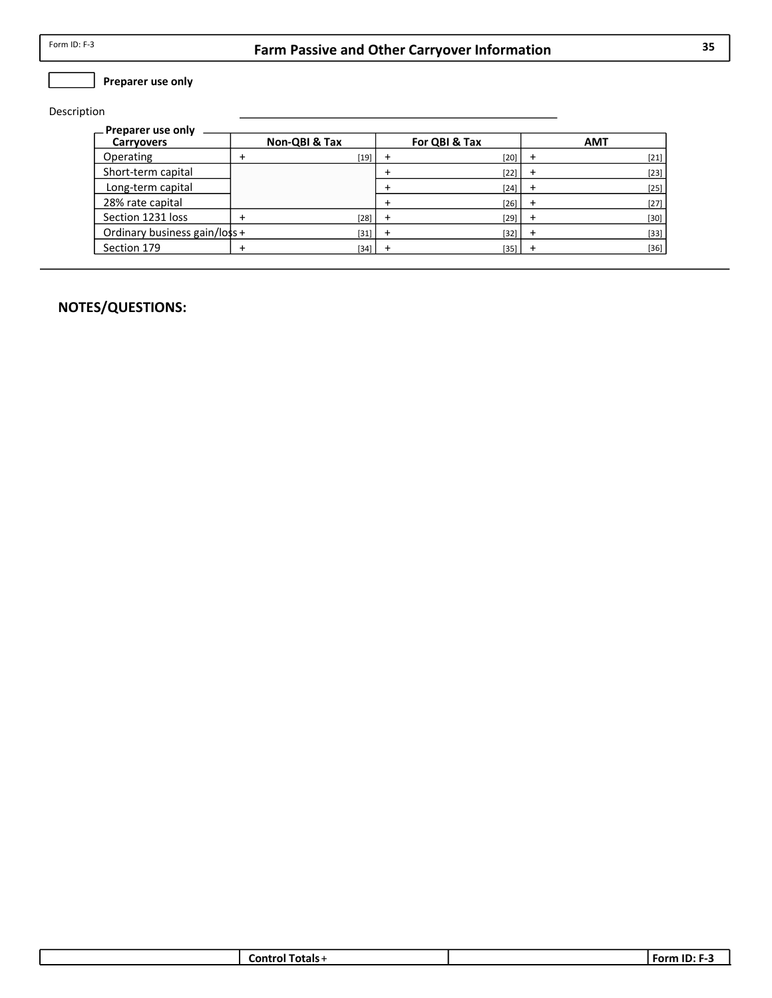$\Box$  Preparer use only

Description

| — Preparer use only           |               |               |            |
|-------------------------------|---------------|---------------|------------|
| <b>Carryovers</b>             | Non-QBI & Tax | For QBI & Tax | <b>AMT</b> |
| Operating                     | $[19]$        | $[20]$        | $[21]$     |
| Short-term capital            |               | $[22]$        | $[23]$     |
| Long-term capital             |               | $[24]$        | $[25]$     |
| 28% rate capital              |               | $[26]$        | $[27]$     |
| Section 1231 loss             | $[28]$        | $[29]$        | $[30]$     |
| Ordinary business gain/loss + | $[31]$        | $[32]$        | $[33]$     |
| Section 179                   | $[34]$        | $[35]$        | $[36]$     |

| ਾ als √ | $\overline{\phantom{a}}$ |
|---------|--------------------------|
| ור      | .                        |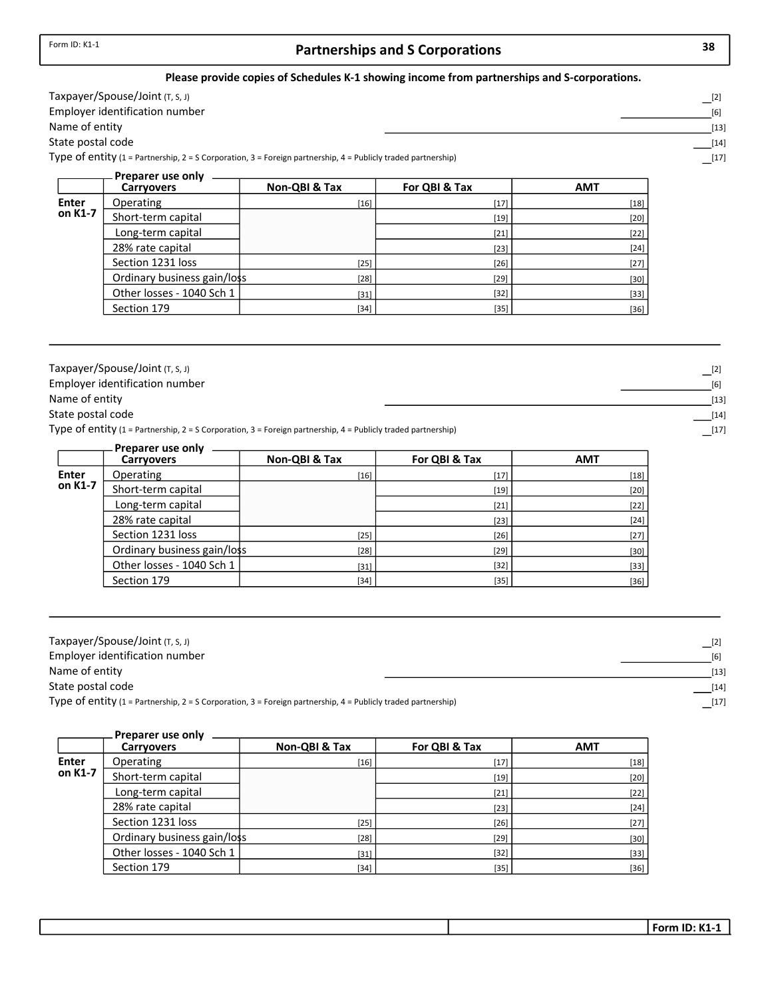## Partnerships and S Corporations 38

#### Please provide copies of Schedules K-1 showing income from partnerships and S-corporations.

| Тахрауег/Spouse/Joint (т, s, J)                                                                               |        |
|---------------------------------------------------------------------------------------------------------------|--------|
| Employer identification number                                                                                |        |
| Name of entity                                                                                                | $[13]$ |
| State postal code                                                                                             | [14]   |
| Type of entity (1 = Partnership, 2 = S Corporation, 3 = Foreign partnership, 4 = Publicly traded partnership) |        |

|              | Preparer use only           |               |               |            |
|--------------|-----------------------------|---------------|---------------|------------|
|              | <b>Carryovers</b>           | Non-QBI & Tax | For QBI & Tax | <b>AMT</b> |
| <b>Enter</b> | Operating                   | $[16]$        | $[17]$        | $[18]$     |
| on K1-7      | Short-term capital          |               | $[19]$        | $[20]$     |
|              | Long-term capital           |               | $[21]$        | $[22]$     |
|              | 28% rate capital            |               | $[23]$        | $[24]$     |
|              | Section 1231 loss           | $[25]$        | $[26]$        | $[27]$     |
|              | Ordinary business gain/loss | $[28]$        | $[29]$        | $[30]$     |
|              | Other losses - 1040 Sch 1   | $[31]$        | $[32]$        | $[33]$     |
|              | Section 179                 | $[34]$        | $[35]$        | $[36]$     |

| Taxpayer/Spouse/Joint $(T, S, J)$                                                                             |        |
|---------------------------------------------------------------------------------------------------------------|--------|
| Employer identification number                                                                                | [6]    |
| Name of entity                                                                                                | $[13]$ |
| State postal code                                                                                             | $[14]$ |
| Type of entity (1 = Partnership, 2 = S Corporation, 3 = Foreign partnership, 4 = Publicly traded partnership) | $[17]$ |

|         | Preparer use only           |               |               |            |
|---------|-----------------------------|---------------|---------------|------------|
|         | <b>Carryovers</b>           | Non-QBI & Tax | For QBI & Tax | <b>AMT</b> |
| Enter   | Operating                   | $[16]$        | $[17]$        | $[18]$     |
| on K1-7 | Short-term capital          |               | $[19]$        | $[20]$     |
|         | Long-term capital           |               | $[21]$        | $[22]$     |
|         | 28% rate capital            |               | $[23]$        | $[24]$     |
|         | Section 1231 loss           | $[25]$        | $[26]$        | $[27]$     |
|         | Ordinary business gain/loss | $[28]$        | $[29]$        | $[30]$     |
|         | Other losses - 1040 Sch 1   | $[31]$        | $[32]$        | $[33]$     |
|         | Section 179                 | $[34]$        | $[35]$        | $[36]$     |

| Taxpayer/Spouse/Joint (T, S, J)                                                                               | $[2]$  |
|---------------------------------------------------------------------------------------------------------------|--------|
| Employer identification number                                                                                | [6]    |
| Name of entity                                                                                                | $[13]$ |
| State postal code                                                                                             | $[14]$ |
| Type of entity (1 = Partnership, 2 = S Corporation, 3 = Foreign partnership, 4 = Publicly traded partnership) | $[17]$ |

|         | Preparer use only           |               |               |            |
|---------|-----------------------------|---------------|---------------|------------|
|         | <b>Carryovers</b>           | Non-QBI & Tax | For QBI & Tax | <b>AMT</b> |
| Enter   | Operating                   | $[16]$        | $[17]$        | $[18]$     |
| on K1-7 | Short-term capital          |               | $[19]$        | $[20]$     |
|         | Long-term capital           |               | $[21]$        | $[22]$     |
|         | 28% rate capital            |               | $[23]$        | $[24]$     |
|         | Section 1231 loss           | $[25]$        | $[26]$        | $[27]$     |
|         | Ordinary business gain/loss | $[28]$        | $[29]$        | $[30]$     |
|         | Other losses - 1040 Sch 1   | $[31]$        | $[32]$        | $[33]$     |
|         | Section 179                 | $[34]$        | $[35]$        | $[36]$     |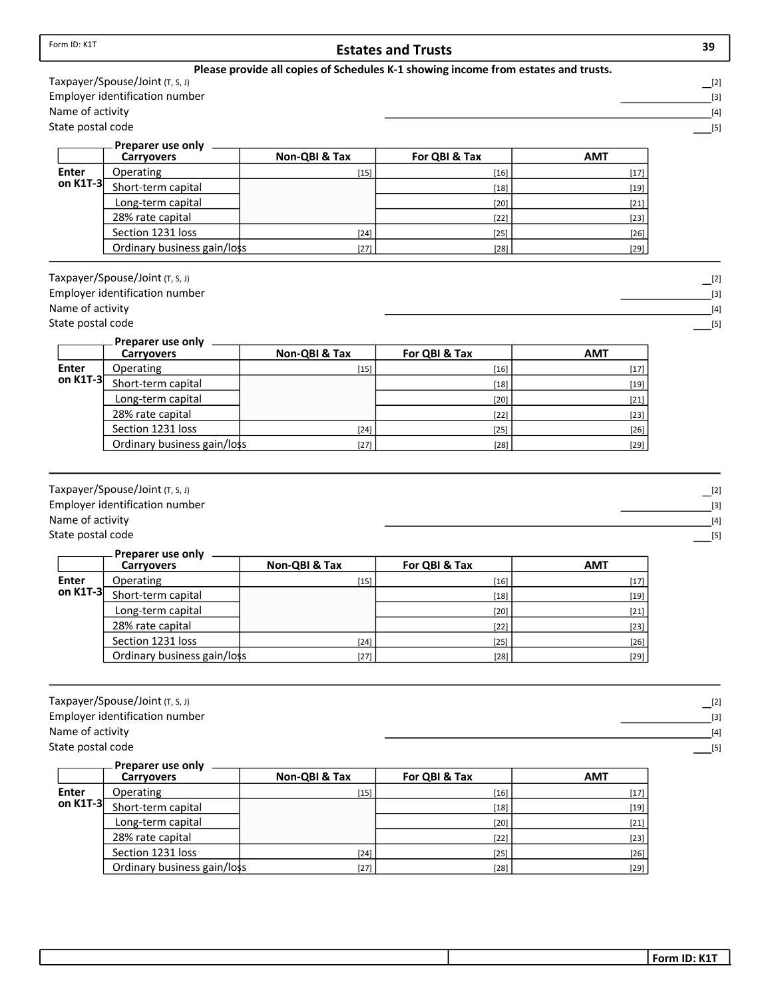|                   |                                                                   |               | Please provide all copies of Schedules K-1 showing income from estates and trusts. |            |                              |
|-------------------|-------------------------------------------------------------------|---------------|------------------------------------------------------------------------------------|------------|------------------------------|
|                   | Taxpayer/Spouse/Joint (T, S, J)<br>Employer identification number |               |                                                                                    |            | $\Box$ [2]                   |
| Name of activity  |                                                                   |               |                                                                                    |            | $[3]$<br>$[4]$               |
| State postal code |                                                                   |               |                                                                                    |            | $[5]$                        |
|                   |                                                                   |               |                                                                                    |            |                              |
|                   | Preparer use only<br><b>Carryovers</b>                            | Non-QBI & Tax | For QBI & Tax                                                                      | <b>AMT</b> |                              |
| <b>Enter</b>      | Operating                                                         | $[15]$        | $[16]$                                                                             | $[17]$     |                              |
| on K1T-3          | Short-term capital                                                |               | $[18]$                                                                             | $[19]$     |                              |
|                   | Long-term capital                                                 |               | $[20]$                                                                             | $[21]$     |                              |
|                   | 28% rate capital                                                  |               | $[22]$                                                                             | $[23]$     |                              |
|                   | Section 1231 loss                                                 | $[24]$        | $[25]$                                                                             | $[26]$     |                              |
|                   | Ordinary business gain/loss                                       | $[27]$        | $[28]$                                                                             | $[29]$     |                              |
|                   | Taxpayer/Spouse/Joint (T, S, J)<br>Employer identification number |               |                                                                                    |            | $\lfloor 2 \rfloor$          |
| Name of activity  |                                                                   |               |                                                                                    |            | $[3]$<br>$[4]$               |
| State postal code |                                                                   |               |                                                                                    |            | $[5]$                        |
|                   | Preparer use only<br><b>Carryovers</b>                            | Non-QBI & Tax | For QBI & Tax                                                                      | <b>AMT</b> |                              |
| <b>Enter</b>      | Operating                                                         | $[15]$        | $[16]$                                                                             | $[17]$     |                              |
| on K1T-3          | Short-term capital                                                |               | $[18]$                                                                             | $[19]$     |                              |
|                   | Long-term capital                                                 |               | $[20]$                                                                             | $[21]$     |                              |
|                   | 28% rate capital                                                  |               | $[22]$                                                                             | $[23]$     |                              |
|                   | Section 1231 loss                                                 | $[24]$        | $[25]$                                                                             | $[26]$     |                              |
|                   | Ordinary business gain/loss                                       | $[27]$        | $[28]$                                                                             | $[29]$     |                              |
| Name of activity  | Taxpayer/Spouse/Joint (T, S, J)<br>Employer identification number |               |                                                                                    |            | $\Box$ [2]<br>$[3]$<br>$[4]$ |
| State postal code |                                                                   |               |                                                                                    |            | $[5]$                        |
|                   | Preparer use only                                                 |               |                                                                                    |            |                              |
|                   | <b>Carryovers</b>                                                 | Non-QBI & Tax | For QBI & Tax                                                                      | <b>AMT</b> |                              |
| <b>Enter</b>      | Operating                                                         | $[15]$        | $[16]$                                                                             | $[17]$     |                              |
| on K1T-3          | Short-term capital                                                |               | $[18]$                                                                             | $[19]$     |                              |
|                   | Long-term capital                                                 |               | $[20]$                                                                             | $[21]$     |                              |
|                   | 28% rate capital                                                  |               | $[22]$                                                                             | $[23]$     |                              |
|                   | Section 1231 loss                                                 | $[24]$        | $[25]$                                                                             | $[26]$     |                              |
|                   | Ordinary business gain/loss                                       | $[27]$        | $[28]$                                                                             | $[29]$     |                              |
|                   | Taxpayer/Spouse/Joint (T, S, J)                                   |               |                                                                                    |            |                              |
|                   | Employer identification number                                    |               |                                                                                    |            | $\Box$ [2]<br>$[3]$          |
| Name of activity  |                                                                   |               |                                                                                    |            | $[4]$                        |
| State postal code |                                                                   |               |                                                                                    |            | $[5]$                        |
|                   | Preparer use only<br><b>Carryovers</b>                            | Non-QBI & Tax | For QBI & Tax                                                                      | <b>AMT</b> |                              |
| <b>Enter</b>      | Operating                                                         | $[15]$        | $[16]$                                                                             | $[17]$     |                              |
| on K1T-3          | Short-term capital                                                |               | $[18]$                                                                             | $[19]$     |                              |
|                   | Long-term capital                                                 |               | $[20]$                                                                             | $[21]$     |                              |
|                   | 28% rate capital                                                  |               | $[22]$                                                                             | $[23]$     |                              |
|                   | Section 1231 loss                                                 | $[24]$        | $[25]$                                                                             | $[26]$     |                              |
|                   | Ordinary business gain/loss                                       | $[27]$        | $[28]$                                                                             | $[29]$     |                              |

Form ID: K1T

 $\Box$ [2]  $\boxed{3}$  $\frac{1}{2}$ [4]

- $\Box$ [2]  $\frac{1}{2}$ [3]  $[4]$
- $\boxed{[5]}$

- $\lfloor$ [2]
- $\overline{\phantom{a}}$ [3]  $\boxed{[4]}$
- $\boxed{[5]}$

- 
- $\lfloor$ [2]
- $\frac{1}{2}$ [3]
- [4]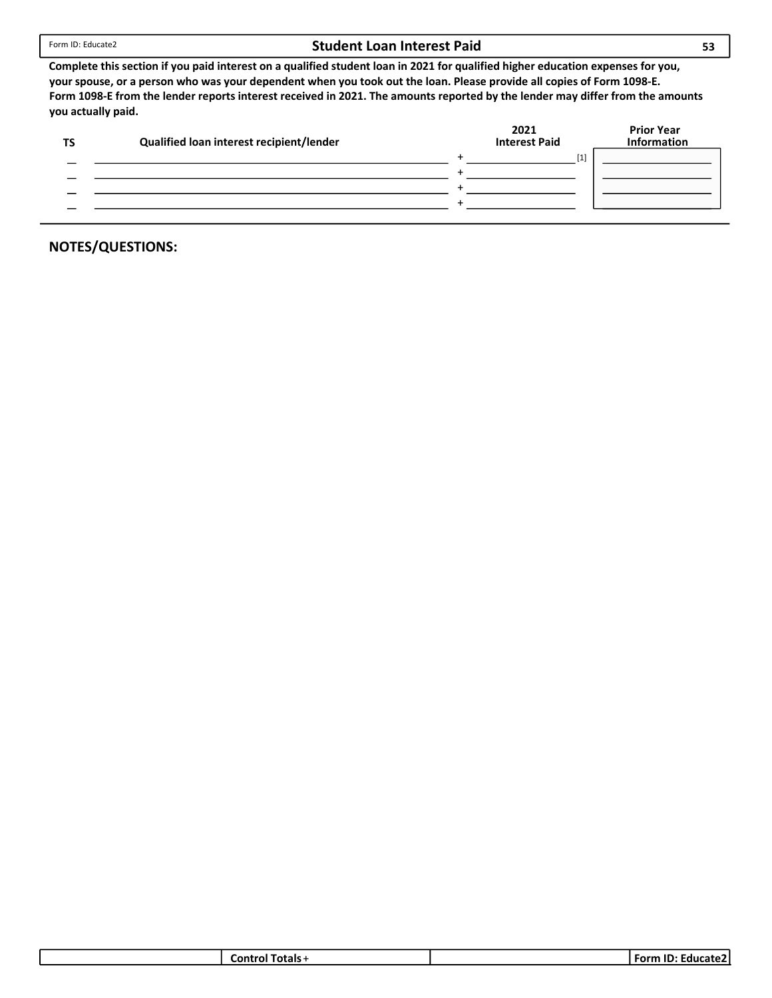#### Student Loan Interest Paid

Complete this section if you paid interest on a qualified student loan in 2021 for qualified higher education expenses for you, your spouse, or a person who was your dependent when you took out the loan. Please provide all copies of Form 1098-E. Form 1098-E from the lender reports interest received in 2021. The amounts reported by the lender may differ from the amounts you actually paid.

| Qualified loan interest recipient/lender | 2021<br>Interest Paid | <b>Prior Year</b><br><b>Information</b> |
|------------------------------------------|-----------------------|-----------------------------------------|
|                                          | $[1]$                 |                                         |
|                                          |                       |                                         |
|                                          |                       |                                         |
|                                          |                       |                                         |
|                                          |                       |                                         |

| Totals -<br>∴ Contrr | ID<br>' Form<br>∴⊦ducate |
|----------------------|--------------------------|
|                      |                          |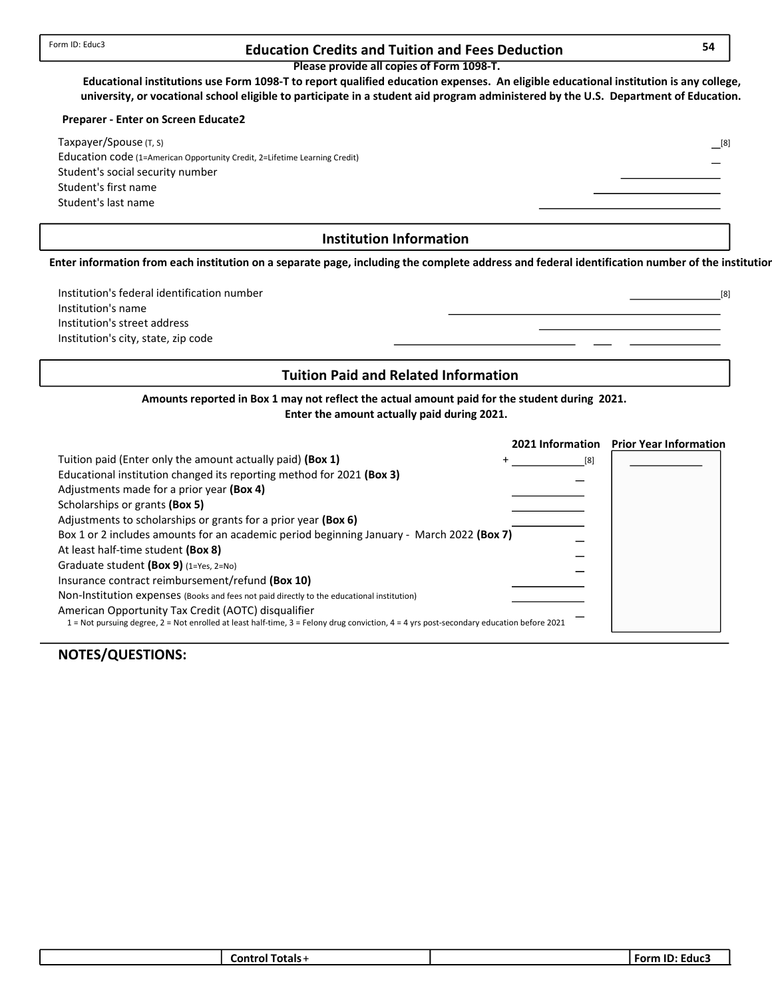## Form ID: Educ3 **Education Credits and Tuition and Fees Deduction** 54

Please provide all copies of Form 1098-T.

Educational institutions use Form 1098-T to report qualified education expenses. An eligible educational institution is any college, university, or vocational school eligible to participate in a student aid program administered by the U.S. Department of Education.

#### Preparer - Enter on Screen Educate2

Student's last name Student's first name Student's social security number Education code (1=American Opportunity Credit, 2=Lifetime Learning Credit) Taxpayer/Spouse (T, S)

#### Institution Information

Enter information from each institution on a separate page, including the complete address and federal identification number of the institution.

Institution's city, state, zip code Institution's street address Institution's name Institution's federal identification number

#### Tuition Paid and Related Information

Amounts reported in Box 1 may not reflect the actual amount paid for the student during 2021. Enter the amount actually paid during 2021.

|                                                                                                                                          | 2021 Information | <b>Prior Year Information</b> |
|------------------------------------------------------------------------------------------------------------------------------------------|------------------|-------------------------------|
| Tuition paid (Enter only the amount actually paid) (Box 1)                                                                               | [8]              |                               |
| Educational institution changed its reporting method for 2021 (Box 3)                                                                    |                  |                               |
| Adjustments made for a prior year (Box 4)                                                                                                |                  |                               |
| Scholarships or grants (Box 5)                                                                                                           |                  |                               |
| Adjustments to scholarships or grants for a prior year (Box 6)                                                                           |                  |                               |
| Box 1 or 2 includes amounts for an academic period beginning January - March 2022 (Box 7)                                                |                  |                               |
| At least half-time student (Box 8)                                                                                                       |                  |                               |
| Graduate student (Box 9) $(1=Yes, 2=No)$                                                                                                 |                  |                               |
| Insurance contract reimbursement/refund (Box 10)                                                                                         |                  |                               |
| Non-Institution expenses (Books and fees not paid directly to the educational institution)                                               |                  |                               |
| American Opportunity Tax Credit (AOTC) disqualifier                                                                                      |                  |                               |
| 1 = Not pursuing degree, 2 = Not enrolled at least half-time, 3 = Felony drug conviction, 4 = 4 yrs post-secondary education before 2021 |                  |                               |

## NOTES/QUESTIONS:

| <b>Control Totals +</b> | <b>Form ID: Educs</b> |
|-------------------------|-----------------------|
|                         |                       |

[8]

[8]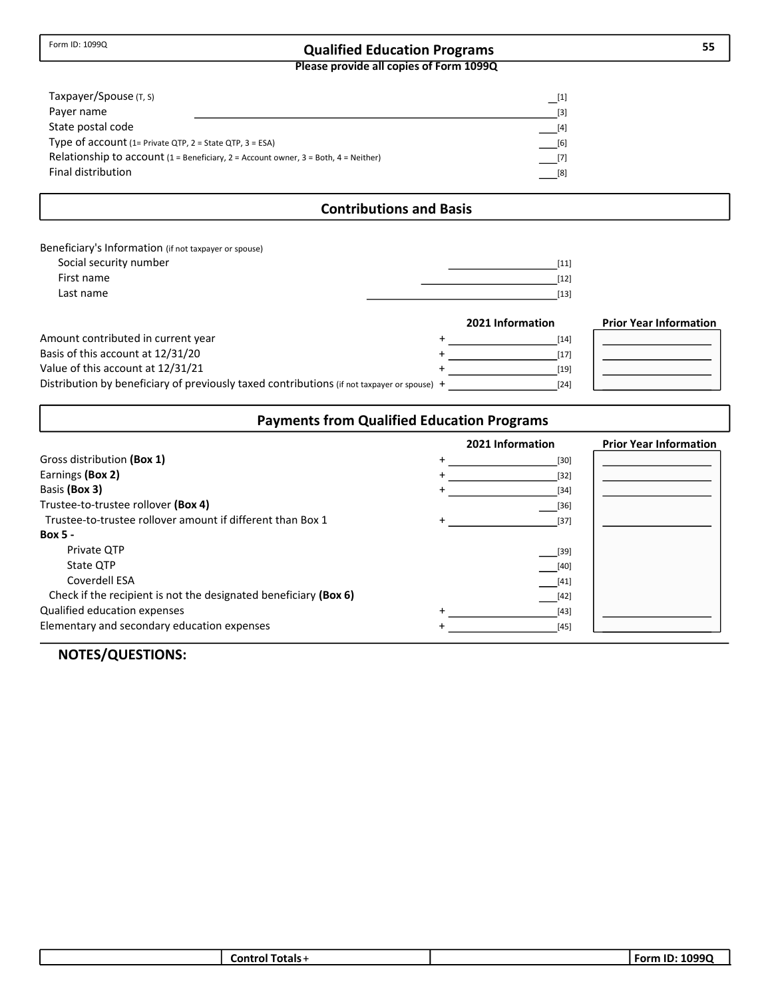# Qualified Education Programs 55

Please provide all copies of Form 1099Q

| Taxpayer/Spouse (T, S)                                         |                                                                                     | [1]               |
|----------------------------------------------------------------|-------------------------------------------------------------------------------------|-------------------|
| Payer name                                                     |                                                                                     | $\lceil 3 \rceil$ |
| State postal code                                              |                                                                                     | $[4]$             |
| Type of account $(1=$ Private QTP, $2 =$ State QTP, $3 =$ ESA) |                                                                                     | [6]               |
|                                                                | Relationship to account (1 = Beneficiary, 2 = Account owner, 3 = Both, 4 = Neither) | $[7]$             |
| Final distribution                                             |                                                                                     | [8]               |

## Contributions and Basis

| Beneficiary's Information (if not taxpayer or spouse) |      |
|-------------------------------------------------------|------|
| Social security number                                | [11] |
| First name                                            | [12] |
| Last name                                             | [13] |
|                                                       |      |

|                                                                                             | 2021 Information | <b>Prior Year Information</b> |
|---------------------------------------------------------------------------------------------|------------------|-------------------------------|
| Amount contributed in current year                                                          | [14]             |                               |
| Basis of this account at 12/31/20                                                           | [17]             |                               |
| Value of this account at 12/31/21                                                           | [19]             |                               |
| Distribution by beneficiary of previously taxed contributions (if not taxpayer or spouse) + | [24]             |                               |

## Payments from Qualified Education Programs

|                                                                  | 2021 Information | <b>Prior Year Information</b> |
|------------------------------------------------------------------|------------------|-------------------------------|
| Gross distribution (Box 1)                                       | $[30]$           |                               |
| Earnings (Box 2)                                                 | [32]             |                               |
| Basis (Box 3)                                                    | $[34]$           |                               |
| Trustee-to-trustee rollover (Box 4)                              | $[36]$           |                               |
| Trustee-to-trustee rollover amount if different than Box 1       | $[37]$           |                               |
| <b>Box 5 -</b>                                                   |                  |                               |
| Private QTP                                                      | [39]             |                               |
| State OTP                                                        | $[40]$           |                               |
| Coverdell ESA                                                    | $[41]$           |                               |
| Check if the recipient is not the designated beneficiary (Box 6) | $[42]$           |                               |
| Qualified education expenses                                     | $[43]$           |                               |
| Elementary and secondary education expenses                      | $[45]$           |                               |

## NOTES/QUESTIONS:

| . –<br>Control Totals+ | 1099Q<br>. ID:<br>Form |
|------------------------|------------------------|
|                        |                        |

П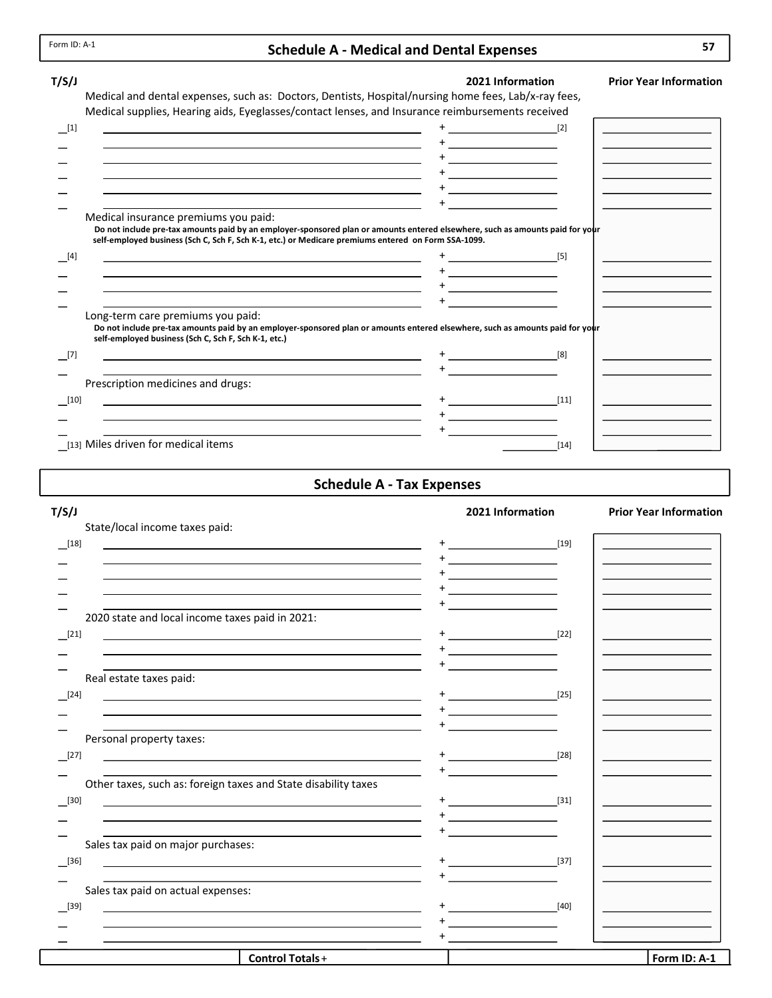## Schedule A - Medical and Dental Expenses

| T/S/J                                                                                                                                                                                                                                                                                                                                                                                                                                                                          | 2021 Information | <b>Prior Year Information</b> |
|--------------------------------------------------------------------------------------------------------------------------------------------------------------------------------------------------------------------------------------------------------------------------------------------------------------------------------------------------------------------------------------------------------------------------------------------------------------------------------|------------------|-------------------------------|
| Medical and dental expenses, such as: Doctors, Dentists, Hospital/nursing home fees, Lab/x-ray fees,                                                                                                                                                                                                                                                                                                                                                                           |                  |                               |
| Medical supplies, Hearing aids, Eyeglasses/contact lenses, and Insurance reimbursements received                                                                                                                                                                                                                                                                                                                                                                               |                  |                               |
| [1]                                                                                                                                                                                                                                                                                                                                                                                                                                                                            | [2]              |                               |
|                                                                                                                                                                                                                                                                                                                                                                                                                                                                                |                  |                               |
|                                                                                                                                                                                                                                                                                                                                                                                                                                                                                |                  |                               |
|                                                                                                                                                                                                                                                                                                                                                                                                                                                                                |                  |                               |
|                                                                                                                                                                                                                                                                                                                                                                                                                                                                                |                  |                               |
| Medical insurance premiums you paid:                                                                                                                                                                                                                                                                                                                                                                                                                                           |                  |                               |
| Do not include pre-tax amounts paid by an employer-sponsored plan or amounts entered elsewhere, such as amounts paid for your<br>self-employed business (Sch C, Sch F, Sch K-1, etc.) or Medicare premiums entered on Form SSA-1099.<br>$[4]$<br>the control of the control of the control of the control of the control of the control of the control of the control of the control of the control of the control of the control of the control of the control of the control |                  |                               |
| the control of the control of the control of the control of the control of the control of the control of the control of the control of the control of the control of the control of the control of the control of the control                                                                                                                                                                                                                                                  |                  |                               |
| <u> 1989 - Johann Stoff, amerikansk politiker (d. 1989)</u>                                                                                                                                                                                                                                                                                                                                                                                                                    |                  |                               |
|                                                                                                                                                                                                                                                                                                                                                                                                                                                                                |                  |                               |
| Long-term care premiums you paid:<br>Do not include pre-tax amounts paid by an employer-sponsored plan or amounts entered elsewhere, such as amounts paid for your<br>self-employed business (Sch C, Sch F, Sch K-1, etc.)                                                                                                                                                                                                                                                     |                  |                               |
| [7]                                                                                                                                                                                                                                                                                                                                                                                                                                                                            |                  |                               |
|                                                                                                                                                                                                                                                                                                                                                                                                                                                                                |                  |                               |
| Prescription medicines and drugs:                                                                                                                                                                                                                                                                                                                                                                                                                                              |                  |                               |
| <u> 1980 - Johann Barn, mars ann an t-Amhain Aonaich an t-Aonaich an t-Aonaich ann an t-Aonaich ann an t-Aonaich</u><br>$[10]$                                                                                                                                                                                                                                                                                                                                                 | $[11]$           |                               |
|                                                                                                                                                                                                                                                                                                                                                                                                                                                                                |                  |                               |
|                                                                                                                                                                                                                                                                                                                                                                                                                                                                                |                  |                               |
| [13] Miles driven for medical items                                                                                                                                                                                                                                                                                                                                                                                                                                            | $[14]$           |                               |

## Schedule A - Tax Expenses

| T/S/J                                                                                                                                                                                                                         | 2021 Information                                                    | <b>Prior Year Information</b> |
|-------------------------------------------------------------------------------------------------------------------------------------------------------------------------------------------------------------------------------|---------------------------------------------------------------------|-------------------------------|
| State/local income taxes paid:                                                                                                                                                                                                |                                                                     |                               |
| $\boxed{18}$                                                                                                                                                                                                                  |                                                                     |                               |
|                                                                                                                                                                                                                               |                                                                     |                               |
|                                                                                                                                                                                                                               |                                                                     |                               |
|                                                                                                                                                                                                                               | the control of the control of the                                   |                               |
|                                                                                                                                                                                                                               |                                                                     |                               |
| 2020 state and local income taxes paid in 2021:                                                                                                                                                                               |                                                                     |                               |
| $[21]$<br><u> 1989 - Johann John Stone, markin film yn y brenin y brenin y brenin y brenin y brenin y brenin y brenin y br</u>                                                                                                | $\sim$ [22]                                                         |                               |
|                                                                                                                                                                                                                               | <u> 1980 - Jan James James III, primeirann an Italian (b. 1981)</u> |                               |
| <u> 1989 - Johann Stein, marwolaethau a bhann an t-Alban ann an t-Alban an t-Alban ann an t-Alban an t-Alban ann a</u><br>Real estate taxes paid:                                                                             |                                                                     |                               |
| $[24]$                                                                                                                                                                                                                        |                                                                     |                               |
| <u> 1989 - Andrea Branden, amerikansk politik (d. 1989)</u>                                                                                                                                                                   | $\overline{\phantom{a}1}$ [25]                                      |                               |
| <u> 1989 - Johann Stoff, amerikansk politiker (d. 1989)</u>                                                                                                                                                                   | the control of the control of the                                   |                               |
| Personal property taxes:                                                                                                                                                                                                      |                                                                     |                               |
| $[27]$<br><u> 1989 - Andrea Stadt Britain, amerikansk politiker (</u>                                                                                                                                                         |                                                                     |                               |
|                                                                                                                                                                                                                               |                                                                     |                               |
| Other taxes, such as: foreign taxes and State disability taxes                                                                                                                                                                |                                                                     |                               |
| $\boxed{[30]}$<br><u> 1989 - Johann Barbara, martin amerikan basar dan berasal dalam basa dan berasal dalam basa dalam basa dalam </u>                                                                                        | $+$ [31]                                                            |                               |
|                                                                                                                                                                                                                               |                                                                     |                               |
| <u> 1989 - Johann Barbara, martin a</u>                                                                                                                                                                                       |                                                                     |                               |
| Sales tax paid on major purchases:                                                                                                                                                                                            |                                                                     |                               |
| [36]<br><u> 1989 - Johann Stoff, amerikansk politiker (d. 1989)</u>                                                                                                                                                           | $\sim$ [37]                                                         |                               |
|                                                                                                                                                                                                                               |                                                                     |                               |
| Sales tax paid on actual expenses:                                                                                                                                                                                            |                                                                     |                               |
| [39]                                                                                                                                                                                                                          | $[40]$                                                              |                               |
| the control of the control of the control of the control of the control of the control of the control of the control of the control of the control of the control of the control of the control of the control of the control | the control of the control of the control of                        |                               |
|                                                                                                                                                                                                                               |                                                                     |                               |
| <b>Control Totals+</b>                                                                                                                                                                                                        |                                                                     | Form ID: A-1                  |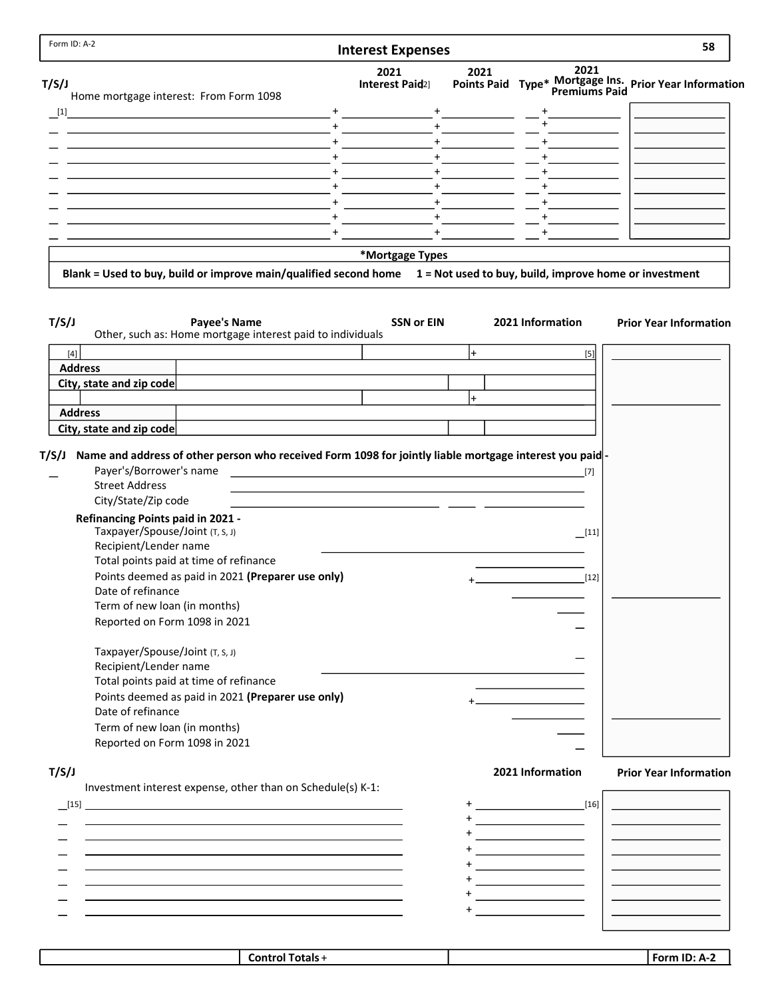|                                                                                                                                                                                                                                                                                                                                                     | <b>Interest Expenses</b>            |                    |                                                                                    |                  | 58                                                     |
|-----------------------------------------------------------------------------------------------------------------------------------------------------------------------------------------------------------------------------------------------------------------------------------------------------------------------------------------------------|-------------------------------------|--------------------|------------------------------------------------------------------------------------|------------------|--------------------------------------------------------|
| T/S/J                                                                                                                                                                                                                                                                                                                                               | 2021<br>Interest Paid <sub>2]</sub> | 2021               |                                                                                    | 2021             | Points Paid Type* Mortgage Ins. Prior Year Information |
| Home mortgage interest: From Form 1098<br>$[1]$<br><u> 1989 - Johann Barbara, martxa alemaniar arg</u>                                                                                                                                                                                                                                              |                                     |                    |                                                                                    |                  |                                                        |
| <u> 1989 - Johann Stein, mars an deus an deus an deus an deus an deus an deus an deus an deus an deus an deus an</u>                                                                                                                                                                                                                                |                                     |                    |                                                                                    |                  |                                                        |
|                                                                                                                                                                                                                                                                                                                                                     |                                     |                    |                                                                                    |                  |                                                        |
|                                                                                                                                                                                                                                                                                                                                                     |                                     |                    |                                                                                    |                  |                                                        |
|                                                                                                                                                                                                                                                                                                                                                     |                                     |                    |                                                                                    |                  |                                                        |
|                                                                                                                                                                                                                                                                                                                                                     |                                     | $+$                |                                                                                    |                  |                                                        |
|                                                                                                                                                                                                                                                                                                                                                     |                                     | $+$                |                                                                                    |                  |                                                        |
|                                                                                                                                                                                                                                                                                                                                                     |                                     | $+$                |                                                                                    |                  |                                                        |
|                                                                                                                                                                                                                                                                                                                                                     | $+$                                 |                    |                                                                                    |                  |                                                        |
|                                                                                                                                                                                                                                                                                                                                                     | *Mortgage Types                     |                    |                                                                                    |                  |                                                        |
| Blank = Used to buy, build or improve main/qualified second home 1 = Not used to buy, build, improve home or investment                                                                                                                                                                                                                             |                                     |                    |                                                                                    |                  |                                                        |
| T/S/J<br><b>Payee's Name</b><br>Other, such as: Home mortgage interest paid to individuals                                                                                                                                                                                                                                                          | <b>SSN or EIN</b>                   |                    | 2021 Information                                                                   |                  | <b>Prior Year Information</b>                          |
| $[4]$                                                                                                                                                                                                                                                                                                                                               |                                     | $\left  + \right $ |                                                                                    | $[5]$            |                                                        |
| <b>Address</b>                                                                                                                                                                                                                                                                                                                                      |                                     |                    |                                                                                    |                  |                                                        |
| City, state and zip code                                                                                                                                                                                                                                                                                                                            |                                     |                    |                                                                                    |                  |                                                        |
|                                                                                                                                                                                                                                                                                                                                                     |                                     | $\pm$              |                                                                                    |                  |                                                        |
| <b>Address</b>                                                                                                                                                                                                                                                                                                                                      |                                     |                    |                                                                                    |                  |                                                        |
| City, state and zip code                                                                                                                                                                                                                                                                                                                            |                                     |                    |                                                                                    |                  |                                                        |
| Payer's/Borrower's name<br><b>Street Address</b>                                                                                                                                                                                                                                                                                                    | <u>[7]</u>                          |                    |                                                                                    |                  |                                                        |
| City/State/Zip code<br><b>Refinancing Points paid in 2021 -</b><br>Taxpayer/Spouse/Joint (T, S, J)<br>Recipient/Lender name<br>Total points paid at time of refinance<br>Points deemed as paid in 2021 (Preparer use only)<br>Date of refinance<br>Term of new loan (in months)<br>Reported on Form 1098 in 2021<br>Taxpayer/Spouse/Joint (T, S, J) |                                     |                    |                                                                                    | $[11]$<br>$[12]$ |                                                        |
| Recipient/Lender name<br>Total points paid at time of refinance<br>Points deemed as paid in 2021 (Preparer use only)<br>Date of refinance<br>Term of new loan (in months)                                                                                                                                                                           |                                     |                    |                                                                                    |                  |                                                        |
| Reported on Form 1098 in 2021                                                                                                                                                                                                                                                                                                                       |                                     |                    |                                                                                    |                  |                                                        |
| Investment interest expense, other than on Schedule(s) K-1:                                                                                                                                                                                                                                                                                         |                                     |                    | 2021 Information                                                                   |                  |                                                        |
| [15]                                                                                                                                                                                                                                                                                                                                                |                                     |                    | $\sim$ [16]                                                                        |                  | <b>Prior Year Information</b>                          |
|                                                                                                                                                                                                                                                                                                                                                     |                                     |                    |                                                                                    |                  |                                                        |
|                                                                                                                                                                                                                                                                                                                                                     |                                     |                    |                                                                                    |                  |                                                        |
|                                                                                                                                                                                                                                                                                                                                                     |                                     |                    | <u> 1989 - Johann Barbara, martin a</u>                                            |                  |                                                        |
|                                                                                                                                                                                                                                                                                                                                                     |                                     |                    |                                                                                    |                  |                                                        |
| T/S/J                                                                                                                                                                                                                                                                                                                                               |                                     |                    | <u> 1990 - Johann Barbara, martin a</u><br><u> 1980 - Johann Barbara, martin a</u> |                  |                                                        |

|  | <b>Control</b><br>∵ Totals √ | $\overline{\phantom{a}}$<br>. .<br><b>Sorm</b><br>-- |
|--|------------------------------|------------------------------------------------------|
|  |                              |                                                      |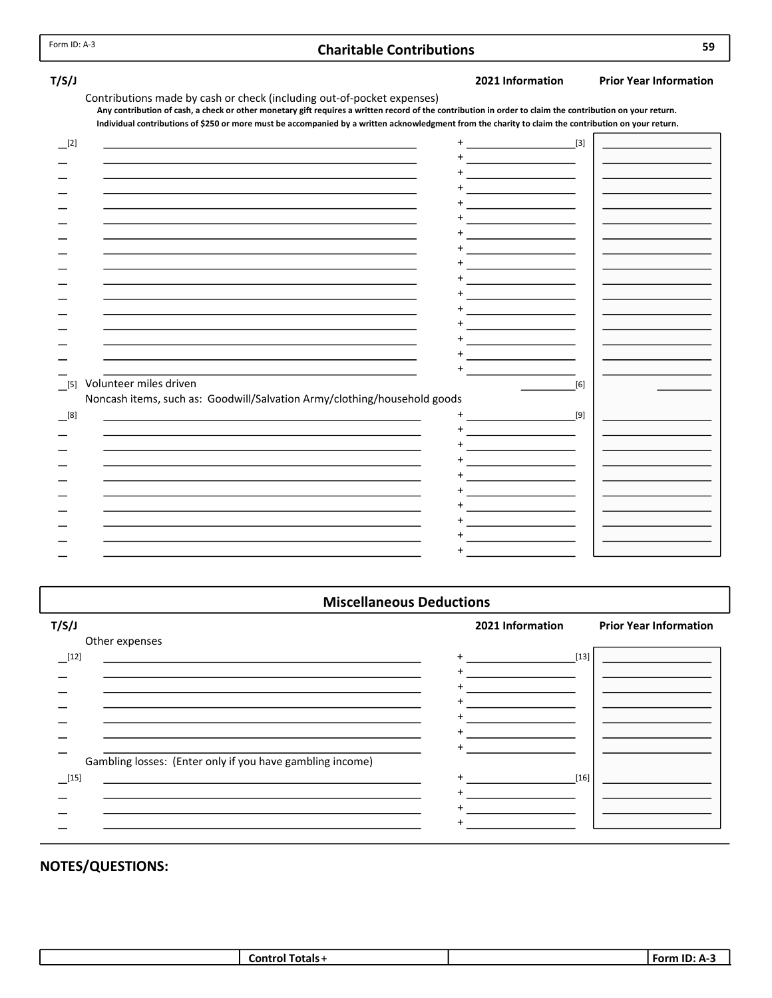## Charitable Contributions 59

T/S/J 2021 Information Prior Year Information

Contributions made by cash or check (including out-of-pocket expenses) Individual contributions of \$250 or more must be accompanied by a written acknowledgment from the charity to claim the contribution on your return. Any contribution of cash, a check or other monetary gift requires a written record of the contribution in order to claim the contribution on your return.

| [2]   |                                                                                                                                                                                              |                                                     | $\begin{bmatrix}3\end{bmatrix}$ |  |
|-------|----------------------------------------------------------------------------------------------------------------------------------------------------------------------------------------------|-----------------------------------------------------|---------------------------------|--|
|       |                                                                                                                                                                                              | the company of the company of the company           |                                 |  |
|       | the control of the control of the control of the control of the control of                                                                                                                   | the control of the control of the control of        |                                 |  |
|       | the control of the control of the control of the control of the control of                                                                                                                   |                                                     |                                 |  |
|       | the control of the control of the control of the control of the control of                                                                                                                   | the company of the company of the company of        |                                 |  |
|       |                                                                                                                                                                                              |                                                     |                                 |  |
|       | the control of the control of the control of the control of the control of                                                                                                                   | the company of the company of the company           |                                 |  |
|       |                                                                                                                                                                                              |                                                     |                                 |  |
|       |                                                                                                                                                                                              |                                                     |                                 |  |
|       |                                                                                                                                                                                              | the control of the control of the                   |                                 |  |
|       | the control of the control of the control of the control of the control of                                                                                                                   | the control of the control of the                   |                                 |  |
| $[5]$ | Volunteer miles driven                                                                                                                                                                       |                                                     | [6]                             |  |
| [8]   | Noncash items, such as: Goodwill/Salvation Army/clothing/household goods<br>and the control of the control of the control of the control of the control of the control of the control of the | $[9]$                                               |                                 |  |
|       |                                                                                                                                                                                              |                                                     |                                 |  |
|       |                                                                                                                                                                                              | <u> 1989 - John Barn Barn, amerikansk politiker</u> |                                 |  |
|       | the control of the control of the control of the control of the control of                                                                                                                   |                                                     |                                 |  |
|       |                                                                                                                                                                                              | the control of the control of                       |                                 |  |
|       |                                                                                                                                                                                              |                                                     |                                 |  |
|       |                                                                                                                                                                                              |                                                     |                                 |  |

#### Miscellaneous Deductions

| T/S/J                                                     | 2021 Information | <b>Prior Year Information</b> |
|-----------------------------------------------------------|------------------|-------------------------------|
| Other expenses                                            |                  |                               |
| $[12]$                                                    | $[13]$<br>$+$    |                               |
|                                                           |                  |                               |
|                                                           |                  |                               |
|                                                           |                  |                               |
|                                                           |                  |                               |
|                                                           |                  |                               |
| Gambling losses: (Enter only if you have gambling income) |                  |                               |
| $[15]$                                                    | $[16]$           |                               |
|                                                           |                  |                               |
|                                                           |                  |                               |
|                                                           |                  |                               |
|                                                           |                  |                               |

| --<br>`ontrol<br>ratale<br>vuais.<br>-- | $\sim$ $\sim$<br>… For∽<br> |
|-----------------------------------------|-----------------------------|
|-----------------------------------------|-----------------------------|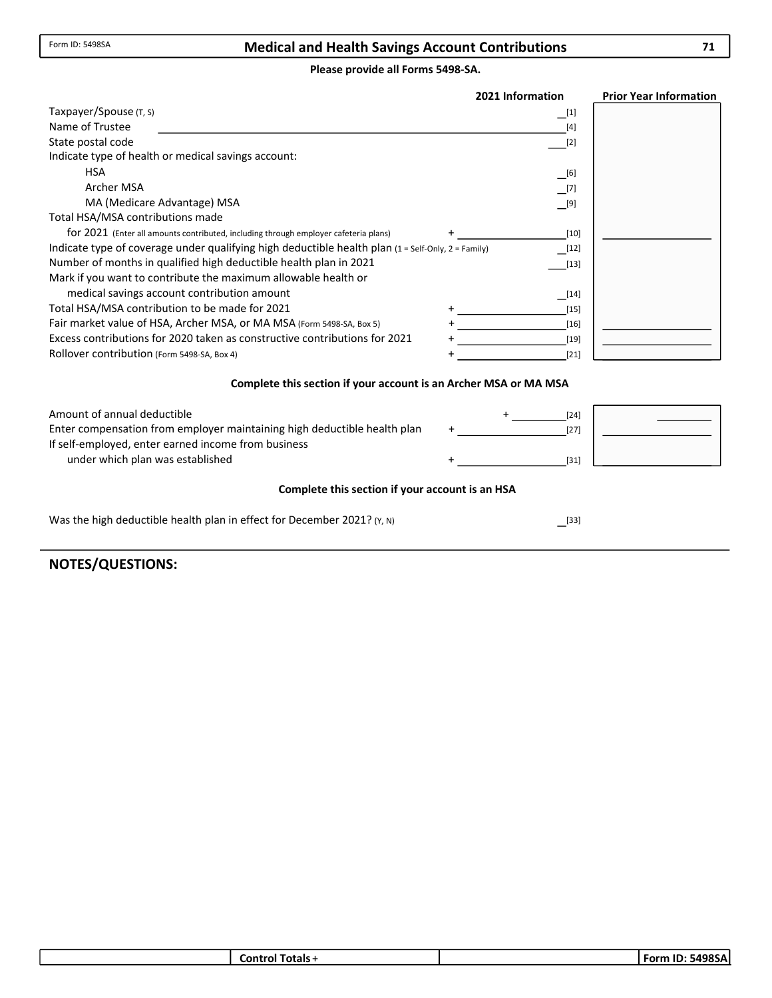### Medical and Health Savings Account Contributions

#### Please provide all Forms 5498-SA.

|                                                                                                                    | 2021 Information     | <b>Prior Year Information</b> |
|--------------------------------------------------------------------------------------------------------------------|----------------------|-------------------------------|
| Taxpayer/Spouse (T, S)                                                                                             | $\lfloor 1 \rfloor$  |                               |
| Name of Trustee                                                                                                    | $[4]$                |                               |
| State postal code                                                                                                  | $[2]$                |                               |
| Indicate type of health or medical savings account:                                                                |                      |                               |
| <b>HSA</b>                                                                                                         | $\Box$ [6]           |                               |
| Archer MSA                                                                                                         | $\Box$ [7]           |                               |
| MA (Medicare Advantage) MSA                                                                                        | $\Box^{[9]}$         |                               |
| Total HSA/MSA contributions made                                                                                   |                      |                               |
| for 2021 (Enter all amounts contributed, including through employer cafeteria plans)                               | $[10]$               |                               |
| Indicate type of coverage under qualifying high deductible health plan $(1 = \text{Self-Only}, 2 = \text{Family})$ | $\lfloor 12 \rfloor$ |                               |
| Number of months in qualified high deductible health plan in 2021                                                  | $[13]$               |                               |
| Mark if you want to contribute the maximum allowable health or                                                     |                      |                               |
| medical savings account contribution amount                                                                        | $\lfloor 14 \rfloor$ |                               |
| Total HSA/MSA contribution to be made for 2021                                                                     | $[15]$               |                               |
| Fair market value of HSA, Archer MSA, or MA MSA (Form 5498-SA, Box 5)                                              | $[16]$               |                               |
| Excess contributions for 2020 taken as constructive contributions for 2021                                         | [19]                 |                               |
| Rollover contribution (Form 5498-SA, Box 4)                                                                        | $[21]$               |                               |

#### Complete this section if your account is an Archer MSA or MA MSA

| Amount of annual deductible                                              |  | [24]   |  |
|--------------------------------------------------------------------------|--|--------|--|
| Enter compensation from employer maintaining high deductible health plan |  | $[27]$ |  |
| If self-employed, enter earned income from business                      |  |        |  |
| under which plan was established                                         |  | [31    |  |

#### Complete this section if your account is an HSA

 $^{[33]}$ 

Was the high deductible health plan in effect for December 2021? (Y, N)

|  |  | Totals ·<br>Control |  | : 5498SA<br><b>Form</b><br>$\overline{\phantom{a}}$ |
|--|--|---------------------|--|-----------------------------------------------------|
|--|--|---------------------|--|-----------------------------------------------------|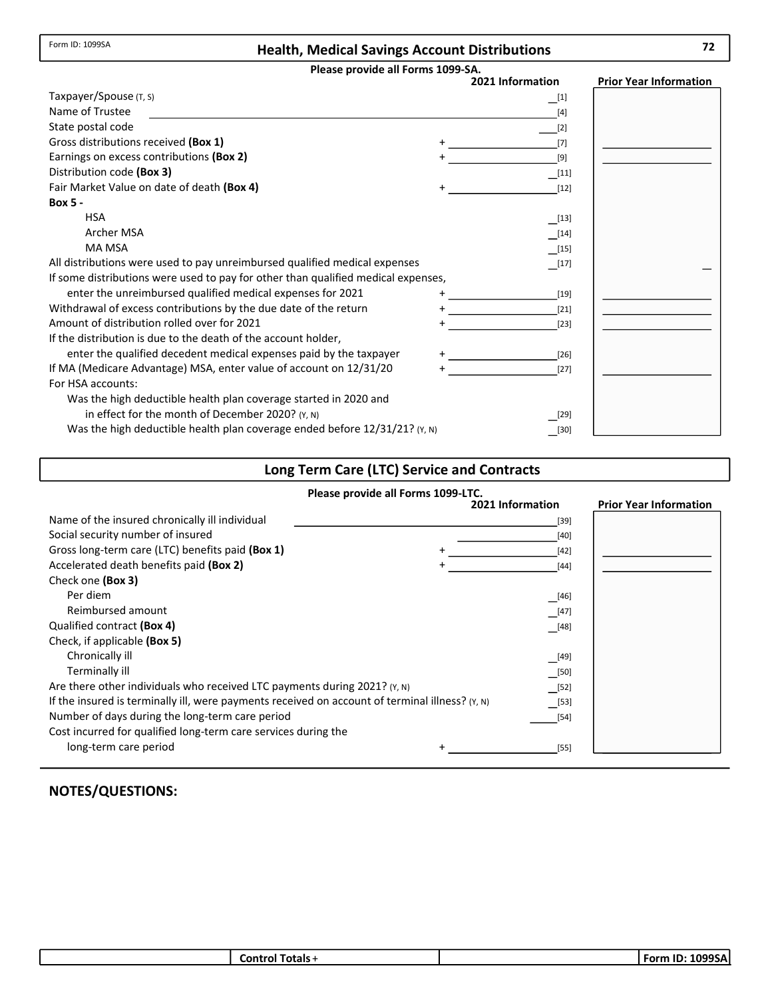Form ID: 1099SA

## Health, Medical Savings Account Distributions 72

#### Please provide all Forms 1099-SA.

|                                                                                   | 2021 Information     | <b>Prior Year Information</b> |
|-----------------------------------------------------------------------------------|----------------------|-------------------------------|
| Taxpayer/Spouse (T, S)                                                            | $\lfloor 1 \rfloor$  |                               |
| Name of Trustee                                                                   | $[4]$                |                               |
| State postal code                                                                 | $[2]$                |                               |
| Gross distributions received (Box 1)                                              | [7]                  |                               |
| Earnings on excess contributions (Box 2)                                          | [9]                  |                               |
| Distribution code (Box 3)                                                         | [11]                 |                               |
| Fair Market Value on date of death (Box 4)                                        | $[12]$               |                               |
| <b>Box 5 -</b>                                                                    |                      |                               |
| <b>HSA</b>                                                                        | $\lfloor 13 \rfloor$ |                               |
| Archer MSA                                                                        | $\lfloor 14 \rfloor$ |                               |
| MA MSA                                                                            | $\lfloor 15 \rfloor$ |                               |
| All distributions were used to pay unreimbursed qualified medical expenses        | $\lfloor 17 \rfloor$ |                               |
| If some distributions were used to pay for other than qualified medical expenses, |                      |                               |
| enter the unreimbursed qualified medical expenses for 2021                        | $[19]$               |                               |
| Withdrawal of excess contributions by the due date of the return                  | $[21]$               |                               |
| Amount of distribution rolled over for 2021                                       | $[23]$               |                               |
| If the distribution is due to the death of the account holder,                    |                      |                               |
| enter the qualified decedent medical expenses paid by the taxpayer                | $[26]$               |                               |
| If MA (Medicare Advantage) MSA, enter value of account on 12/31/20                | $[27]$               |                               |
| For HSA accounts:                                                                 |                      |                               |
| Was the high deductible health plan coverage started in 2020 and                  |                      |                               |
| in effect for the month of December 2020? (Y, N)                                  | [29]                 |                               |
| Was the high deductible health plan coverage ended before 12/31/21? (Y, N)        | [30]                 |                               |

# Long Term Care (LTC) Service and Contracts

|                                                                                                 | Please provide all Forms 1099-LTC. |                               |
|-------------------------------------------------------------------------------------------------|------------------------------------|-------------------------------|
|                                                                                                 | 2021 Information                   | <b>Prior Year Information</b> |
| Name of the insured chronically ill individual                                                  | $[39]$                             |                               |
| Social security number of insured                                                               | $[40]$                             |                               |
| Gross long-term care (LTC) benefits paid (Box 1)                                                | $[42]$<br>$\pm$                    |                               |
| Accelerated death benefits paid (Box 2)                                                         | $[44]$                             |                               |
| Check one (Box 3)                                                                               |                                    |                               |
| Per diem                                                                                        | [46]                               |                               |
| Reimbursed amount                                                                               | $[47]$                             |                               |
| Qualified contract (Box 4)                                                                      | [48]                               |                               |
| Check, if applicable (Box 5)                                                                    |                                    |                               |
| Chronically ill                                                                                 | __[49]                             |                               |
| Terminally ill                                                                                  | [50]                               |                               |
| Are there other individuals who received LTC payments during 2021? (Y, N)                       | [52]                               |                               |
| If the insured is terminally ill, were payments received on account of terminal illness? (Y, N) | [53]                               |                               |
| Number of days during the long-term care period                                                 | $[54]$                             |                               |
| Cost incurred for qualified long-term care services during the                                  |                                    |                               |
| long-term care period                                                                           | $[55]$                             |                               |

| otals :<br>∟on'<br>. וח | $\cdots$<br>. .<br>nn<br>- Forr″<br>SAI |
|-------------------------|-----------------------------------------|
|                         |                                         |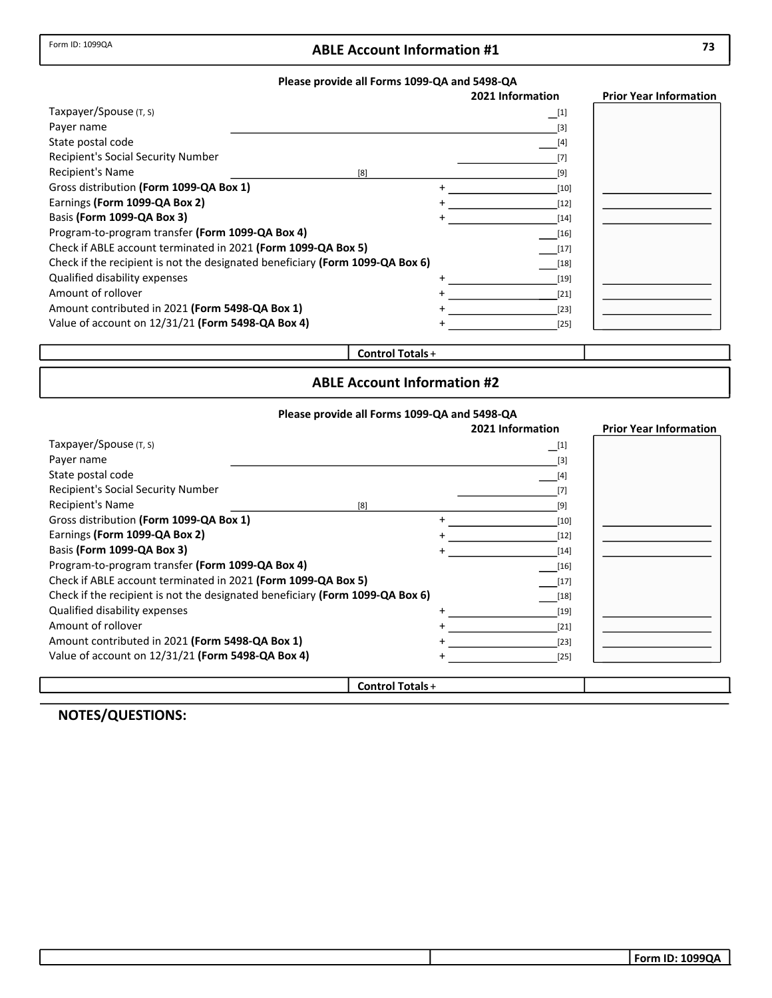## Form ID: 1099QA **ABLE Account Information #1** 73

#### Please provide all Forms 1099-QA and 5498-QA

|                                                                               | 2021 Information | <b>Prior Year Information</b> |
|-------------------------------------------------------------------------------|------------------|-------------------------------|
| Taxpayer/Spouse $(T, S)$                                                      | $\Box^{[1]}$     |                               |
| Payer name                                                                    | $[3]$            |                               |
| State postal code                                                             | $[4]$            |                               |
| Recipient's Social Security Number                                            | [7]              |                               |
| <b>Recipient's Name</b><br>[8]                                                | [9]              |                               |
| Gross distribution (Form 1099-QA Box 1)                                       | [10]             |                               |
| Earnings (Form 1099-QA Box 2)                                                 | $[12]$           |                               |
| Basis (Form 1099-QA Box 3)                                                    | $[14]$           |                               |
| Program-to-program transfer (Form 1099-QA Box 4)                              | $[16]$           |                               |
| Check if ABLE account terminated in 2021 (Form 1099-QA Box 5)                 | $[17]$           |                               |
| Check if the recipient is not the designated beneficiary (Form 1099-QA Box 6) | $[18]$           |                               |
| Qualified disability expenses                                                 | $[19]$           |                               |
| Amount of rollover                                                            | $[21]$           |                               |
| Amount contributed in 2021 (Form 5498-QA Box 1)                               | $[23]$           |                               |
| Value of account on 12/31/21 (Form 5498-QA Box 4)                             | [25]             |                               |

## Control Totals +

## ABLE Account Information #2

#### Please provide all Forms 1099-QA and 5498-QA

|                                                                               |                                    | 2021 Information  | <b>Prior Year Information</b> |
|-------------------------------------------------------------------------------|------------------------------------|-------------------|-------------------------------|
| Taxpayer/Spouse (T, S)                                                        |                                    | $\Box^{[1]}$      |                               |
| Payer name                                                                    |                                    | $\lceil 3 \rceil$ |                               |
| State postal code                                                             |                                    | $[4]$             |                               |
| <b>Recipient's Social Security Number</b>                                     |                                    | [7]               |                               |
| <b>Recipient's Name</b><br>[8]                                                |                                    | [9]               |                               |
| Gross distribution (Form 1099-QA Box 1)                                       | +                                  | $[10]$            |                               |
| Earnings (Form 1099-QA Box 2)                                                 |                                    | $[12]$            |                               |
| Basis (Form 1099-QA Box 3)                                                    |                                    | $[14]$            |                               |
| Program-to-program transfer (Form 1099-QA Box 4)                              |                                    | $[16]$            |                               |
| Check if ABLE account terminated in 2021 (Form 1099-QA Box 5)                 |                                    | $[17]$            |                               |
| Check if the recipient is not the designated beneficiary (Form 1099-QA Box 6) |                                    | $[18]$            |                               |
| Qualified disability expenses                                                 |                                    | $[19]$            |                               |
| Amount of rollover                                                            |                                    | $[21]$            |                               |
| Amount contributed in 2021 (Form 5498-QA Box 1)                               |                                    | $[23]$            |                               |
| Value of account on 12/31/21 (Form 5498-QA Box 4)                             |                                    | $[25]$            |                               |
|                                                                               | $\sim$ $\sim$ $\sim$ $\sim$ $\sim$ |                   |                               |

Control Totals +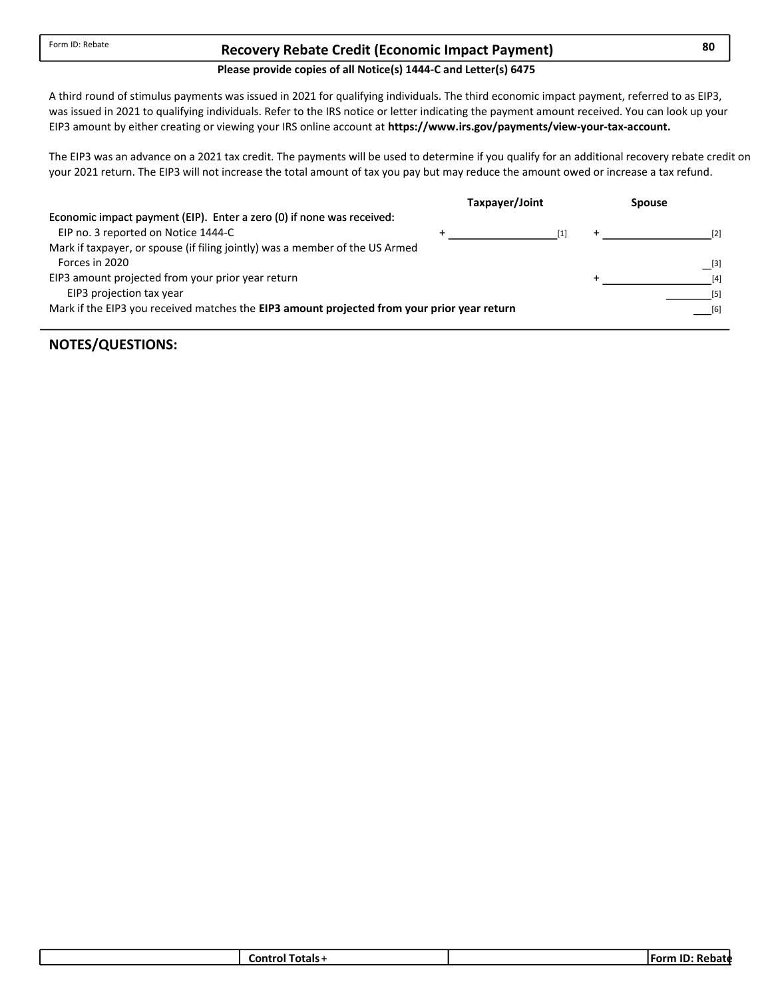## Recovery Rebate Credit (Economic Impact Payment) 80

## Please provide copies of all Notice(s) 1444-C and Letter(s) 6475

was issued in 2021 to qualifying individuals. Refer to the IRS notice or letter indicating the payment amount received. You can look up your A third round of stimulus payments was issued in 2021 for qualifying individuals. The third economic impact payment, referred to as EIP3, EIP3 amount by either creating or viewing your IRS online account at https://www.irs.gov/payments/view-your-tax-account.

The EIP3 was an advance on a 2021 tax credit. The payments will be used to determine if you qualify for an additional recovery rebate credit on your 2021 return. The EIP3 will not increase the total amount of tax you pay but may reduce the amount owed or increase a tax refund.

|                                                                                             | Taxpayer/Joint | <b>Spouse</b> |
|---------------------------------------------------------------------------------------------|----------------|---------------|
| Economic impact payment (EIP). Enter a zero (0) if none was received:                       |                |               |
| EIP no. 3 reported on Notice 1444-C                                                         | $\mathsf{I}1$  | [2]           |
| Mark if taxpayer, or spouse (if filing jointly) was a member of the US Armed                |                |               |
| Forces in 2020                                                                              |                | [3]           |
| EIP3 amount projected from your prior year return                                           |                | [4]           |
| EIP3 projection tax year                                                                    |                |               |
| Mark if the EIP3 you received matches the EIP3 amount projected from your prior year return |                | [6]           |
|                                                                                             |                |               |

|  |  | otals:<br>.nı |  | -115<br>.<br>bate<br>ш.<br>M |
|--|--|---------------|--|------------------------------|
|--|--|---------------|--|------------------------------|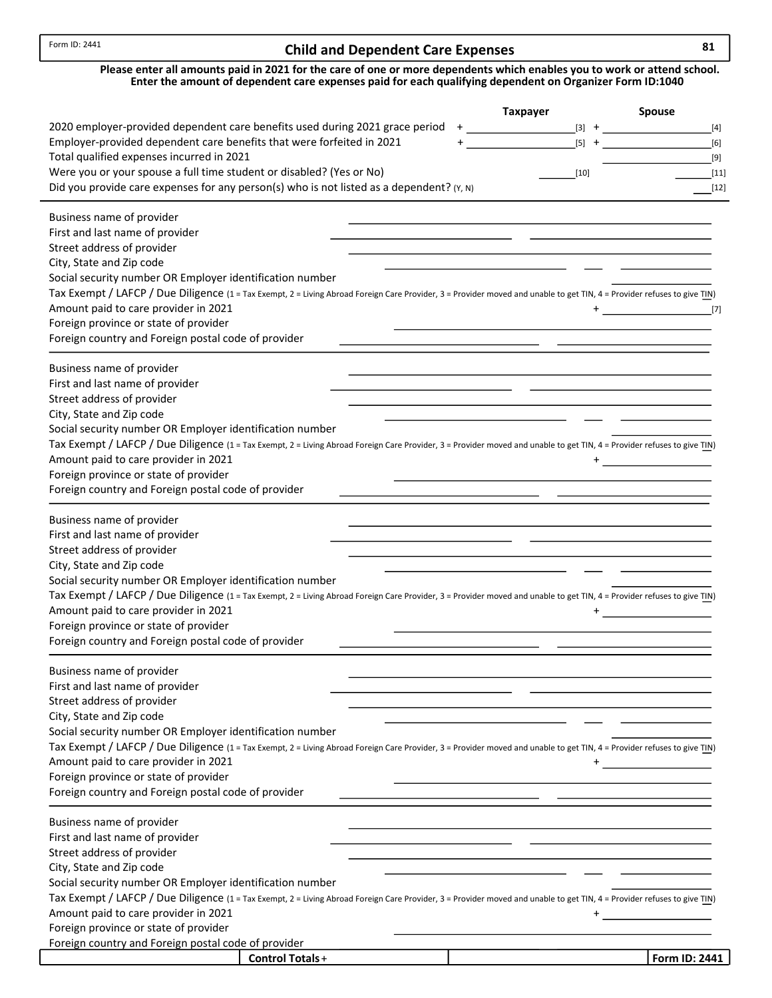## Child and Dependent Care Expenses 81

| Please enter all amounts paid in 2021 for the care of one or more dependents which enables you to work or attend school. |
|--------------------------------------------------------------------------------------------------------------------------|
| Enter the amount of dependent care expenses paid for each qualifying dependent on Organizer Form ID:1040                 |

|                                                                                                                                                                          | <b>Taxpayer</b> | <b>Spouse</b>                                                                                                                                                                                                                  |
|--------------------------------------------------------------------------------------------------------------------------------------------------------------------------|-----------------|--------------------------------------------------------------------------------------------------------------------------------------------------------------------------------------------------------------------------------|
| 2020 employer-provided dependent care benefits used during 2021 grace period                                                                                             |                 | $[4]$                                                                                                                                                                                                                          |
| Employer-provided dependent care benefits that were forfeited in 2021<br>$\ddot{}$                                                                                       |                 | $[6]$<br>$\begin{array}{c} \hline \text{[5]} & + \underline{\hspace{1cm}} \\ \hline \end{array}$                                                                                                                               |
| Total qualified expenses incurred in 2021                                                                                                                                |                 | $[9]$                                                                                                                                                                                                                          |
| Were you or your spouse a full time student or disabled? (Yes or No)                                                                                                     | $[10]$          | $[11]$                                                                                                                                                                                                                         |
| Did you provide care expenses for any person(s) who is not listed as a dependent? (Y, N)                                                                                 |                 | $[12]$                                                                                                                                                                                                                         |
|                                                                                                                                                                          |                 |                                                                                                                                                                                                                                |
| Business name of provider<br>First and last name of provider                                                                                                             |                 |                                                                                                                                                                                                                                |
| Street address of provider                                                                                                                                               |                 |                                                                                                                                                                                                                                |
| City, State and Zip code                                                                                                                                                 |                 |                                                                                                                                                                                                                                |
| Social security number OR Employer identification number                                                                                                                 |                 |                                                                                                                                                                                                                                |
| Tax Exempt / LAFCP / Due Diligence (1 = Tax Exempt, 2 = Living Abroad Foreign Care Provider, 3 = Provider moved and unable to get TIN, 4 = Provider refuses to give TIN) |                 |                                                                                                                                                                                                                                |
| Amount paid to care provider in 2021                                                                                                                                     |                 | $+$ [7]                                                                                                                                                                                                                        |
| Foreign province or state of provider                                                                                                                                    |                 |                                                                                                                                                                                                                                |
| Foreign country and Foreign postal code of provider                                                                                                                      |                 |                                                                                                                                                                                                                                |
|                                                                                                                                                                          |                 |                                                                                                                                                                                                                                |
| Business name of provider                                                                                                                                                |                 |                                                                                                                                                                                                                                |
| First and last name of provider                                                                                                                                          |                 |                                                                                                                                                                                                                                |
| Street address of provider                                                                                                                                               |                 |                                                                                                                                                                                                                                |
| City, State and Zip code                                                                                                                                                 |                 |                                                                                                                                                                                                                                |
| Social security number OR Employer identification number                                                                                                                 |                 |                                                                                                                                                                                                                                |
| Tax Exempt / LAFCP / Due Diligence (1 = Tax Exempt, 2 = Living Abroad Foreign Care Provider, 3 = Provider moved and unable to get TIN, 4 = Provider refuses to give TIN) |                 |                                                                                                                                                                                                                                |
| Amount paid to care provider in 2021                                                                                                                                     |                 | $+$ . The contract of the contract of $\sim$                                                                                                                                                                                   |
| Foreign province or state of provider                                                                                                                                    |                 |                                                                                                                                                                                                                                |
| Foreign country and Foreign postal code of provider                                                                                                                      |                 |                                                                                                                                                                                                                                |
| Business name of provider                                                                                                                                                |                 |                                                                                                                                                                                                                                |
| First and last name of provider                                                                                                                                          |                 |                                                                                                                                                                                                                                |
| Street address of provider                                                                                                                                               |                 |                                                                                                                                                                                                                                |
| City, State and Zip code                                                                                                                                                 |                 |                                                                                                                                                                                                                                |
| Social security number OR Employer identification number                                                                                                                 |                 |                                                                                                                                                                                                                                |
| Tax Exempt / LAFCP / Due Diligence (1 = Tax Exempt, 2 = Living Abroad Foreign Care Provider, 3 = Provider moved and unable to get TIN, 4 = Provider refuses to give TIN) |                 |                                                                                                                                                                                                                                |
| Amount paid to care provider in 2021                                                                                                                                     |                 | $+$ . The contract of the contract of $\sim$                                                                                                                                                                                   |
| Foreign province or state of provider                                                                                                                                    |                 |                                                                                                                                                                                                                                |
| Foreign country and Foreign postal code of provider                                                                                                                      |                 |                                                                                                                                                                                                                                |
|                                                                                                                                                                          |                 |                                                                                                                                                                                                                                |
| Business name of provider<br>First and last name of provider                                                                                                             |                 |                                                                                                                                                                                                                                |
| Street address of provider                                                                                                                                               |                 |                                                                                                                                                                                                                                |
| City, State and Zip code                                                                                                                                                 |                 |                                                                                                                                                                                                                                |
| Social security number OR Employer identification number                                                                                                                 |                 |                                                                                                                                                                                                                                |
| Tax Exempt / LAFCP / Due Diligence (1 = Tax Exempt, 2 = Living Abroad Foreign Care Provider, 3 = Provider moved and unable to get TIN, 4 = Provider refuses to give TIN) |                 |                                                                                                                                                                                                                                |
| Amount paid to care provider in 2021                                                                                                                                     |                 | $\pm$ . The contract of the contract of the contract of the contract of the contract of the contract of the contract of the contract of the contract of the contract of the contract of the contract of the contract of the co |
| Foreign province or state of provider                                                                                                                                    |                 |                                                                                                                                                                                                                                |
| Foreign country and Foreign postal code of provider                                                                                                                      |                 |                                                                                                                                                                                                                                |
|                                                                                                                                                                          |                 |                                                                                                                                                                                                                                |
| Business name of provider                                                                                                                                                |                 |                                                                                                                                                                                                                                |
| First and last name of provider                                                                                                                                          |                 |                                                                                                                                                                                                                                |
| Street address of provider                                                                                                                                               |                 |                                                                                                                                                                                                                                |
| City, State and Zip code                                                                                                                                                 |                 |                                                                                                                                                                                                                                |
| Social security number OR Employer identification number                                                                                                                 |                 |                                                                                                                                                                                                                                |
| Tax Exempt / LAFCP / Due Diligence (1 = Tax Exempt, 2 = Living Abroad Foreign Care Provider, 3 = Provider moved and unable to get TIN, 4 = Provider refuses to give TIN) |                 |                                                                                                                                                                                                                                |
| Amount paid to care provider in 2021                                                                                                                                     |                 |                                                                                                                                                                                                                                |
| Foreign province or state of provider                                                                                                                                    |                 |                                                                                                                                                                                                                                |
| Foreign country and Foreign postal code of provider                                                                                                                      |                 |                                                                                                                                                                                                                                |
| Control Totals+                                                                                                                                                          |                 | Form ID: 2441                                                                                                                                                                                                                  |